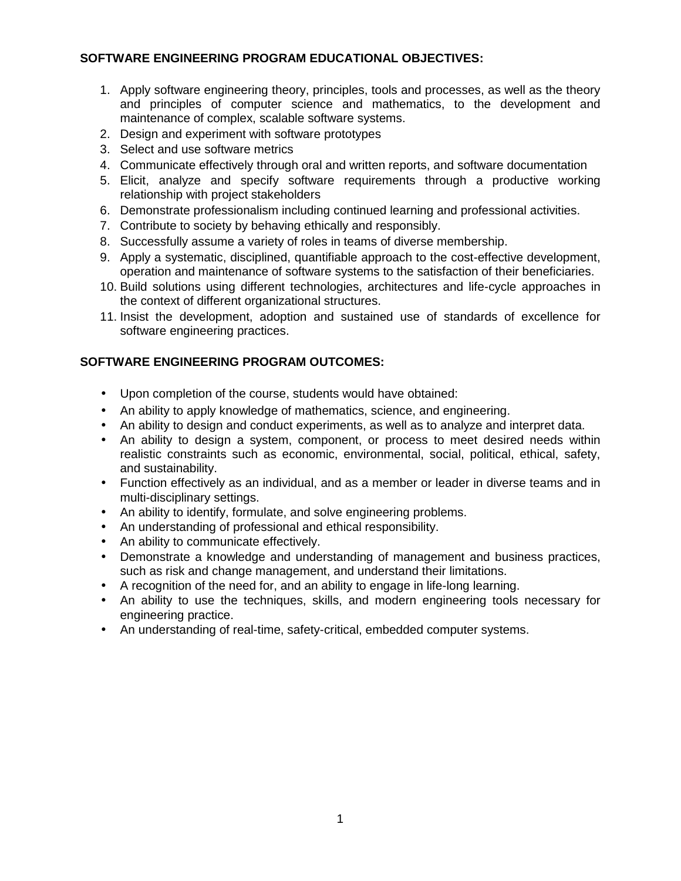# **SOFTWARE ENGINEERING PROGRAM EDUCATIONAL OBJECTIVES:**

- 1. Apply software engineering theory, principles, tools and processes, as well as the theory and principles of computer science and mathematics, to the development and maintenance of complex, scalable software systems.
- 2. Design and experiment with software prototypes
- 3. Select and use software metrics
- 4. Communicate effectively through oral and written reports, and software documentation
- 5. Elicit, analyze and specify software requirements through a productive working relationship with project stakeholders
- 6. Demonstrate professionalism including continued learning and professional activities.
- 7. Contribute to society by behaving ethically and responsibly.
- 8. Successfully assume a variety of roles in teams of diverse membership.
- 9. Apply a systematic, disciplined, quantifiable approach to the cost-effective development, operation and maintenance of software systems to the satisfaction of their beneficiaries.
- 10. Build solutions using different technologies, architectures and life-cycle approaches in the context of different organizational structures.
- 11. Insist the development, adoption and sustained use of standards of excellence for software engineering practices.

# **SOFTWARE ENGINEERING PROGRAM OUTCOMES:**

- Upon completion of the course, students would have obtained:
- An ability to apply knowledge of mathematics, science, and engineering.
- An ability to design and conduct experiments, as well as to analyze and interpret data.
- An ability to design a system, component, or process to meet desired needs within realistic constraints such as economic, environmental, social, political, ethical, safety, and sustainability.
- Function effectively as an individual, and as a member or leader in diverse teams and in multi-disciplinary settings.
- An ability to identify, formulate, and solve engineering problems.
- An understanding of professional and ethical responsibility.
- An ability to communicate effectively.
- Demonstrate a knowledge and understanding of management and business practices, such as risk and change management, and understand their limitations.
- A recognition of the need for, and an ability to engage in life-long learning.
- An ability to use the techniques, skills, and modern engineering tools necessary for engineering practice.
- An understanding of real-time, safety-critical, embedded computer systems.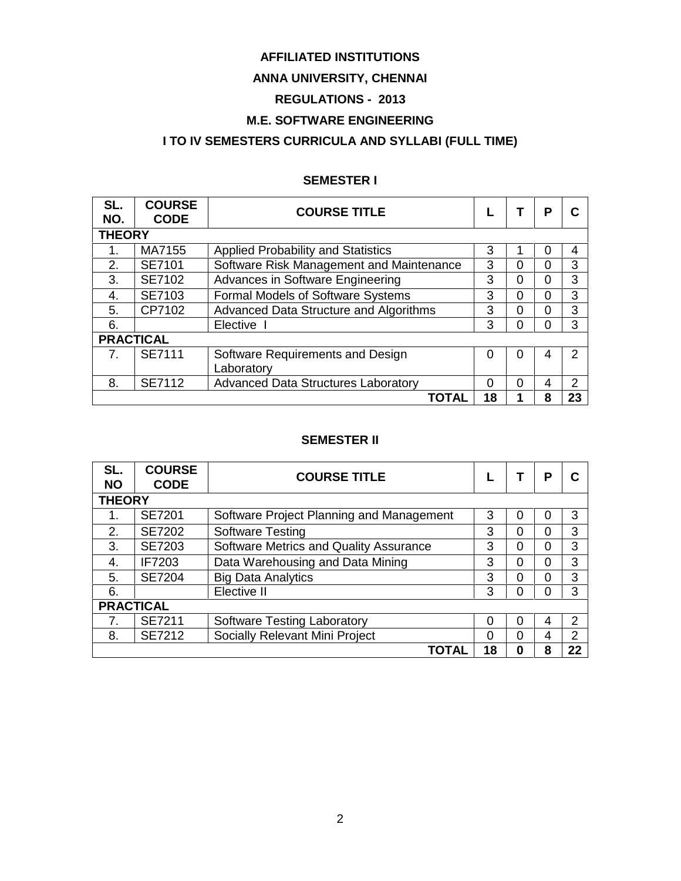# **AFFILIATED INSTITUTIONS**

# **ANNA UNIVERSITY, CHENNAI**

# **REGULATIONS - 2013**

# **M.E. SOFTWARE ENGINEERING**

# **I TO IV SEMESTERS CURRICULA AND SYLLABI (FULL TIME)**

| SL.<br>NO.     | <b>COURSE</b><br><b>CODE</b> | <b>COURSE TITLE</b>                        |    |   | Р        | C  |
|----------------|------------------------------|--------------------------------------------|----|---|----------|----|
| <b>THEORY</b>  |                              |                                            |    |   |          |    |
|                | MA7155                       | <b>Applied Probability and Statistics</b>  | 3  |   | 0        | 4  |
| 2.             | SE7101                       | Software Risk Management and Maintenance   | 3  | 0 | 0        | 3  |
| 3.             | SE7102                       | Advances in Software Engineering           | 3  | 0 | $\Omega$ | 3  |
| 4.             | SE7103                       | Formal Models of Software Systems          | 3  | 0 | 0        | 3  |
| 5.             | CP7102                       | Advanced Data Structure and Algorithms     | 3  | 0 | $\Omega$ | 3  |
| 6.             |                              | Elective I                                 | 3  | 0 | 0        | 3  |
|                | <b>PRACTICAL</b>             |                                            |    |   |          |    |
| 7 <sub>1</sub> | <b>SE7111</b>                | Software Requirements and Design           | 0  | 0 | 4        | 2  |
|                |                              | Laboratory                                 |    |   |          |    |
| 8.             | <b>SE7112</b>                | <b>Advanced Data Structures Laboratory</b> | 0  | 0 | 4        | 2  |
|                |                              | TOTAL                                      | 18 |   | 8        | 23 |

# **SEMESTER I**

#### **SEMESTER II**

| SL.<br><b>NO</b> | <b>COURSE</b><br><b>CODE</b> | <b>COURSE TITLE</b>                      |    |   | Р        | C  |
|------------------|------------------------------|------------------------------------------|----|---|----------|----|
| <b>THEORY</b>    |                              |                                          |    |   |          |    |
| 1.               | <b>SE7201</b>                | Software Project Planning and Management | 3  | 0 | 0        | 3  |
| 2.               | SE7202                       | <b>Software Testing</b>                  | 3  | 0 | 0        | 3  |
| 3.               | <b>SE7203</b>                | Software Metrics and Quality Assurance   | 3  | 0 | $\Omega$ | 3  |
| 4.               | IF7203                       | Data Warehousing and Data Mining         | 3  | 0 | 0        | 3  |
| 5.               | SE7204                       | <b>Big Data Analytics</b>                | 3  | 0 | 0        | 3  |
| 6.               |                              | Elective II                              | 3  | 0 | $\Omega$ | 3  |
|                  | <b>PRACTICAL</b>             |                                          |    |   |          |    |
|                  | SE7211                       | <b>Software Testing Laboratory</b>       | 0  | 0 | 4        | 2  |
| 8.               | SE7212                       | Socially Relevant Mini Project           | 0  | 0 | 4        | 2  |
|                  |                              | TOTAL                                    | 18 | 0 | 8        | 22 |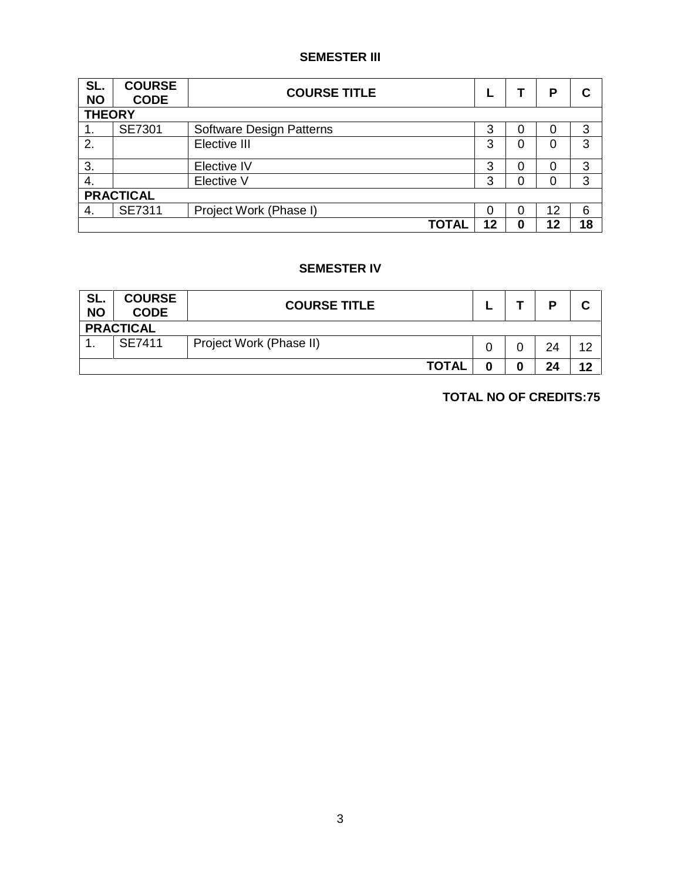# **SEMESTER III**

| SL.<br><b>NO</b> | <b>COURSE</b><br><b>CODE</b> | <b>COURSE TITLE</b>             |    |   | Р  | С  |  |  |  |  |
|------------------|------------------------------|---------------------------------|----|---|----|----|--|--|--|--|
| <b>THEORY</b>    |                              |                                 |    |   |    |    |  |  |  |  |
| 1.               | SE7301                       | <b>Software Design Patterns</b> | 3  |   | 0  | 3  |  |  |  |  |
| 2.               |                              | Elective III                    | 3  | 0 | 0  | 3  |  |  |  |  |
| 3.               |                              | Elective IV                     | 3  | 0 | 0  | 3  |  |  |  |  |
| 4.               |                              | Elective V                      | 3  |   | 0  | 3  |  |  |  |  |
| <b>PRACTICAL</b> |                              |                                 |    |   |    |    |  |  |  |  |
| 4.               | SE7311                       | Project Work (Phase I)          | 0  |   | 12 | 6  |  |  |  |  |
|                  |                              | <b>TOTAL</b>                    | 12 | 0 | 12 | 18 |  |  |  |  |

#### **SEMESTER IV**

| SL.<br><b>NO</b> | <b>COURSE</b><br><b>CODE</b> | <b>COURSE TITLE</b>     | - |   | D  | ◠<br>v |  |  |  |
|------------------|------------------------------|-------------------------|---|---|----|--------|--|--|--|
| <b>PRACTICAL</b> |                              |                         |   |   |    |        |  |  |  |
| . .              | SE7411                       | Project Work (Phase II) |   |   | 24 | 12     |  |  |  |
|                  |                              | <b>TOTAL</b>            |   | n | 24 | 12     |  |  |  |

# **TOTAL NO OF CREDITS:75**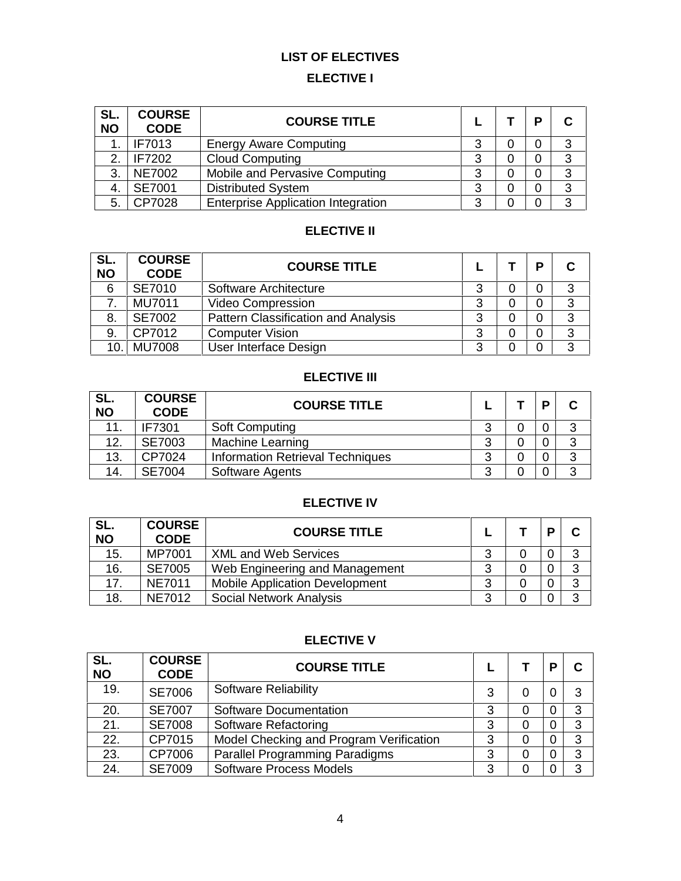# **LIST OF ELECTIVES**

# **ELECTIVE I**

| SL.<br><b>NO</b> | <b>COURSE</b><br><b>CODE</b> | <b>COURSE TITLE</b>                       |   | D | C |
|------------------|------------------------------|-------------------------------------------|---|---|---|
|                  | <b>IF7013</b>                | <b>Energy Aware Computing</b>             | ≏ |   | っ |
| っ                | <b>IF7202</b>                | <b>Cloud Computing</b>                    | ◠ |   |   |
| 3.               | <b>NE7002</b>                | Mobile and Pervasive Computing            |   |   |   |
|                  | <b>SE7001</b>                | <b>Distributed System</b>                 |   |   |   |
|                  | CP7028                       | <b>Enterprise Application Integration</b> | ◠ |   | ◠ |

# **ELECTIVE II**

| SL.<br><b>NO</b> | <b>COURSE</b><br><b>CODE</b> | <b>COURSE TITLE</b>                        |  | D | C |
|------------------|------------------------------|--------------------------------------------|--|---|---|
| 6                | SE7010                       | Software Architecture                      |  |   |   |
|                  | <b>MU7011</b>                | <b>Video Compression</b>                   |  |   |   |
| 8.               | SE7002                       | <b>Pattern Classification and Analysis</b> |  |   | 3 |
| 9.               | CP7012                       | <b>Computer Vision</b>                     |  |   |   |
| 10.1             | <b>MU7008</b>                | User Interface Design                      |  |   | 3 |

# **ELECTIVE III**

| SL.<br>NO | <b>COURSE</b><br><b>CODE</b> | <b>COURSE TITLE</b>                     |  | D | С |
|-----------|------------------------------|-----------------------------------------|--|---|---|
| 11.       | <b>IF7301</b>                | <b>Soft Computing</b>                   |  |   |   |
| 12.       | SE7003                       | <b>Machine Learning</b>                 |  |   | ົ |
| 13.       | CP7024                       | <b>Information Retrieval Techniques</b> |  |   | ົ |
| 14.       | <b>SE7004</b>                | Software Agents                         |  |   | ⌒ |

# **ELECTIVE IV**

| SL.<br><b>NO</b> | <b>COURSE</b><br><b>CODE</b> | <b>COURSE TITLE</b>                   |        | D | C |
|------------------|------------------------------|---------------------------------------|--------|---|---|
| 15.              | MP7001                       | <b>XML and Web Services</b>           | 3      |   | ◠ |
| 16.              | <b>SE7005</b>                | Web Engineering and Management        | າ<br>J |   | ົ |
| 17               | <b>NE7011</b>                | <b>Mobile Application Development</b> | 2<br>J |   | ົ |
| 18.              | NE7012                       | Social Network Analysis               | 3      |   | ົ |

# **ELECTIVE V**

| SL.<br><b>NO</b> | <b>COURSE</b><br><b>CODE</b> | <b>COURSE TITLE</b>                     |   |   | D              |   |
|------------------|------------------------------|-----------------------------------------|---|---|----------------|---|
| 19.              | <b>SE7006</b>                | Software Reliability                    | 3 | 0 | 0              | 3 |
| 20.              | <b>SE7007</b>                | Software Documentation                  | 3 | 0 | 0              | 3 |
| 21.              | <b>SE7008</b>                | Software Refactoring                    | 3 | 0 | $\overline{0}$ | 3 |
| 22.              | CP7015                       | Model Checking and Program Verification | 3 | 0 | 0              | 3 |
| 23.              | CP7006                       | Parallel Programming Paradigms          | 3 | 0 | $\overline{0}$ | 3 |
| 24.              | <b>SE7009</b>                | <b>Software Process Models</b>          | 3 |   |                | 3 |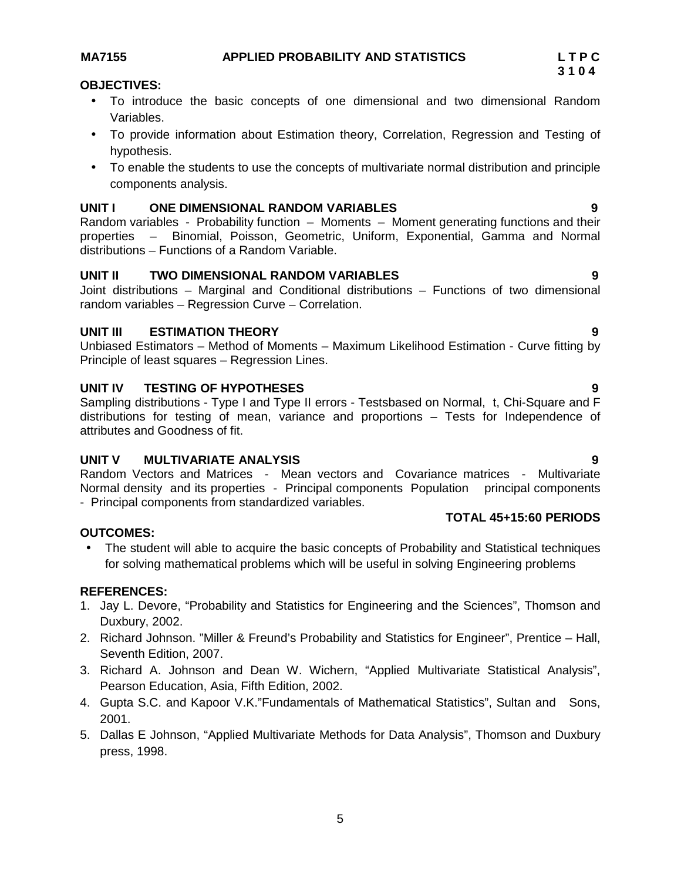#### **MA7155 APPLIED PROBABILITY AND STATISTICS L T P C**

### **OBJECTIVES:**

- To introduce the basic concepts of one dimensional and two dimensional Random Variables.
- To provide information about Estimation theory, Correlation, Regression and Testing of hypothesis.
- To enable the students to use the concepts of multivariate normal distribution and principle components analysis.

#### **UNIT I ONE DIMENSIONAL RANDOM VARIABLES 9**

Random variables - Probability function – Moments – Moment generating functions and their properties – Binomial, Poisson, Geometric, Uniform, Exponential, Gamma and Normal distributions – Functions of a Random Variable.

### **UNIT II TWO DIMENSIONAL RANDOM VARIABLES 9**

Joint distributions – Marginal and Conditional distributions – Functions of two dimensional random variables – Regression Curve – Correlation.

#### **UNIT III ESTIMATION THEORY 9**

Unbiased Estimators – Method of Moments – Maximum Likelihood Estimation - Curve fitting by Principle of least squares – Regression Lines.

### **UNIT IV TESTING OF HYPOTHESES 9**

Sampling distributions - Type I and Type II errors - Testsbased on Normal, t, Chi-Square and F distributions for testing of mean, variance and proportions – Tests for Independence of attributes and Goodness of fit.

### **UNIT V MULTIVARIATE ANALYSIS 9**

Random Vectors and Matrices - Mean vectors and Covariance matrices - Multivariate Normal density and its properties - Principal components Population principal components - Principal components from standardized variables.

#### **OUTCOMES:**

• The student will able to acquire the basic concepts of Probability and Statistical techniques for solving mathematical problems which will be useful in solving Engineering problems

#### **REFERENCES:**

- 1. Jay L. Devore, "Probability and Statistics for Engineering and the Sciences", Thomson and Duxbury, 2002.
- 2. Richard Johnson. "Miller & Freund's Probability and Statistics for Engineer", Prentice Hall, Seventh Edition, 2007.
- 3. Richard A. Johnson and Dean W. Wichern, "Applied Multivariate Statistical Analysis", Pearson Education, Asia, Fifth Edition, 2002.
- 4. Gupta S.C. and Kapoor V.K."Fundamentals of Mathematical Statistics", Sultan and Sons, 2001.
- 5. Dallas E Johnson, "Applied Multivariate Methods for Data Analysis", Thomson and Duxbury press, 1998.

**TOTAL 45+15:60 PERIODS**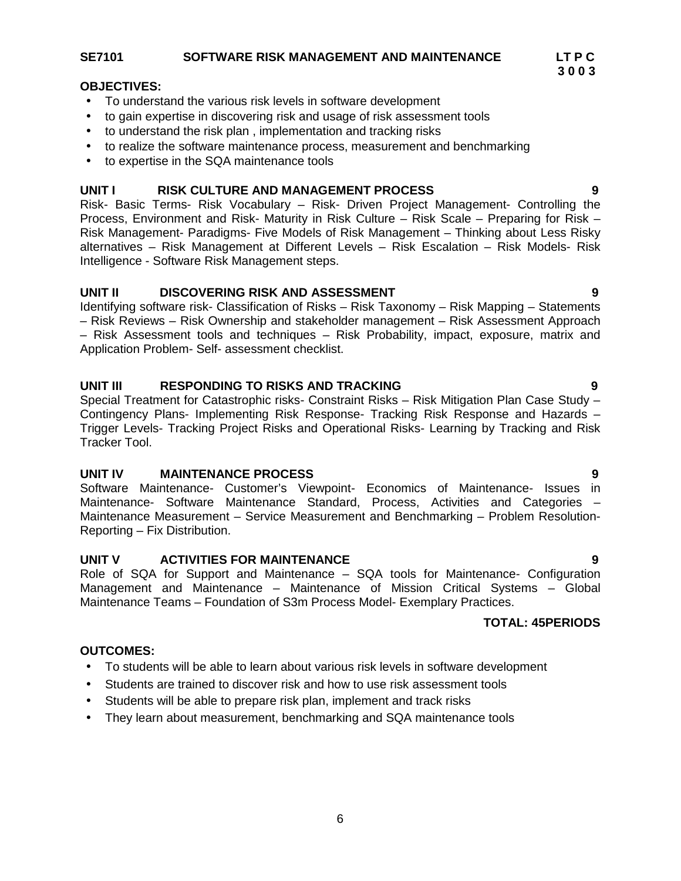#### **SE7101 SOFTWARE RISK MANAGEMENT AND MAINTENANCE LT P C**

#### **OBJECTIVES:**

- To understand the various risk levels in software development
- to gain expertise in discovering risk and usage of risk assessment tools
- to understand the risk plan , implementation and tracking risks
- to realize the software maintenance process, measurement and benchmarking
- to expertise in the SQA maintenance tools

### **UNIT I RISK CULTURE AND MANAGEMENT PROCESS 9**

Risk- Basic Terms- Risk Vocabulary – Risk- Driven Project Management- Controlling the Process, Environment and Risk- Maturity in Risk Culture – Risk Scale – Preparing for Risk – Risk Management- Paradigms- Five Models of Risk Management – Thinking about Less Risky alternatives – Risk Management at Different Levels – Risk Escalation – Risk Models- Risk Intelligence - Software Risk Management steps.

#### **UNIT II DISCOVERING RISK AND ASSESSMENT 9**

Identifying software risk- Classification of Risks – Risk Taxonomy – Risk Mapping – Statements – Risk Reviews – Risk Ownership and stakeholder management – Risk Assessment Approach – Risk Assessment tools and techniques – Risk Probability, impact, exposure, matrix and Application Problem- Self- assessment checklist.

### **UNIT III RESPONDING TO RISKS AND TRACKING 9**

Special Treatment for Catastrophic risks- Constraint Risks – Risk Mitigation Plan Case Study – Contingency Plans- Implementing Risk Response- Tracking Risk Response and Hazards – Trigger Levels- Tracking Project Risks and Operational Risks- Learning by Tracking and Risk Tracker Tool.

### **UNIT IV MAINTENANCE PROCESS 9**

Software Maintenance- Customer's Viewpoint- Economics of Maintenance- Issues in Maintenance- Software Maintenance Standard, Process, Activities and Categories – Maintenance Measurement – Service Measurement and Benchmarking – Problem Resolution- Reporting – Fix Distribution.

### **UNIT V ACTIVITIES FOR MAINTENANCE 9**

Role of SQA for Support and Maintenance – SQA tools for Maintenance- Configuration Management and Maintenance – Maintenance of Mission Critical Systems – Global Maintenance Teams – Foundation of S3m Process Model- Exemplary Practices.

#### **TOTAL: 45PERIODS**

#### **OUTCOMES:**

- To students will be able to learn about various risk levels in software development
- Students are trained to discover risk and how to use risk assessment tools
- Students will be able to prepare risk plan, implement and track risks
- They learn about measurement, benchmarking and SQA maintenance tools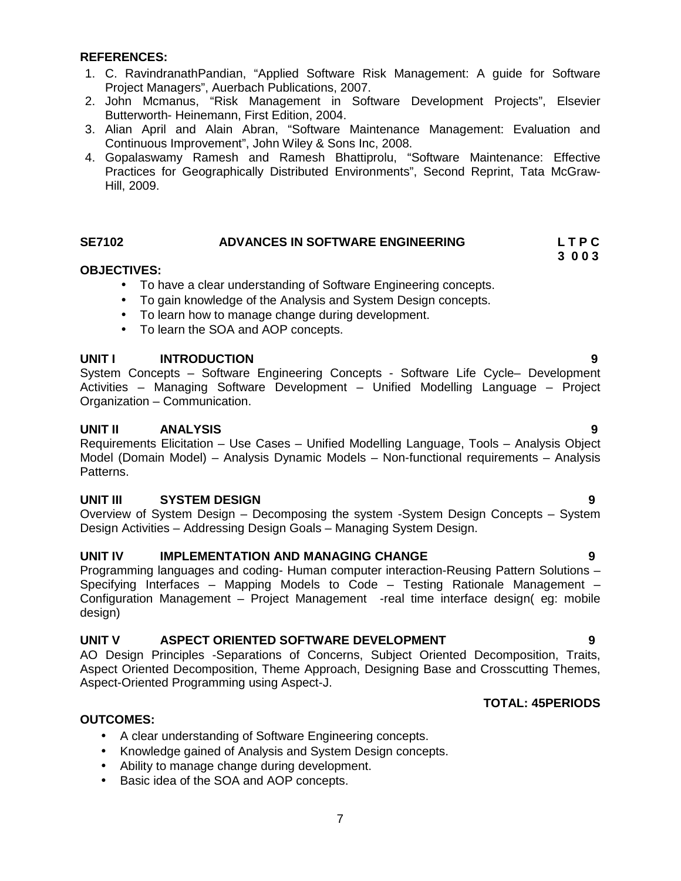#### **REFERENCES:**

- 1. C. RavindranathPandian, "Applied Software Risk Management: A guide for Software Project Managers", Auerbach Publications, 2007.
- 2. John Mcmanus, "Risk Management in Software Development Projects", Elsevier Butterworth- Heinemann, First Edition, 2004.
- 3. Alian April and Alain Abran, "Software Maintenance Management: Evaluation and Continuous Improvement", John Wiley & Sons Inc, 2008.
- 4. Gopalaswamy Ramesh and Ramesh Bhattiprolu, "Software Maintenance: Effective Practices for Geographically Distributed Environments", Second Reprint, Tata McGraw- Hill, 2009.

# **SE7102 ADVANCES IN SOFTWARE ENGINEERING L T P C**

#### **OBJECTIVES:**

- To have a clear understanding of Software Engineering concepts.
- To gain knowledge of the Analysis and System Design concepts.
- To learn how to manage change during development.
- To learn the SOA and AOP concepts.

#### **UNIT I INTRODUCTION 9**

System Concepts – Software Engineering Concepts - Software Life Cycle– Development Activities – Managing Software Development – Unified Modelling Language – Project Organization – Communication.

# **UNIT II ANALYSIS 9**

Requirements Elicitation – Use Cases – Unified Modelling Language, Tools – Analysis Object Model (Domain Model) – Analysis Dynamic Models – Non-functional requirements – Analysis Patterns.

### **UNIT III SYSTEM DESIGN 9**

Overview of System Design – Decomposing the system -System Design Concepts – System Design Activities – Addressing Design Goals – Managing System Design.

# **UNIT IV IMPLEMENTATION AND MANAGING CHANGE 9**

Programming languages and coding- Human computer interaction-Reusing Pattern Solutions – Specifying Interfaces – Mapping Models to Code – Testing Rationale Management – Configuration Management – Project Management -real time interface design( eg: mobile design)

#### **UNIT V ASPECT ORIENTED SOFTWARE DEVELOPMENT 9**

AO Design Principles -Separations of Concerns, Subject Oriented Decomposition, Traits, Aspect Oriented Decomposition, Theme Approach, Designing Base and Crosscutting Themes, Aspect-Oriented Programming using Aspect-J.

### **TOTAL: 45PERIODS**

#### **OUTCOMES:**

- A clear understanding of Software Engineering concepts.
- Knowledge gained of Analysis and System Design concepts.
- Ability to manage change during development.
- Basic idea of the SOA and AOP concepts.

**3 0 0 3**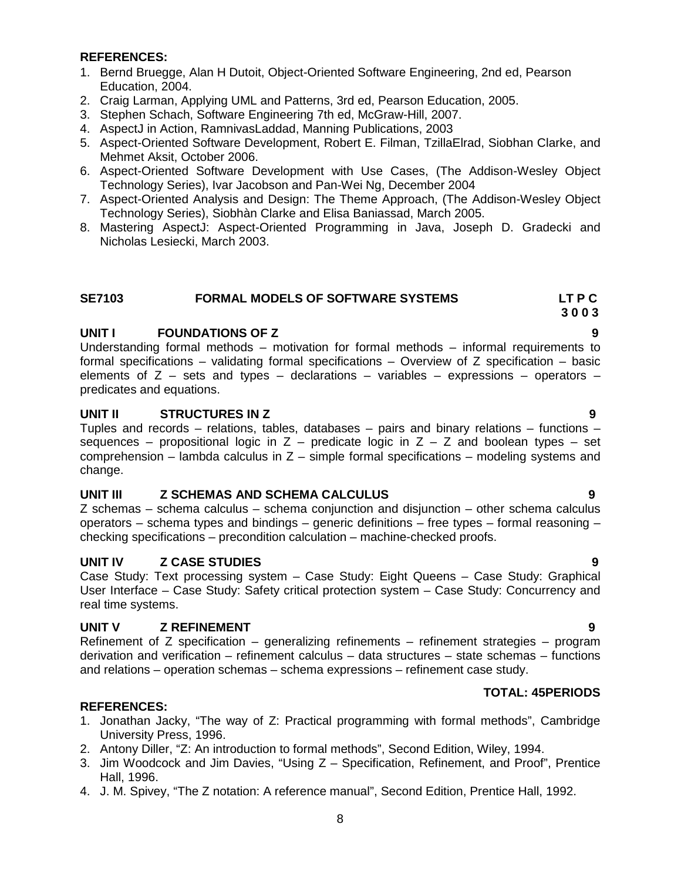#### **REFERENCES:**

- 1. Bernd Bruegge, Alan H Dutoit, Object-Oriented Software Engineering, 2nd ed, Pearson Education, 2004.
- 2. Craig Larman, Applying UML and Patterns, 3rd ed, Pearson Education, 2005.
- 3. Stephen Schach, Software Engineering 7th ed, McGraw-Hill, 2007.
- 4. AspectJ in Action, RamnivasLaddad, Manning Publications, 2003
- 5. Aspect-Oriented Software Development, Robert E. Filman, TzillaElrad, Siobhan Clarke, and Mehmet Aksit, October 2006.
- 6. Aspect-Oriented Software Development with Use Cases, (The Addison-Wesley Object Technology Series), Ivar Jacobson and Pan-Wei Ng, December 2004
- 7. Aspect-Oriented Analysis and Design: The Theme Approach, (The Addison-Wesley Object Technology Series), Siobhàn Clarke and Elisa Baniassad, March 2005.
- 8. Mastering AspectJ: Aspect-Oriented Programming in Java, Joseph D. Gradecki and Nicholas Lesiecki, March 2003.

### **SE7103 FORMAL MODELS OF SOFTWARE SYSTEMS LT P C**

### **UNIT I FOUNDATIONS OF Z 9**

Understanding formal methods – motivation for formal methods – informal requirements to formal specifications – validating formal specifications – Overview of  $Z$  specification – basic elements of  $Z$  – sets and types – declarations – variables – expressions – operators – predicates and equations.

#### **UNIT II STRUCTURES IN Z 9**

Tuples and records – relations, tables, databases – pairs and binary relations – functions – sequences – propositional logic in  $Z$  – predicate logic in  $Z$  –  $Z$  and boolean types – set comprehension – lambda calculus in  $Z$  – simple formal specifications – modeling systems and change.

### **UNIT III Z SCHEMAS AND SCHEMA CALCULUS 9**

Z schemas – schema calculus – schema conjunction and disjunction – other schema calculus operators – schema types and bindings – generic definitions – free types – formal reasoning – checking specifications – precondition calculation – machine-checked proofs.

#### **UNIT IV Z CASE STUDIES 9**

Case Study: Text processing system – Case Study: Eight Queens – Case Study: Graphical User Interface – Case Study: Safety critical protection system – Case Study: Concurrency and real time systems.

### **UNIT V Z REFINEMENT 9**

Refinement of Z specification – generalizing refinements – refinement strategies – program derivation and verification – refinement calculus – data structures – state schemas – functions and relations – operation schemas – schema expressions – refinement case study.

### **TOTAL: 45PERIODS**

### **REFERENCES:**

- 1. Jonathan Jacky, "The way of Z: Practical programming with formal methods", Cambridge University Press, 1996.
- 2. Antony Diller, "Z: An introduction to formal methods", Second Edition, Wiley, 1994.
- 3. Jim Woodcock and Jim Davies, "Using Z Specification, Refinement, and Proof", Prentice Hall, 1996.
- 4. J. M. Spivey, "The Z notation: A reference manual", Second Edition, Prentice Hall, 1992.

**3 0 0 3**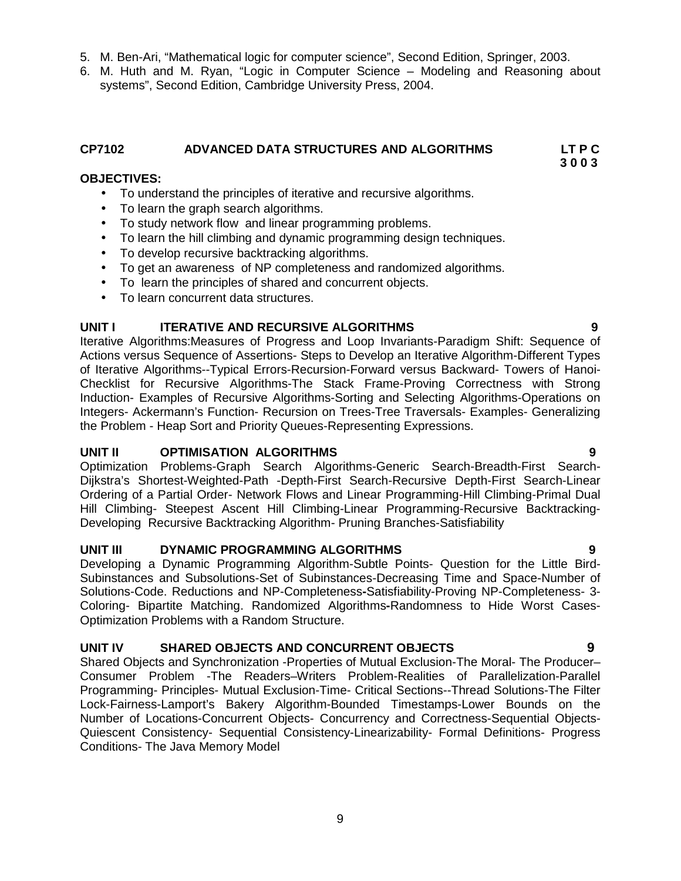- 5. M. Ben-Ari, "Mathematical logic for computer science", Second Edition, Springer, 2003.
- 6. M. Huth and M. Ryan, "Logic in Computer Science Modeling and Reasoning about systems", Second Edition, Cambridge University Press, 2004.

#### **CP7102 ADVANCED DATA STRUCTURES AND ALGORITHMS LT P C 3 0 0 3**

# **OBJECTIVES:**

- To understand the principles of iterative and recursive algorithms.
- To learn the graph search algorithms.
- To study network flow and linear programming problems.
- To learn the hill climbing and dynamic programming design techniques.
- To develop recursive backtracking algorithms.
- To get an awareness of NP completeness and randomized algorithms.
- To learn the principles of shared and concurrent objects.
- To learn concurrent data structures.

# **UNIT I ITERATIVE AND RECURSIVE ALGORITHMS 9**

Iterative Algorithms:Measures of Progress and Loop Invariants-Paradigm Shift: Sequence of Actions versus Sequence of Assertions- Steps to Develop an Iterative Algorithm-Different Types of Iterative Algorithms--Typical Errors-Recursion-Forward versus Backward- Towers of Hanoi- Checklist for Recursive Algorithms-The Stack Frame-Proving Correctness with Strong Induction- Examples of Recursive Algorithms-Sorting and Selecting Algorithms-Operations on Integers- Ackermann's Function- Recursion on Trees-Tree Traversals- Examples- Generalizing the Problem - Heap Sort and Priority Queues-Representing Expressions.

# **UNIT II OPTIMISATION ALGORITHMS 9**

Optimization Problems-Graph Search Algorithms-Generic Search-Breadth-First Search- Dijkstra's Shortest-Weighted-Path -Depth-First Search-Recursive Depth-First Search-Linear Ordering of a Partial Order- Network Flows and Linear Programming-Hill Climbing-Primal Dual Hill Climbing- Steepest Ascent Hill Climbing-Linear Programming-Recursive Backtracking- Developing Recursive Backtracking Algorithm- Pruning Branches-Satisfiability

### **UNIT III DYNAMIC PROGRAMMING ALGORITHMS 9**

Developing a Dynamic Programming Algorithm-Subtle Points- Question for the Little Bird- Subinstances and Subsolutions-Set of Subinstances-Decreasing Time and Space-Number of Solutions-Code. Reductions and NP-Completeness**-**Satisfiability-Proving NP-Completeness- 3- Coloring- Bipartite Matching. Randomized Algorithms**-**Randomness to Hide Worst Cases- Optimization Problems with a Random Structure.

### **UNIT IV SHARED OBJECTS AND CONCURRENT OBJECTS 9**

Shared Objects and Synchronization -Properties of Mutual Exclusion-The Moral- The Producer– Consumer Problem -The Readers–Writers Problem-Realities of Parallelization-Parallel Programming- Principles- Mutual Exclusion-Time- Critical Sections--Thread Solutions-The Filter Lock-Fairness-Lamport's Bakery Algorithm-Bounded Timestamps-Lower Bounds on the Number of Locations-Concurrent Objects- Concurrency and Correctness-Sequential Objects- Quiescent Consistency- Sequential Consistency-Linearizability- Formal Definitions- Progress Conditions- The Java Memory Model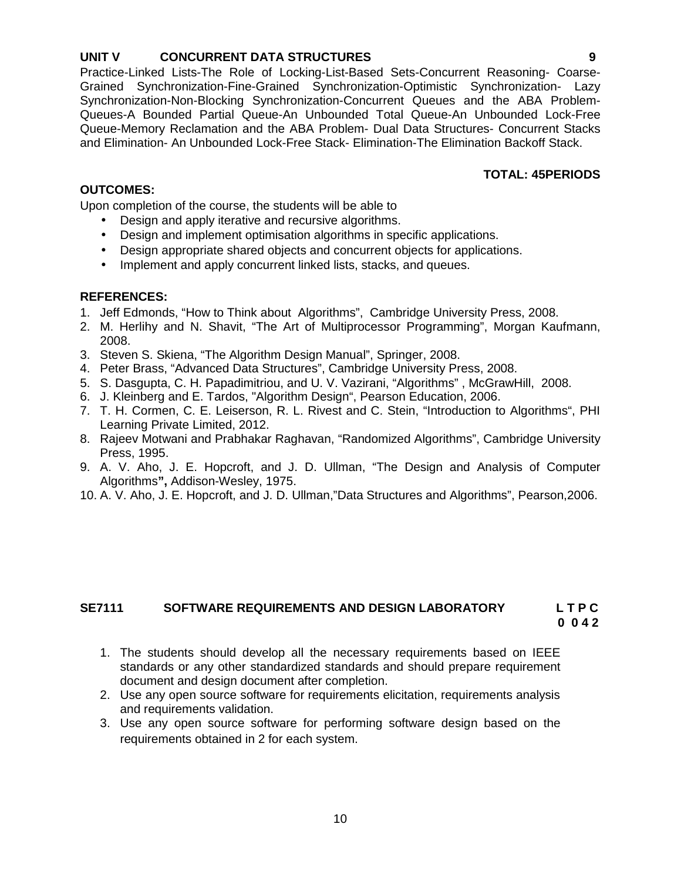# **UNIT V CONCURRENT DATA STRUCTURES 9**

Practice-Linked Lists-The Role of Locking-List-Based Sets-Concurrent Reasoning- Coarse-

Grained Synchronization-Fine-Grained Synchronization-Optimistic Synchronization- Lazy Synchronization-Non-Blocking Synchronization-Concurrent Queues and the ABA Problem- Queues-A Bounded Partial Queue-An Unbounded Total Queue-An Unbounded Lock-Free Queue-Memory Reclamation and the ABA Problem- Dual Data Structures- Concurrent Stacks and Elimination- An Unbounded Lock-Free Stack- Elimination-The Elimination Backoff Stack.

# **TOTAL: 45PERIODS**

# **OUTCOMES:**

Upon completion of the course, the students will be able to

- Design and apply iterative and recursive algorithms.
- Design and implement optimisation algorithms in specific applications.
- Design appropriate shared objects and concurrent objects for applications.
- Implement and apply concurrent linked lists, stacks, and queues.

# **REFERENCES:**

- 1. Jeff Edmonds, "How to Think about Algorithms", Cambridge University Press, 2008.
- 2. M. Herlihy and N. Shavit, "The Art of Multiprocessor Programming", Morgan Kaufmann, 2008.
- 3. Steven S. Skiena, "The Algorithm Design Manual", Springer, 2008.
- 4. Peter Brass, "Advanced Data Structures", Cambridge University Press, 2008.
- 5. S. Dasgupta, C. H. Papadimitriou, and U. V. Vazirani, "Algorithms" , McGrawHill, 2008.
- 6. J. Kleinberg and E. Tardos, "Algorithm Design", Pearson Education, 2006.
- 7. T. H. Cormen, C. E. Leiserson, R. L. Rivest and C. Stein, "Introduction to Algorithms", PHI Learning Private Limited, 2012.
- 8. Rajeev Motwani and Prabhakar Raghavan, "Randomized Algorithms", Cambridge University Press, 1995.
- 9. A. V. Aho, J. E. Hopcroft, and J. D. Ullman, "The Design and Analysis of Computer Algorithms**",** Addison-Wesley, 1975.
- 10. A. V. Aho, J. E. Hopcroft, and J. D. Ullman,"Data Structures and Algorithms", Pearson,2006.

#### **SE7111 SOFTWARE REQUIREMENTS AND DESIGN LABORATORY L T P C 0 0 4 2**

- 1. The students should develop all the necessary requirements based on IEEE standards or any other standardized standards and should prepare requirement document and design document after completion.
- 2. Use any open source software for requirements elicitation, requirements analysis and requirements validation.
- 3. Use any open source software for performing software design based on the requirements obtained in 2 for each system.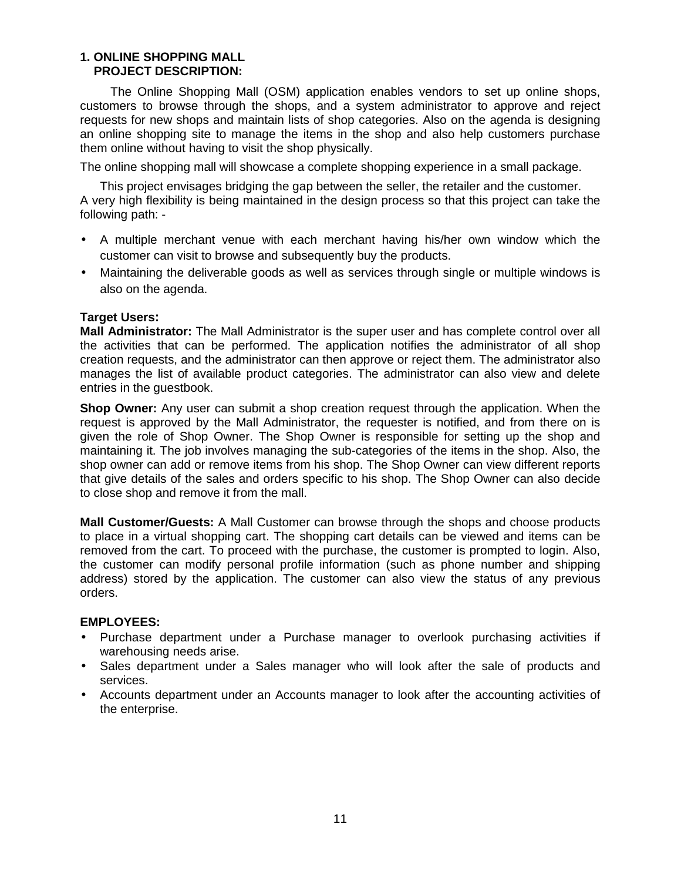#### **1. ONLINE SHOPPING MALL PROJECT DESCRIPTION:**

The Online Shopping Mall (OSM) application enables vendors to set up online shops, customers to browse through the shops, and a system administrator to approve and reject requests for new shops and maintain lists of shop categories. Also on the agenda is designing an online shopping site to manage the items in the shop and also help customers purchase them online without having to visit the shop physically.

The online shopping mall will showcase a complete shopping experience in a small package.

This project envisages bridging the gap between the seller, the retailer and the customer. A very high flexibility is being maintained in the design process so that this project can take the following path: -

- A multiple merchant venue with each merchant having his/her own window which the customer can visit to browse and subsequently buy the products.
- Maintaining the deliverable goods as well as services through single or multiple windows is also on the agenda.

### **Target Users:**

**Mall Administrator:** The Mall Administrator is the super user and has complete control over all the activities that can be performed. The application notifies the administrator of all shop creation requests, and the administrator can then approve or reject them. The administrator also manages the list of available product categories. The administrator can also view and delete entries in the guestbook.

**Shop Owner:** Any user can submit a shop creation request through the application. When the request is approved by the Mall Administrator, the requester is notified, and from there on is given the role of Shop Owner. The Shop Owner is responsible for setting up the shop and maintaining it. The job involves managing the sub-categories of the items in the shop. Also, the shop owner can add or remove items from his shop. The Shop Owner can view different reports that give details of the sales and orders specific to his shop. The Shop Owner can also decide to close shop and remove it from the mall.

**Mall Customer/Guests:** A Mall Customer can browse through the shops and choose products to place in a virtual shopping cart. The shopping cart details can be viewed and items can be removed from the cart. To proceed with the purchase, the customer is prompted to login. Also, the customer can modify personal profile information (such as phone number and shipping address) stored by the application. The customer can also view the status of any previous orders.

### **EMPLOYEES:**

- Purchase department under a Purchase manager to overlook purchasing activities if warehousing needs arise.
- Sales department under a Sales manager who will look after the sale of products and services.
- Accounts department under an Accounts manager to look after the accounting activities of the enterprise.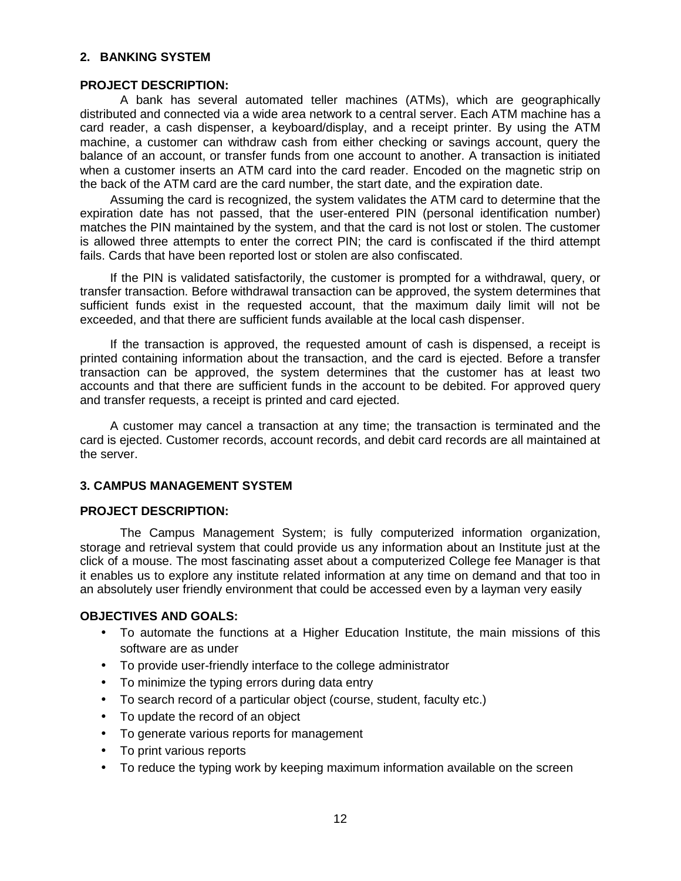#### **2. BANKING SYSTEM**

#### **PROJECT DESCRIPTION:**

A bank has several automated teller machines (ATMs), which are geographically distributed and connected via a wide area network to a central server. Each ATM machine has a card reader, a cash dispenser, a keyboard/display, and a receipt printer. By using the ATM machine, a customer can withdraw cash from either checking or savings account, query the balance of an account, or transfer funds from one account to another. A transaction is initiated when a customer inserts an ATM card into the card reader. Encoded on the magnetic strip on the back of the ATM card are the card number, the start date, and the expiration date.

Assuming the card is recognized, the system validates the ATM card to determine that the expiration date has not passed, that the user-entered PIN (personal identification number) matches the PIN maintained by the system, and that the card is not lost or stolen. The customer is allowed three attempts to enter the correct PIN; the card is confiscated if the third attempt fails. Cards that have been reported lost or stolen are also confiscated.

If the PIN is validated satisfactorily, the customer is prompted for a withdrawal, query, or transfer transaction. Before withdrawal transaction can be approved, the system determines that sufficient funds exist in the requested account, that the maximum daily limit will not be exceeded, and that there are sufficient funds available at the local cash dispenser.

If the transaction is approved, the requested amount of cash is dispensed, a receipt is printed containing information about the transaction, and the card is ejected. Before a transfer transaction can be approved, the system determines that the customer has at least two accounts and that there are sufficient funds in the account to be debited. For approved query and transfer requests, a receipt is printed and card ejected.

A customer may cancel a transaction at any time; the transaction is terminated and the card is ejected. Customer records, account records, and debit card records are all maintained at the server.

#### **3. CAMPUS MANAGEMENT SYSTEM**

#### **PROJECT DESCRIPTION:**

The Campus Management System; is fully computerized information organization, storage and retrieval system that could provide us any information about an Institute just at the click of a mouse. The most fascinating asset about a computerized College fee Manager is that it enables us to explore any institute related information at any time on demand and that too in an absolutely user friendly environment that could be accessed even by a layman very easily

#### **OBJECTIVES AND GOALS:**

- To automate the functions at a Higher Education Institute, the main missions of this software are as under
- To provide user-friendly interface to the college administrator
- To minimize the typing errors during data entry
- To search record of a particular object (course, student, faculty etc.)
- To update the record of an object
- To generate various reports for management
- To print various reports
- To reduce the typing work by keeping maximum information available on the screen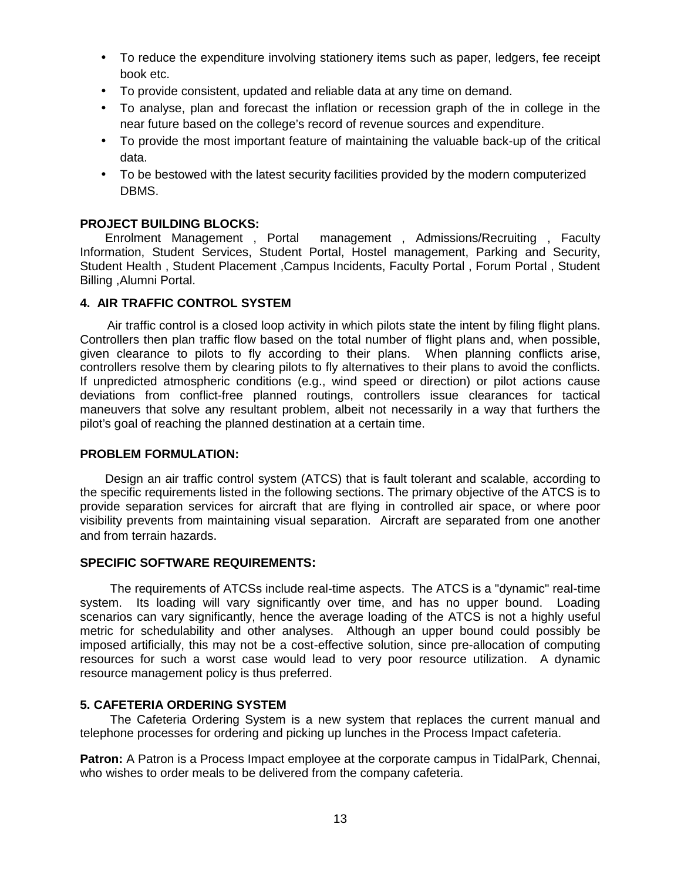- To reduce the expenditure involving stationery items such as paper, ledgers, fee receipt book etc.
- To provide consistent, updated and reliable data at any time on demand.
- To analyse, plan and forecast the inflation or recession graph of the in college in the near future based on the college's record of revenue sources and expenditure.
- To provide the most important feature of maintaining the valuable back-up of the critical data.
- To be bestowed with the latest security facilities provided by the modern computerized DBMS.

**PROJECT BUILDING BLOCKS:**<br>Enrolment Management, Portal management , Admissions/Recruiting , Faculty Information, Student Services, Student Portal, Hostel management, Parking and Security, Student Health , Student Placement ,Campus Incidents, Faculty Portal , Forum Portal , Student Billing ,Alumni Portal.

#### **4. AIR TRAFFIC CONTROL SYSTEM**

Air traffic control is a closed loop activity in which pilots state the intent by filing flight plans. Controllers then plan traffic flow based on the total number of flight plans and, when possible, given clearance to pilots to fly according to their plans. When planning conflicts arise, controllers resolve them by clearing pilots to fly alternatives to their plans to avoid the conflicts. If unpredicted atmospheric conditions (e.g., wind speed or direction) or pilot actions cause deviations from conflict-free planned routings, controllers issue clearances for tactical maneuvers that solve any resultant problem, albeit not necessarily in a way that furthers the pilot's goal of reaching the planned destination at a certain time.

#### **PROBLEM FORMULATION:**

Design an air traffic control system (ATCS) that is fault tolerant and scalable, according to the specific requirements listed in the following sections. The primary objective of the ATCS is to provide separation services for aircraft that are flying in controlled air space, or where poor visibility prevents from maintaining visual separation. Aircraft are separated from one another and from terrain hazards.

#### **SPECIFIC SOFTWARE REQUIREMENTS:**

The requirements of ATCSs include real-time aspects. The ATCS is a "dynamic" real-time system. Its loading will vary significantly over time, and has no upper bound. Loading scenarios can vary significantly, hence the average loading of the ATCS is not a highly useful metric for schedulability and other analyses. Although an upper bound could possibly be imposed artificially, this may not be a cost-effective solution, since pre-allocation of computing resources for such a worst case would lead to very poor resource utilization. A dynamic resource management policy is thus preferred.

### **5. CAFETERIA ORDERING SYSTEM**

The Cafeteria Ordering System is a new system that replaces the current manual and telephone processes for ordering and picking up lunches in the Process Impact cafeteria.

**Patron:** A Patron is a Process Impact employee at the corporate campus in TidalPark, Chennai, who wishes to order meals to be delivered from the company cafeteria.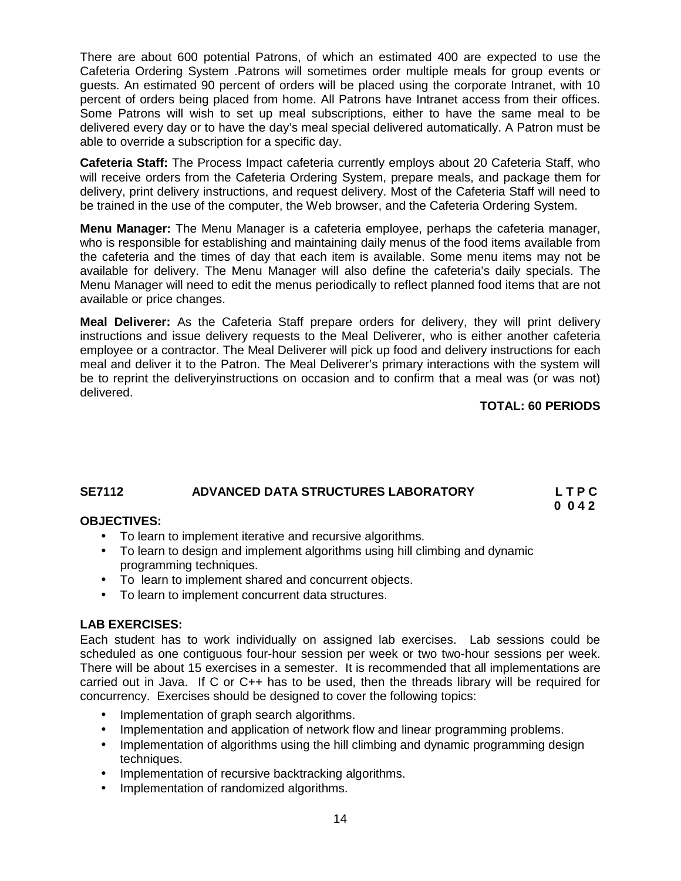There are about 600 potential Patrons, of which an estimated 400 are expected to use the Cafeteria Ordering System .Patrons will sometimes order multiple meals for group events or guests. An estimated 90 percent of orders will be placed using the corporate Intranet, with 10 percent of orders being placed from home. All Patrons have Intranet access from their offices. Some Patrons will wish to set up meal subscriptions, either to have the same meal to be delivered every day or to have the day's meal special delivered automatically. A Patron must be able to override a subscription for a specific day.

**Cafeteria Staff:** The Process Impact cafeteria currently employs about 20 Cafeteria Staff, who will receive orders from the Cafeteria Ordering System, prepare meals, and package them for delivery, print delivery instructions, and request delivery. Most of the Cafeteria Staff will need to be trained in the use of the computer, the Web browser, and the Cafeteria Ordering System.

**Menu Manager:** The Menu Manager is a cafeteria employee, perhaps the cafeteria manager, who is responsible for establishing and maintaining daily menus of the food items available from the cafeteria and the times of day that each item is available. Some menu items may not be available for delivery. The Menu Manager will also define the cafeteria's daily specials. The Menu Manager will need to edit the menus periodically to reflect planned food items that are not available or price changes.

**Meal Deliverer:** As the Cafeteria Staff prepare orders for delivery, they will print delivery instructions and issue delivery requests to the Meal Deliverer, who is either another cafeteria employee or a contractor. The Meal Deliverer will pick up food and delivery instructions for each meal and deliver it to the Patron. The Meal Deliverer's primary interactions with the system will be to reprint the deliveryinstructions on occasion and to confirm that a meal was (or was not) delivered.

# **TOTAL: 60 PERIODS**

**0 0 4 2**

# **SE7112 ADVANCED DATA STRUCTURES LABORATORY L T P C**

### **OBJECTIVES:**

- To learn to implement iterative and recursive algorithms.
- To learn to design and implement algorithms using hill climbing and dynamic programming techniques.
- To learn to implement shared and concurrent objects.
- To learn to implement concurrent data structures.

### **LAB EXERCISES:**

Each student has to work individually on assigned lab exercises. Lab sessions could be scheduled as one contiguous four-hour session per week or two two-hour sessions per week. There will be about 15 exercises in a semester. It is recommended that all implementations are carried out in Java. If C or C++ has to be used, then the threads library will be required for concurrency. Exercises should be designed to cover the following topics:

- Implementation of graph search algorithms.
- Implementation and application of network flow and linear programming problems.
- Implementation of algorithms using the hill climbing and dynamic programming design techniques.
- Implementation of recursive backtracking algorithms.
- Implementation of randomized algorithms.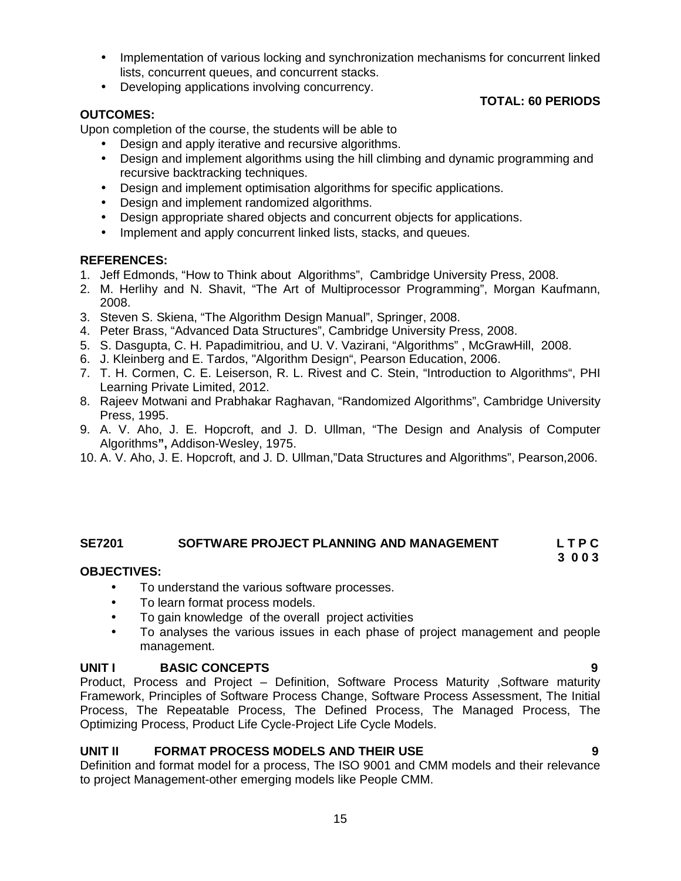- Implementation of various locking and synchronization mechanisms for concurrent linked lists, concurrent queues, and concurrent stacks.
- Developing applications involving concurrency.

# **OUTCOMES:**

Upon completion of the course, the students will be able to

- Design and apply iterative and recursive algorithms.
- Design and implement algorithms using the hill climbing and dynamic programming and recursive backtracking techniques.
- Design and implement optimisation algorithms for specific applications.
- Design and implement randomized algorithms.
- Design appropriate shared objects and concurrent objects for applications.
- Implement and apply concurrent linked lists, stacks, and queues.

### **REFERENCES:**

- 1. Jeff Edmonds, "How to Think about Algorithms", Cambridge University Press, 2008.
- 2. M. Herlihy and N. Shavit, "The Art of Multiprocessor Programming", Morgan Kaufmann, 2008.
- 3. Steven S. Skiena, "The Algorithm Design Manual", Springer, 2008.
- 4. Peter Brass, "Advanced Data Structures", Cambridge University Press, 2008.
- 5. S. Dasgupta, C. H. Papadimitriou, and U. V. Vazirani, "Algorithms" , McGrawHill, 2008.
- 6. J. Kleinberg and E. Tardos, "Algorithm Design", Pearson Education, 2006.
- 7. T. H. Cormen, C. E. Leiserson, R. L. Rivest and C. Stein, "Introduction to Algorithms", PHI Learning Private Limited, 2012.
- 8. Rajeev Motwani and Prabhakar Raghavan, "Randomized Algorithms", Cambridge University Press, 1995.
- 9. A. V. Aho, J. E. Hopcroft, and J. D. Ullman, "The Design and Analysis of Computer Algorithms**",** Addison-Wesley, 1975.
- 10. A. V. Aho, J. E. Hopcroft, and J. D. Ullman,"Data Structures and Algorithms", Pearson,2006.

# **SE7201 SOFTWARE PROJECT PLANNING AND MANAGEMENT L T P C**

**3 0 0 3**

### **OBJECTIVES:**

- To understand the various software processes.
- To learn format process models.
- To gain knowledge of the overall project activities
- To analyses the various issues in each phase of project management and people management.

### **UNIT I BASIC CONCEPTS 9**

Product, Process and Project – Definition, Software Process Maturity ,Software maturity Framework, Principles of Software Process Change, Software Process Assessment, The Initial Process, The Repeatable Process, The Defined Process, The Managed Process, The Optimizing Process, Product Life Cycle-Project Life Cycle Models.

# **UNIT II FORMAT PROCESS MODELS AND THEIR USE 9**

Definition and format model for a process, The ISO 9001 and CMM models and their relevance to project Management-other emerging models like People CMM.

# **TOTAL: 60 PERIODS**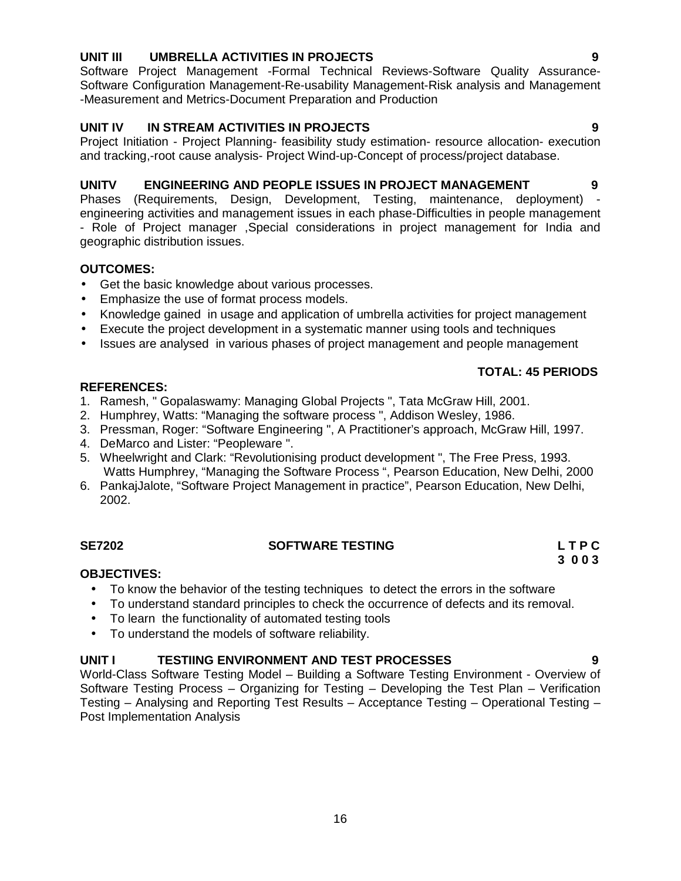### **UNIT III UMBRELLA ACTIVITIES IN PROJECTS 9**

Software Project Management -Formal Technical Reviews-Software Quality Assurance- Software Configuration Management-Re-usability Management-Risk analysis and Management -Measurement and Metrics-Document Preparation and Production

### **UNIT IV IN STREAM ACTIVITIES IN PROJECTS 9**

Project Initiation - Project Planning- feasibility study estimation- resource allocation- execution and tracking,-root cause analysis- Project Wind-up-Concept of process/project database.

### **UNITV ENGINEERING AND PEOPLE ISSUES IN PROJECT MANAGEMENT 9**

Phases (Requirements, Design, Development, Testing, maintenance, deployment) engineering activities and management issues in each phase-Difficulties in people management - Role of Project manager ,Special considerations in project management for India and geographic distribution issues.

#### **OUTCOMES:**

- Get the basic knowledge about various processes.
- Emphasize the use of format process models.
- Knowledge gained in usage and application of umbrella activities for project management
- Execute the project development in a systematic manner using tools and techniques
- Issues are analysed in various phases of project management and people management

#### **TOTAL: 45 PERIODS**

#### **REFERENCES:**

- 1. Ramesh, " Gopalaswamy: Managing Global Projects ", Tata McGraw Hill, 2001.
- 2. Humphrey, Watts: "Managing the software process ", Addison Wesley, 1986.
- 3. Pressman, Roger: "Software Engineering ", A Practitioner's approach, McGraw Hill, 1997.
- 4. DeMarco and Lister: "Peopleware ".
- 5. Wheelwright and Clark: "Revolutionising product development ", The Free Press, 1993. Watts Humphrey, "Managing the Software Process ", Pearson Education, New Delhi, 2000
- 6. PankajJalote, "Software Project Management in practice", Pearson Education, New Delhi, 2002.

#### **SE7202 SOFTWARE TESTING L T P C**

# **3 0 0 3**

### **OBJECTIVES:**

- To know the behavior of the testing techniques to detect the errors in the software
- To understand standard principles to check the occurrence of defects and its removal.
- To learn the functionality of automated testing tools
- To understand the models of software reliability.

#### **UNIT I TESTIING ENVIRONMENT AND TEST PROCESSES 9**

World-Class Software Testing Model – Building a Software Testing Environment - Overview of Software Testing Process – Organizing for Testing – Developing the Test Plan – Verification Testing – Analysing and Reporting Test Results – Acceptance Testing – Operational Testing – Post Implementation Analysis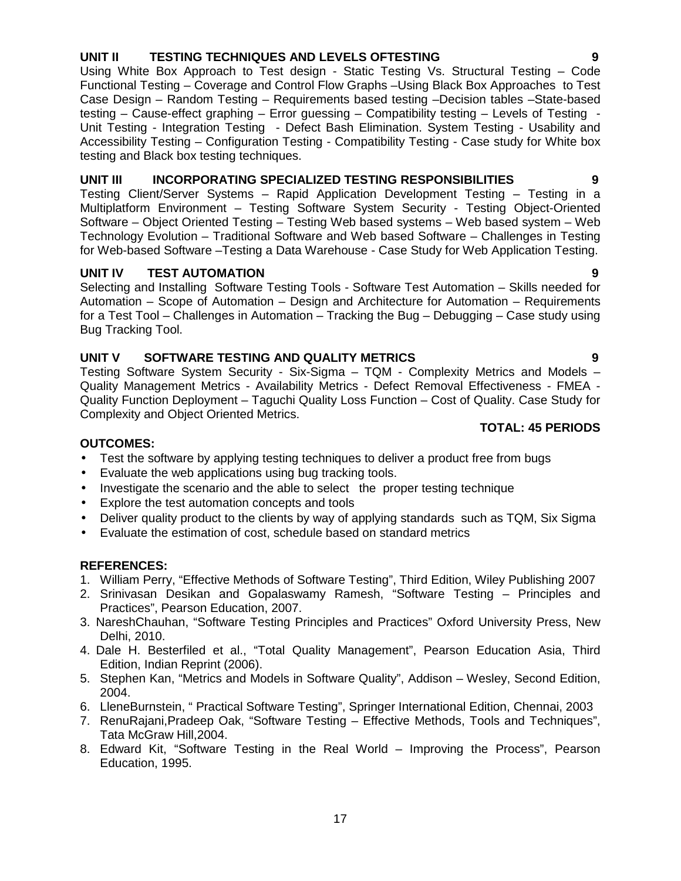# **UNIT II TESTING TECHNIQUES AND LEVELS OFTESTING 9**

Using White Box Approach to Test design - Static Testing Vs. Structural Testing – Code Functional Testing – Coverage and Control Flow Graphs –Using Black Box Approaches to Test Case Design – Random Testing – Requirements based testing –Decision tables –State-based testing – Cause-effect graphing – Error guessing – Compatibility testing – Levels of Testing - Unit Testing - Integration Testing - Defect Bash Elimination. System Testing - Usability and Accessibility Testing – Configuration Testing - Compatibility Testing - Case study for White box testing and Black box testing techniques.

#### **UNIT III INCORPORATING SPECIALIZED TESTING RESPONSIBILITIES 9**

Testing Client/Server Systems – Rapid Application Development Testing – Testing in a Multiplatform Environment – Testing Software System Security - Testing Object-Oriented Software – Object Oriented Testing – Testing Web based systems – Web based system – Web Technology Evolution – Traditional Software and Web based Software – Challenges in Testing for Web-based Software –Testing a Data Warehouse - Case Study for Web Application Testing.

### **UNIT IV TEST AUTOMATION 9**

Selecting and Installing Software Testing Tools - Software Test Automation – Skills needed for Automation – Scope of Automation – Design and Architecture for Automation – Requirements for a Test Tool – Challenges in Automation – Tracking the Bug – Debugging – Case study using Bug Tracking Tool.

### **UNIT V SOFTWARE TESTING AND QUALITY METRICS 9**

Testing Software System Security - Six-Sigma – TQM - Complexity Metrics and Models – Quality Management Metrics - Availability Metrics - Defect Removal Effectiveness - FMEA - Quality Function Deployment – Taguchi Quality Loss Function – Cost of Quality. Case Study for Complexity and Object Oriented Metrics.

#### **TOTAL: 45 PERIODS**

# **OUTCOMES:**

- Test the software by applying testing techniques to deliver a product free from bugs
- Evaluate the web applications using bug tracking tools.
- Investigate the scenario and the able to select the proper testing technique
- Explore the test automation concepts and tools
- Deliver quality product to the clients by way of applying standards such as TQM, Six Sigma
- Evaluate the estimation of cost, schedule based on standard metrics

### **REFERENCES:**

- 1. William Perry, "Effective Methods of Software Testing", Third Edition, Wiley Publishing 2007
- 2. Srinivasan Desikan and Gopalaswamy Ramesh, "Software Testing Principles and Practices", Pearson Education, 2007.
- 3. NareshChauhan, "Software Testing Principles and Practices" Oxford University Press, New Delhi, 2010.
- 4. Dale H. Besterfiled et al., "Total Quality Management", Pearson Education Asia, Third Edition, Indian Reprint (2006).
- 5. Stephen Kan, "Metrics and Models in Software Quality", Addison Wesley, Second Edition, 2004.
- 6. LleneBurnstein, " Practical Software Testing", Springer International Edition, Chennai, 2003
- 7. RenuRajani,Pradeep Oak, "Software Testing Effective Methods, Tools and Techniques", Tata McGraw Hill,2004.
- 8. Edward Kit, "Software Testing in the Real World Improving the Process", Pearson Education, 1995.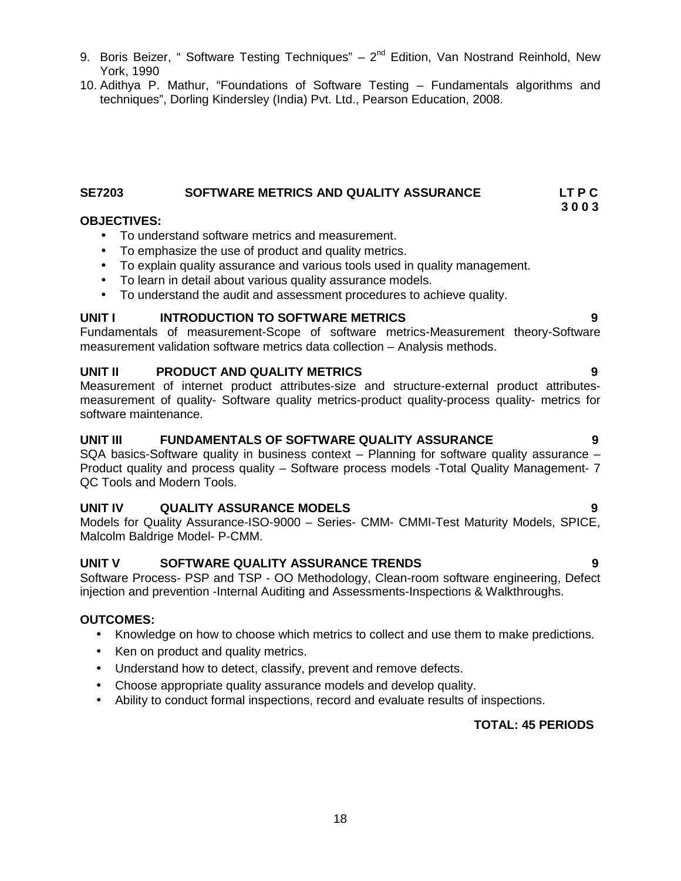- 9. Boris Beizer, " Software Testing Techniques" 2<sup>nd</sup> Edition, Van Nostrand Reinhold, New York, 1990
- 10. Adithya P. Mathur, "Foundations of Software Testing Fundamentals algorithms and techniques", Dorling Kindersley (India) Pvt. Ltd., Pearson Education, 2008.

# **SE7203 SOFTWARE METRICS AND QUALITY ASSURANCE LT P C**

# **OBJECTIVES:**

- To understand software metrics and measurement.
- To emphasize the use of product and quality metrics.
- To explain quality assurance and various tools used in quality management.
- To learn in detail about various quality assurance models.
- To understand the audit and assessment procedures to achieve quality.

### **UNIT I INTRODUCTION TO SOFTWARE METRICS 9**

Fundamentals of measurement-Scope of software metrics-Measurement theory-Software measurement validation software metrics data collection – Analysis methods.

#### **UNIT II PRODUCT AND QUALITY METRICS 9**

Measurement of internet product attributes-size and structure-external product attributes measurement of quality- Software quality metrics-product quality-process quality- metrics for software maintenance.

#### **UNIT III FUNDAMENTALS OF SOFTWARE QUALITY ASSURANCE 9**

SQA basics-Software quality in business context – Planning for software quality assurance – Product quality and process quality – Software process models -Total Quality Management- 7 QC Tools and Modern Tools.

# **UNIT IV QUALITY ASSURANCE MODELS 9**

Models for Quality Assurance-ISO-9000 – Series- CMM- CMMI-Test Maturity Models, SPICE, Malcolm Baldrige Model- P-CMM.

### **UNIT V SOFTWARE QUALITY ASSURANCE TRENDS 9**

Software Process- PSP and TSP - OO Methodology, Clean-room software engineering, Defect injection and prevention -Internal Auditing and Assessments-Inspections & Walkthroughs.

### **OUTCOMES:**

- Knowledge on how to choose which metrics to collect and use them to make predictions.
- Ken on product and quality metrics.
- Understand how to detect, classify, prevent and remove defects.
- Choose appropriate quality assurance models and develop quality.
- Ability to conduct formal inspections, record and evaluate results of inspections.

### **TOTAL: 45 PERIODS**

**3 0 0 3**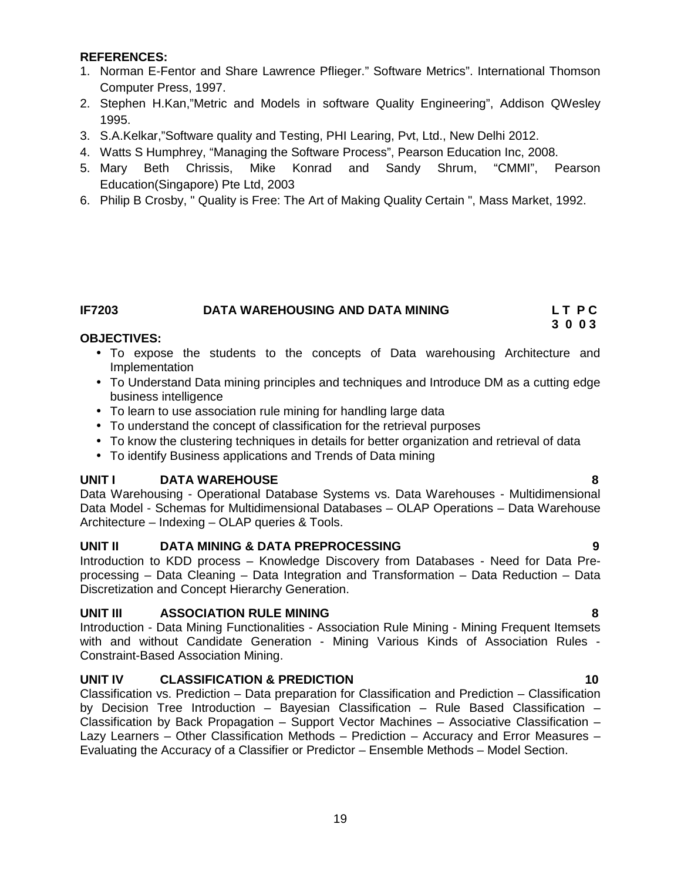#### **REFERENCES:**

- 1. Norman E-Fentor and Share Lawrence Pflieger." Software Metrics". International Thomson Computer Press, 1997.
- 2. Stephen H.Kan,"Metric and Models in software Quality Engineering", Addison QWesley 1995.
- 3. S.A.Kelkar,"Software quality and Testing, PHI Learing, Pvt, Ltd., New Delhi 2012.
- 4. Watts S Humphrey, "Managing the Software Process", Pearson Education Inc, 2008.
- 5. Mary Beth Chrissis, Mike Konrad and Sandy Shrum, "CMMI", Pearson Education(Singapore) Pte Ltd, 2003
- 6. Philip B Crosby, " Quality is Free: The Art of Making Quality Certain ", Mass Market, 1992.

#### **IF7203 DATA WAREHOUSING AND DATA MINING L T P C 3 0 0 3**

#### **OBJECTIVES:**

- To expose the students to the concepts of Data warehousing Architecture and Implementation
- To Understand Data mining principles and techniques and Introduce DM as a cutting edge business intelligence
- To learn to use association rule mining for handling large data
- To understand the concept of classification for the retrieval purposes
- To know the clustering techniques in details for better organization and retrieval of data
- To identify Business applications and Trends of Data mining

# **UNIT I DATA WAREHOUSE 8**

Data Warehousing - Operational Database Systems vs. Data Warehouses - Multidimensional Data Model - Schemas for Multidimensional Databases – OLAP Operations – Data Warehouse Architecture – Indexing – OLAP queries & Tools.

#### **UNIT II DATA MINING & DATA PREPROCESSING 9**

Introduction to KDD process – Knowledge Discovery from Databases - Need for Data Pre processing – Data Cleaning – Data Integration and Transformation – Data Reduction – Data Discretization and Concept Hierarchy Generation.

#### **UNIT III ASSOCIATION RULE MINING 8**

Introduction - Data Mining Functionalities - Association Rule Mining - Mining Frequent Itemsets with and without Candidate Generation - Mining Various Kinds of Association Rules - Constraint-Based Association Mining.

### **UNIT IV CLASSIFICATION & PREDICTION 10**

Classification vs. Prediction – Data preparation for Classification and Prediction – Classification by Decision Tree Introduction – Bayesian Classification – Rule Based Classification – Classification by Back Propagation – Support Vector Machines – Associative Classification – Lazy Learners – Other Classification Methods – Prediction – Accuracy and Error Measures – Evaluating the Accuracy of a Classifier or Predictor – Ensemble Methods – Model Section.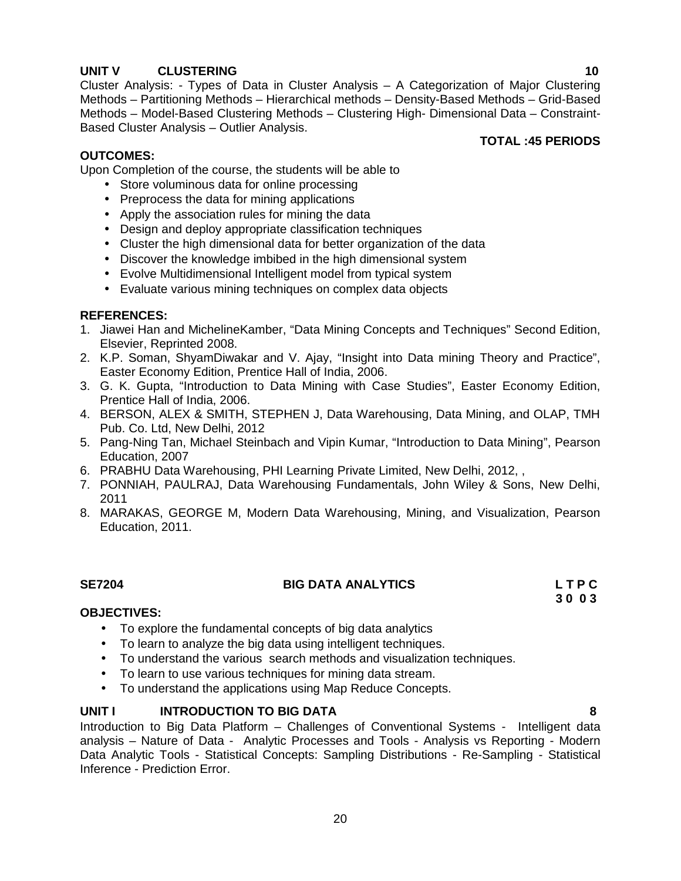# **UNIT V CLUSTERING 10**

Cluster Analysis: - Types of Data in Cluster Analysis – A Categorization of Major Clustering Methods – Partitioning Methods – Hierarchical methods – Density-Based Methods – Grid-Based Methods – Model-Based Clustering Methods – Clustering High- Dimensional Data – Constraint- Based Cluster Analysis – Outlier Analysis.

#### **OUTCOMES:**

Upon Completion of the course, the students will be able to

- Store voluminous data for online processing
- Preprocess the data for mining applications
- Apply the association rules for mining the data
- Design and deploy appropriate classification techniques
- Cluster the high dimensional data for better organization of the data
- Discover the knowledge imbibed in the high dimensional system
- Evolve Multidimensional Intelligent model from typical system
- Evaluate various mining techniques on complex data objects

### **REFERENCES:**

- 1. Jiawei Han and MichelineKamber, "Data Mining Concepts and Techniques" Second Edition, Elsevier, Reprinted 2008.
- 2. K.P. Soman, ShyamDiwakar and V. Ajay, "Insight into Data mining Theory and Practice", Easter Economy Edition, Prentice Hall of India, 2006.
- 3. G. K. Gupta, "Introduction to Data Mining with Case Studies", Easter Economy Edition, Prentice Hall of India, 2006.
- 4. BERSON, ALEX & SMITH, STEPHEN J, Data Warehousing, Data Mining, and OLAP, TMH Pub. Co. Ltd, New Delhi, 2012
- 5. Pang-Ning Tan, Michael Steinbach and Vipin Kumar, "Introduction to Data Mining", Pearson Education, 2007
- 6. PRABHU Data Warehousing, PHI Learning Private Limited, New Delhi, 2012, ,
- 7. PONNIAH, PAULRAJ, Data Warehousing Fundamentals, John Wiley & Sons, New Delhi, 2011
- 8. MARAKAS, GEORGE M, Modern Data Warehousing, Mining, and Visualization, Pearson Education, 2011.

### **SE7204 BIG DATA ANALYTICS L T P C**

# **3 0 0 3**

### **OBJECTIVES:**

- To explore the fundamental concepts of big data analytics
- To learn to analyze the big data using intelligent techniques.
- To understand the various search methods and visualization techniques.
- To learn to use various techniques for mining data stream.
- To understand the applications using Map Reduce Concepts.

# **UNIT I INTRODUCTION TO BIG DATA 8**

Introduction to Big Data Platform – Challenges of Conventional Systems - Intelligent data analysis – Nature of Data - Analytic Processes and Tools - Analysis vs Reporting - Modern Data Analytic Tools - Statistical Concepts: Sampling Distributions - Re-Sampling - Statistical Inference - Prediction Error.

# **TOTAL :45 PERIODS**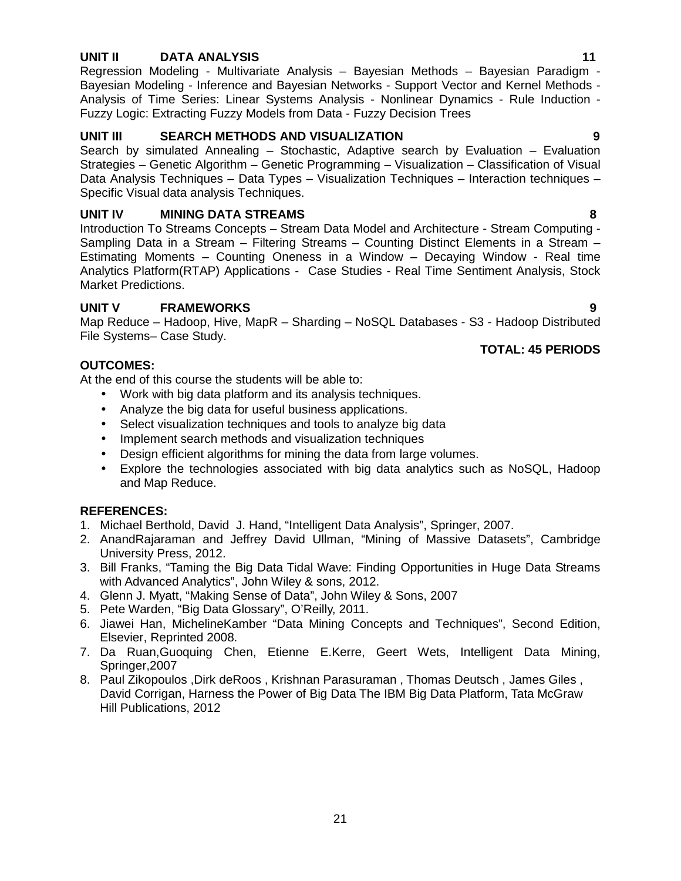# **UNIT II DATA ANALYSIS 11**

Regression Modeling - Multivariate Analysis – Bayesian Methods – Bayesian Paradigm - Bayesian Modeling - Inference and Bayesian Networks - Support Vector and Kernel Methods - Analysis of Time Series: Linear Systems Analysis - Nonlinear Dynamics - Rule Induction - Fuzzy Logic: Extracting Fuzzy Models from Data - Fuzzy Decision Trees

# **UNIT III SEARCH METHODS AND VISUALIZATION 9**

Search by simulated Annealing – Stochastic, Adaptive search by Evaluation – Evaluation Strategies – Genetic Algorithm – Genetic Programming – Visualization – Classification of Visual Data Analysis Techniques – Data Types – Visualization Techniques – Interaction techniques – Specific Visual data analysis Techniques.

# **UNIT IV MINING DATA STREAMS 8**

Introduction To Streams Concepts – Stream Data Model and Architecture - Stream Computing - Sampling Data in a Stream – Filtering Streams – Counting Distinct Elements in a Stream – Estimating Moments – Counting Oneness in a Window – Decaying Window - Real time Analytics Platform(RTAP) Applications - Case Studies - Real Time Sentiment Analysis, Stock Market Predictions.

# **UNIT V FRAMEWORKS 9**

Map Reduce – Hadoop, Hive, MapR – Sharding – NoSQL Databases - S3 - Hadoop Distributed File Systems– Case Study. **TOTAL: 45 PERIODS**

### **OUTCOMES:**

At the end of this course the students will be able to:

- Work with big data platform and its analysis techniques.
- Analyze the big data for useful business applications.
- Select visualization techniques and tools to analyze big data
- Implement search methods and visualization techniques
- Design efficient algorithms for mining the data from large volumes.
- Explore the technologies associated with big data analytics such as NoSQL, Hadoop and Map Reduce.

### **REFERENCES:**

- 1. Michael Berthold, David J. Hand, "Intelligent Data Analysis", Springer, 2007.
- 2. AnandRajaraman and Jeffrey David Ullman, "Mining of Massive Datasets", Cambridge University Press, 2012.
- 3. Bill Franks, "Taming the Big Data Tidal Wave: Finding Opportunities in Huge Data Streams with Advanced Analytics", John Wiley & sons, 2012.
- 4. Glenn J. Myatt, "Making Sense of Data", John Wiley & Sons, 2007
- 5. Pete Warden, "Big Data Glossary", O'Reilly, 2011.
- 6. Jiawei Han, MichelineKamber "Data Mining Concepts and Techniques", Second Edition, Elsevier, Reprinted 2008.
- 7. Da Ruan,Guoquing Chen, Etienne E.Kerre, Geert Wets, Intelligent Data Mining, Springer,2007
- 8. Paul Zikopoulos ,Dirk deRoos , Krishnan Parasuraman , Thomas Deutsch , James Giles , David Corrigan, Harness the Power of Big Data The IBM Big Data Platform, Tata McGraw Hill Publications, 2012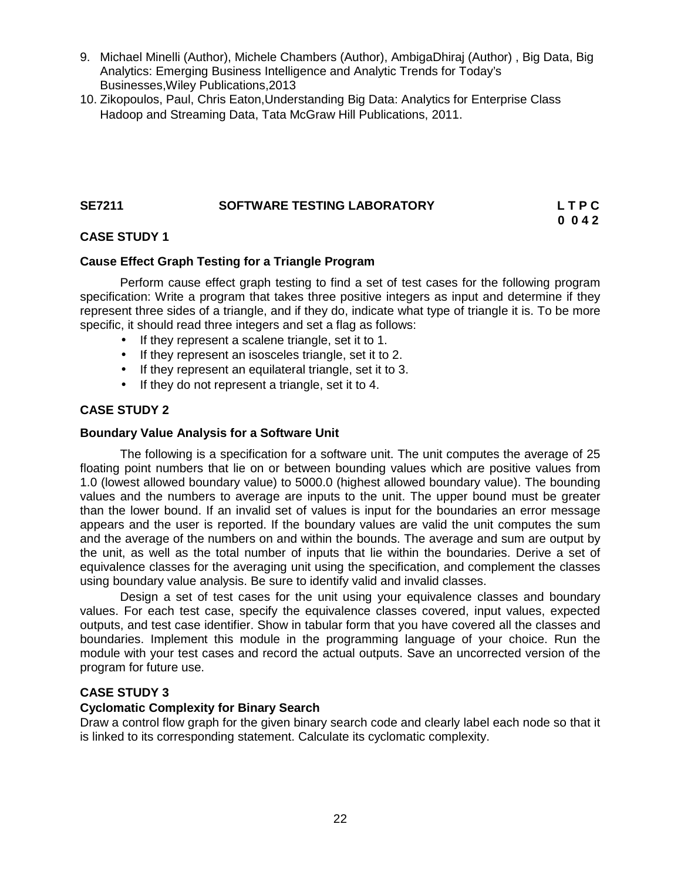- 9. Michael Minelli (Author), Michele Chambers (Author), AmbigaDhiraj (Author) , Big Data, Big Analytics: Emerging Business Intelligence and Analytic Trends for Today's Businesses,Wiley Publications,2013
- 10. Zikopoulos, Paul, Chris Eaton,Understanding Big Data: Analytics for Enterprise Class Hadoop and Streaming Data, Tata McGraw Hill Publications, 2011.

# **SE7211 SOFTWARE TESTING LABORATORY L T P C**

# **0 0 4 2**

# **CASE STUDY 1**

### **Cause Effect Graph Testing for a Triangle Program**

Perform cause effect graph testing to find a set of test cases for the following program specification: Write a program that takes three positive integers as input and determine if they represent three sides of a triangle, and if they do, indicate what type of triangle it is. To be more specific, it should read three integers and set a flag as follows:

- If they represent a scalene triangle, set it to 1.
- If they represent an isosceles triangle, set it to 2.
- If they represent an equilateral triangle, set it to 3.
- $\bullet$  If they do not represent a triangle, set it to 4.

# **CASE STUDY 2**

#### **Boundary Value Analysis for a Software Unit**

The following is a specification for a software unit. The unit computes the average of 25 floating point numbers that lie on or between bounding values which are positive values from 1.0 (lowest allowed boundary value) to 5000.0 (highest allowed boundary value). The bounding values and the numbers to average are inputs to the unit. The upper bound must be greater than the lower bound. If an invalid set of values is input for the boundaries an error message appears and the user is reported. If the boundary values are valid the unit computes the sum and the average of the numbers on and within the bounds. The average and sum are output by the unit, as well as the total number of inputs that lie within the boundaries. Derive a set of equivalence classes for the averaging unit using the specification, and complement the classes using boundary value analysis. Be sure to identify valid and invalid classes.

Design a set of test cases for the unit using your equivalence classes and boundary values. For each test case, specify the equivalence classes covered, input values, expected outputs, and test case identifier. Show in tabular form that you have covered all the classes and boundaries. Implement this module in the programming language of your choice. Run the module with your test cases and record the actual outputs. Save an uncorrected version of the program for future use.

### **CASE STUDY 3**

#### **Cyclomatic Complexity for Binary Search**

Draw a control flow graph for the given binary search code and clearly label each node so that it is linked to its corresponding statement. Calculate its cyclomatic complexity.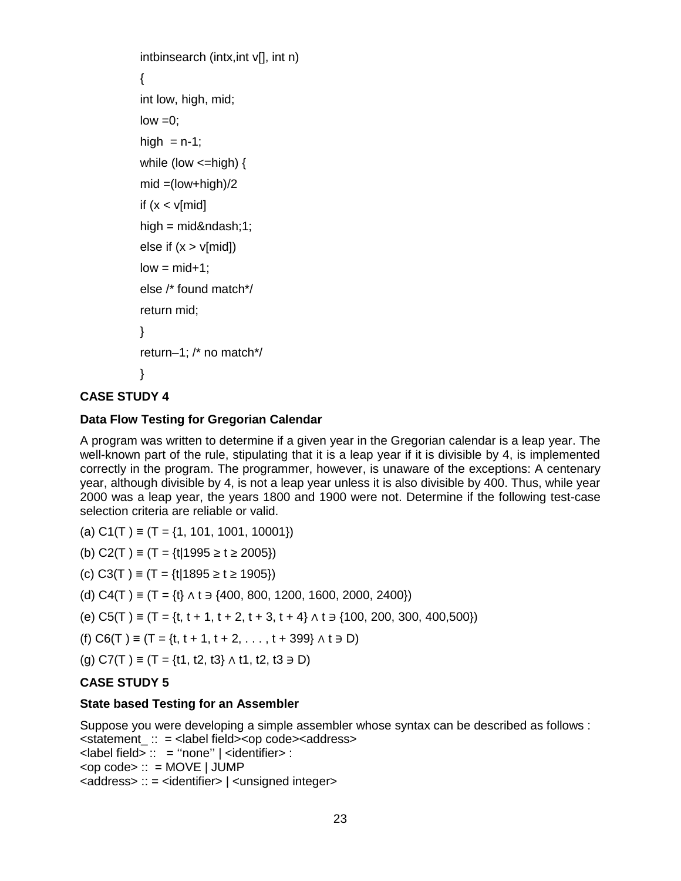```
intbinsearch (intx,int v[], int n)
{
int low, high, mid;
low = 0:
high = n-1;
while (low \le=high) {
mid = (low + high)/2if (x < v[mid]
high = mid\–1;else if (x > v[mid])
low = mid+1;
else /* found match*/
return mid;
}
return–1; /* no match*/
}
```
#### **CASE STUDY 4**

#### **Data Flow Testing for Gregorian Calendar**

A program was written to determine if a given year in the Gregorian calendar is a leap year. The well-known part of the rule, stipulating that it is a leap year if it is divisible by 4, is implemented correctly in the program. The programmer, however, is unaware of the exceptions: A centenary year, although divisible by 4, is not a leap year unless it is also divisible by 400. Thus, while year 2000 was a leap year, the years 1800 and 1900 were not. Determine if the following test-case selection criteria are reliable or valid.

- (a)  $C1(T)$   $(T = \{1, 101, 1001, 10001\})$
- (b) C2(T)  $(T = \{t | 1995 \text{ t } 2005\})$
- (c) C3(T)  $(T = \{t | 1895 \text{ t } 1905\})$
- (d)  $C4(T)$  (T = {t} ∧ t ∋ {400, 800, 1200, 1600, 2000, 2400})
- (e) C5(T)  $(T = {t, t + 1, t + 2, t + 3, t + 4} \wedge t = {100, 200, 300, 400, 500})$
- (f)  $C6(T)$  (T = {t, t + 1, t + 2, . . . , t + 399}  $\wedge$  t  $\exists$  D)
- (g)  $C7(T)$  (T = {t1, t2, t3}  $\wedge$  t1, t2, t3  $\Rightarrow$  D)

#### **CASE STUDY 5**

#### **State based Testing for an Assembler**

Suppose you were developing a simple assembler whose syntax can be described as follows :

<statement\_ :: = <label field><op code><address>

<label field> :: = ''none'' | <identifier> :

```
<op code> :: = MOVE | JUMP
```
 $\alpha$  <address> :: =  $\alpha$  =  $\alpha$  =  $\alpha$  =  $\alpha$  =  $\alpha$  =  $\alpha$  =  $\alpha$  =  $\alpha$  =  $\alpha$  =  $\alpha$  =  $\alpha$  =  $\alpha$  =  $\alpha$  =  $\alpha$  =  $\alpha$  =  $\alpha$  =  $\alpha$  =  $\alpha$  =  $\alpha$  =  $\alpha$  =  $\alpha$  =  $\alpha$  =  $\alpha$  =  $\alpha$  =  $\alpha$  =  $\alpha$  =  $\alpha$  =  $\alpha$  =  $\alpha$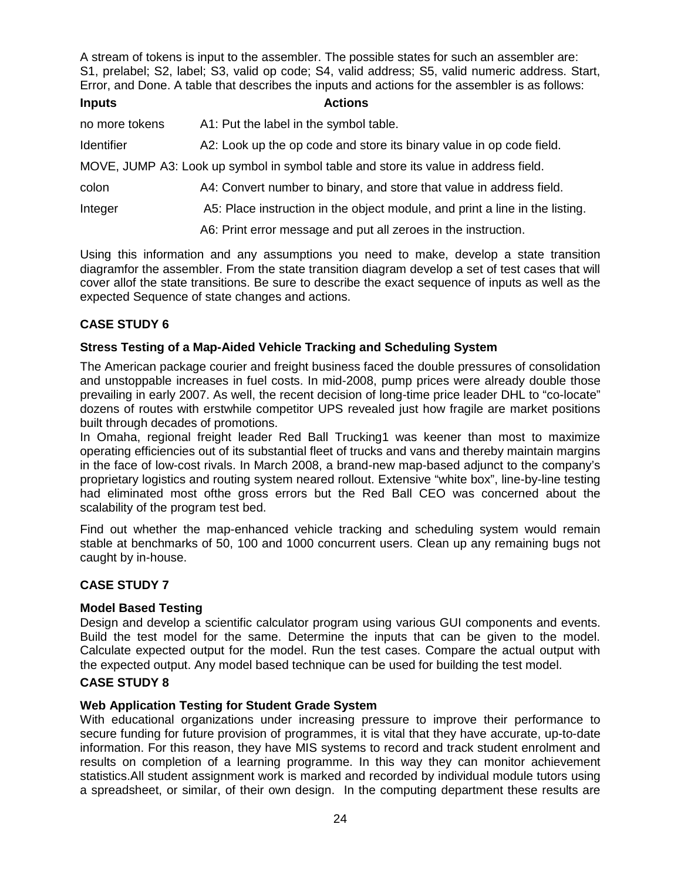A stream of tokens is input to the assembler. The possible states for such an assembler are: S1, prelabel; S2, label; S3, valid op code; S4, valid address; S5, valid numeric address. Start, Error, and Done. A table that describes the inputs and actions for the assembler is as follows:

| <b>Inputs</b>     | <b>Actions</b>                                                                      |
|-------------------|-------------------------------------------------------------------------------------|
| no more tokens    | A1: Put the label in the symbol table.                                              |
| <b>Identifier</b> | A2: Look up the op code and store its binary value in op code field.                |
|                   | MOVE, JUMP A3: Look up symbol in symbol table and store its value in address field. |
| colon             | A4: Convert number to binary, and store that value in address field.                |
| Integer           | A5: Place instruction in the object module, and print a line in the listing.        |
|                   | A6: Print error message and put all zeroes in the instruction.                      |

Using this information and any assumptions you need to make, develop a state transition diagramfor the assembler. From the state transition diagram develop a set of test cases that will cover allof the state transitions. Be sure to describe the exact sequence of inputs as well as the expected Sequence of state changes and actions.

# **CASE STUDY 6**

# **Stress Testing of a Map-Aided Vehicle Tracking and Scheduling System**

The American package courier and freight business faced the double pressures of consolidation and unstoppable increases in fuel costs. In mid-2008, pump prices were already double those prevailing in early 2007. As well, the recent decision of long-time price leader DHL to "co-locate" dozens of routes with erstwhile competitor UPS revealed just how fragile are market positions built through decades of promotions.

In Omaha, regional freight leader Red Ball Trucking1 was keener than most to maximize operating efficiencies out of its substantial fleet of trucks and vans and thereby maintain margins in the face of low-cost rivals. In March 2008, a brand-new map-based adjunct to the company's proprietary logistics and routing system neared rollout. Extensive "white box", line-by-line testing had eliminated most ofthe gross errors but the Red Ball CEO was concerned about the scalability of the program test bed.

Find out whether the map-enhanced vehicle tracking and scheduling system would remain stable at benchmarks of 50, 100 and 1000 concurrent users. Clean up any remaining bugs not caught by in-house.

### **CASE STUDY 7**

### **Model Based Testing**

Design and develop a scientific calculator program using various GUI components and events. Build the test model for the same. Determine the inputs that can be given to the model. Calculate expected output for the model. Run the test cases. Compare the actual output with the expected output. Any model based technique can be used for building the test model.

### **CASE STUDY 8**

### **Web Application Testing for Student Grade System**

With educational organizations under increasing pressure to improve their performance to secure funding for future provision of programmes, it is vital that they have accurate, up-to-date information. For this reason, they have MIS systems to record and track student enrolment and results on completion of a learning programme. In this way they can monitor achievement statistics.All student assignment work is marked and recorded by individual module tutors using a spreadsheet, or similar, of their own design. In the computing department these results are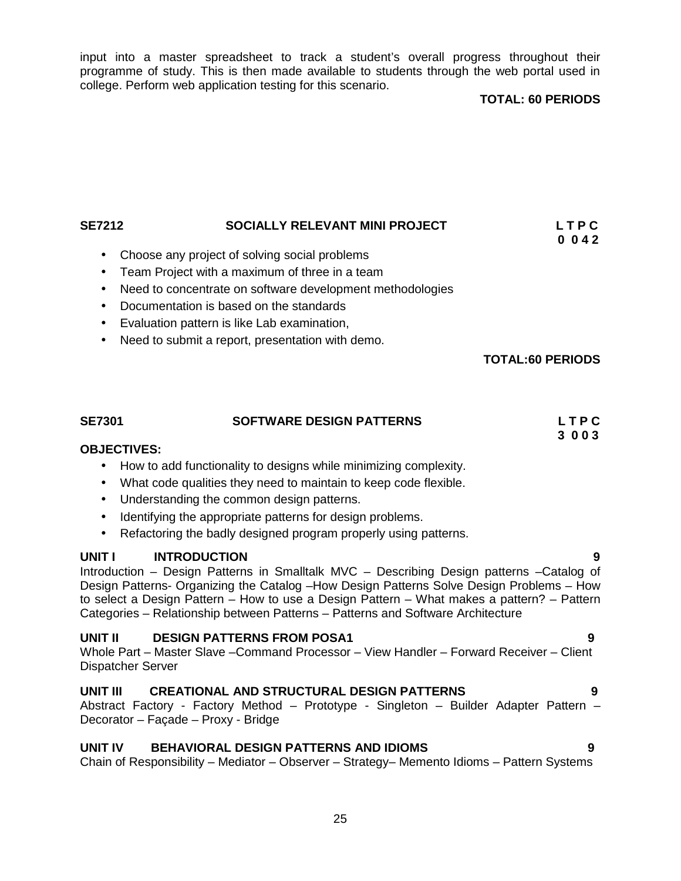input into a master spreadsheet to track a student's overall progress throughout their programme of study. This is then made available to students through the web portal used in college. Perform web application testing for this scenario.

# **TOTAL: 60 PERIODS**

#### **SE7212 SOCIALLY RELEVANT MINI PROJECT L T P C 0 0 4 2**

- Choose any project of solving social problems
- Team Project with a maximum of three in a team
- Need to concentrate on software development methodologies
- Documentation is based on the standards
- Evaluation pattern is like Lab examination,
- Need to submit a report, presentation with demo.

#### **TOTAL:60 PERIODS**

| <b>SE7301</b>      | <b>SOFTWARE DESIGN PATTERNS</b> | <b>LTPC</b> |
|--------------------|---------------------------------|-------------|
|                    |                                 | 3003        |
| <b>OBJECTIVES:</b> |                                 |             |

- How to add functionality to designs while minimizing complexity.
- What code qualities they need to maintain to keep code flexible.
- Understanding the common design patterns.
- Identifying the appropriate patterns for design problems.
- Refactoring the badly designed program properly using patterns.

#### **UNIT I INTRODUCTION 9**

Introduction – Design Patterns in Smalltalk MVC – Describing Design patterns –Catalog of Design Patterns- Organizing the Catalog –How Design Patterns Solve Design Problems – How to select a Design Pattern – How to use a Design Pattern – What makes a pattern? – Pattern Categories – Relationship between Patterns – Patterns and Software Architecture

#### **UNIT II DESIGN PATTERNS FROM POSA1 9**

Whole Part – Master Slave –Command Processor – View Handler – Forward Receiver – Client Dispatcher Server

#### **UNIT III CREATIONAL AND STRUCTURAL DESIGN PATTERNS 9**

Abstract Factory - Factory Method – Prototype - Singleton – Builder Adapter Pattern – Decorator – Façade – Proxy - Bridge

#### **UNIT IV BEHAVIORAL DESIGN PATTERNS AND IDIOMS 9**

Chain of Responsibility – Mediator – Observer – Strategy– Memento Idioms – Pattern Systems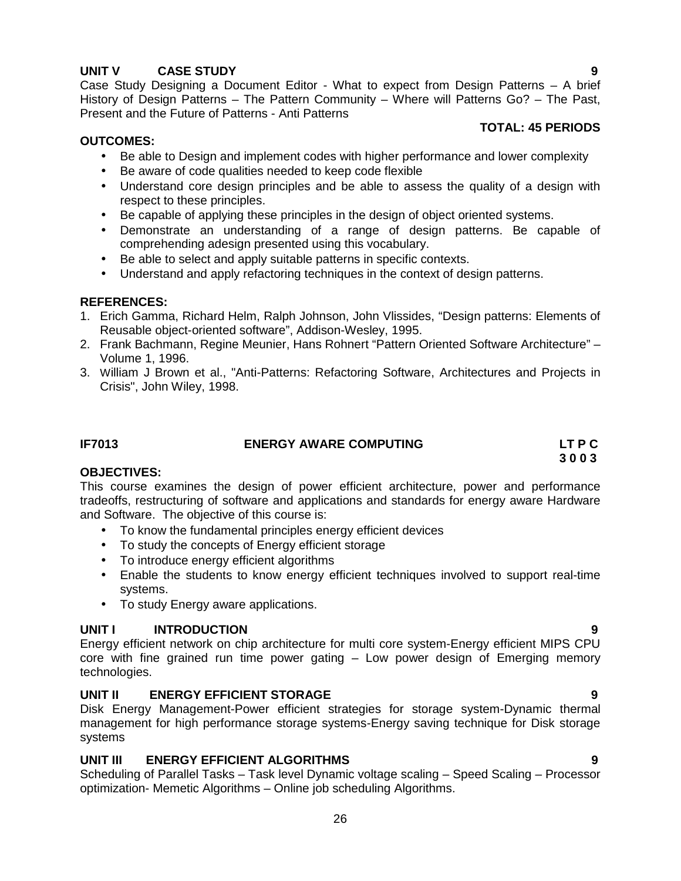# **UNIT V CASE STUDY 9**

Case Study Designing a Document Editor - What to expect from Design Patterns – A brief History of Design Patterns – The Pattern Community – Where will Patterns Go? – The Past, Present and the Future of Patterns - Anti Patterns

#### **TOTAL: 45 PERIODS**

#### **OUTCOMES:**

- Be able to Design and implement codes with higher performance and lower complexity
- Be aware of code qualities needed to keep code flexible
- Understand core design principles and be able to assess the quality of a design with respect to these principles.
- Be capable of applying these principles in the design of object oriented systems.
- Demonstrate an understanding of a range of design patterns. Be capable of comprehending adesign presented using this vocabulary.
- Be able to select and apply suitable patterns in specific contexts.
- Understand and apply refactoring techniques in the context of design patterns.

### **REFERENCES:**

- 1. Erich Gamma, Richard Helm, Ralph Johnson, John Vlissides, "Design patterns: Elements of Reusable object-oriented software", Addison-Wesley, 1995.
- 2. Frank Bachmann, Regine Meunier, Hans Rohnert "Pattern Oriented Software Architecture" Volume 1, 1996.
- 3. William J Brown et al., "Anti-Patterns: Refactoring Software, Architectures and Projects in Crisis", John Wiley, 1998.

#### **IF7013 ENERGY AWARE COMPUTING LT P C 3 0 0 3**

#### **OBJECTIVES:**

This course examines the design of power efficient architecture, power and performance tradeoffs, restructuring of software and applications and standards for energy aware Hardware and Software. The objective of this course is:

- To know the fundamental principles energy efficient devices
- To study the concepts of Energy efficient storage
- To introduce energy efficient algorithms
- Enable the students to know energy efficient techniques involved to support real-time systems.
- To study Energy aware applications.

### **UNIT I INTRODUCTION 9**

Energy efficient network on chip architecture for multi core system-Energy efficient MIPS CPU core with fine grained run time power gating – Low power design of Emerging memory technologies.

### **UNIT II ENERGY EFFICIENT STORAGE 9**

Disk Energy Management-Power efficient strategies for storage system-Dynamic thermal management for high performance storage systems-Energy saving technique for Disk storage systems

# **UNIT III ENERGY EFFICIENT ALGORITHMS 9**

Scheduling of Parallel Tasks – Task level Dynamic voltage scaling – Speed Scaling – Processor optimization- Memetic Algorithms – Online job scheduling Algorithms.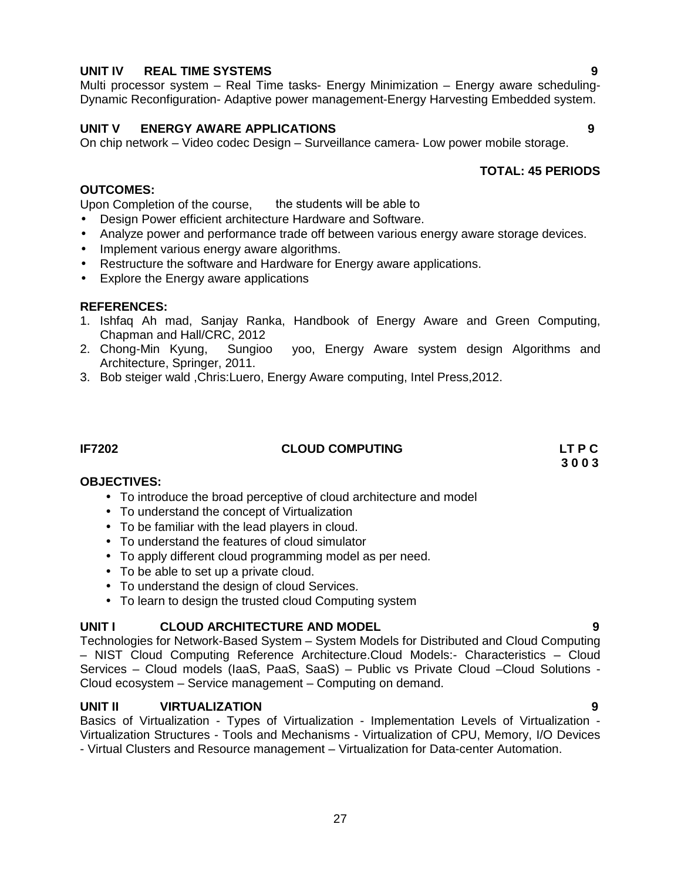#### **UNIT IV REAL TIME SYSTEMS 9**

Multi processor system – Real Time tasks- Energy Minimization – Energy aware scheduling- Dynamic Reconfiguration- Adaptive power management-Energy Harvesting Embedded system.

### **UNIT V ENERGY AWARE APPLICATIONS 9**

On chip network – Video codec Design – Surveillance camera- Low power mobile storage.

#### **TOTAL: 45 PERIODS**

# **OUTCOMES:**

Upon Completion of the course, the students will be able to

- Design Power efficient architecture Hardware and Software.
- Analyze power and performance trade off between various energy aware storage devices.
- Implement various energy aware algorithms.
- Restructure the software and Hardware for Energy aware applications.
- Explore the Energy aware applications

#### **REFERENCES:**

- 1. Ishfaq Ah mad, Sanjay Ranka, Handbook of Energy Aware and Green Computing, Chapman and Hall/CRC, 2012
- 2. Chong-Min Kyung, Sungioo yoo, Energy Aware system design Algorithms and Architecture, Springer, 2011.
- 3. Bob steiger wald ,Chris:Luero, Energy Aware computing, Intel Press,2012.

#### **IF7202 CLOUD COMPUTING LT P C**

**3 0 0 3**

#### **OBJECTIVES:**

- To introduce the broad perceptive of cloud architecture and model
- To understand the concept of Virtualization
- To be familiar with the lead players in cloud.
- To understand the features of cloud simulator
- To apply different cloud programming model as per need.
- To be able to set up a private cloud.
- To understand the design of cloud Services.
- To learn to design the trusted cloud Computing system

#### **UNIT I CLOUD ARCHITECTURE AND MODEL 9**

Technologies for Network-Based System – System Models for Distributed and Cloud Computing – NIST Cloud Computing Reference Architecture.Cloud Models:- Characteristics – Cloud Services – Cloud models (IaaS, PaaS, SaaS) – Public vs Private Cloud –Cloud Solutions - Cloud ecosystem – Service management – Computing on demand.

#### **UNIT II VIRTUALIZATION 9**

Basics of Virtualization - Types of Virtualization - Implementation Levels of Virtualization - Virtualization Structures - Tools and Mechanisms - Virtualization of CPU, Memory, I/O Devices - Virtual Clusters and Resource management – Virtualization for Data-center Automation.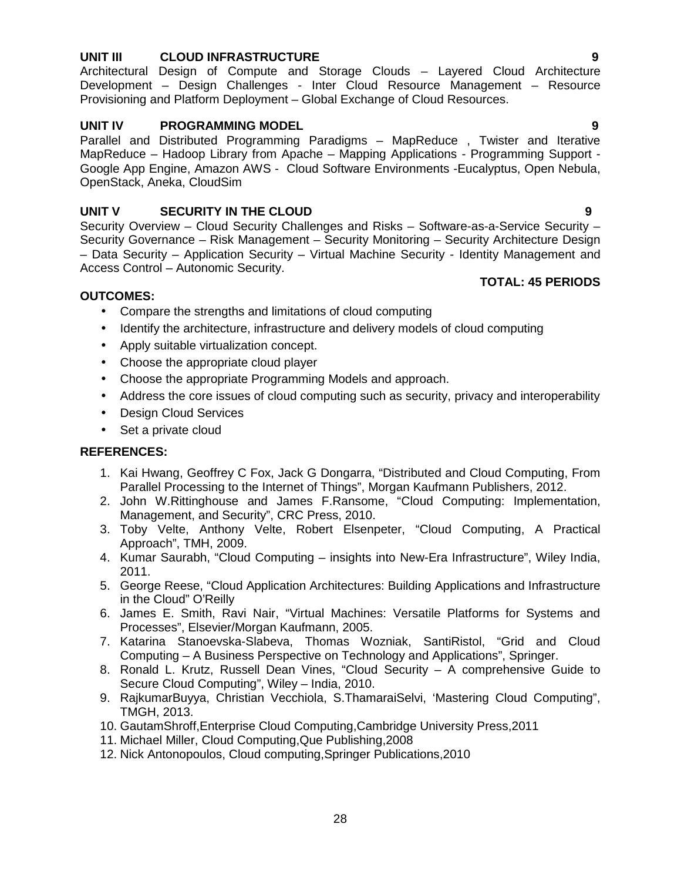#### **UNIT III CLOUD INFRASTRUCTURE 9**

Architectural Design of Compute and Storage Clouds – Layered Cloud Architecture Development – Design Challenges - Inter Cloud Resource Management – Resource Provisioning and Platform Deployment – Global Exchange of Cloud Resources.

# **UNIT IV PROGRAMMING MODEL 9**

Parallel and Distributed Programming Paradigms – MapReduce , Twister and Iterative MapReduce – Hadoop Library from Apache – Mapping Applications - Programming Support - Google App Engine, Amazon AWS - Cloud Software Environments -Eucalyptus, Open Nebula, OpenStack, Aneka, CloudSim

# **UNIT V SECURITY IN THE CLOUD 9**

Security Overview – Cloud Security Challenges and Risks – Software-as-a-Service Security – Security Governance – Risk Management – Security Monitoring – Security Architecture Design – Data Security – Application Security – Virtual Machine Security - Identity Management and Access Control – Autonomic Security.

#### **TOTAL: 45 PERIODS**

# **OUTCOMES:**

- Compare the strengths and limitations of cloud computing
- Identify the architecture, infrastructure and delivery models of cloud computing
- Apply suitable virtualization concept.
- Choose the appropriate cloud player
- Choose the appropriate Programming Models and approach.
- Address the core issues of cloud computing such as security, privacy and interoperability
- Design Cloud Services
- Set a private cloud

### **REFERENCES:**

- 1. Kai Hwang, Geoffrey C Fox, Jack G Dongarra, "Distributed and Cloud Computing, From Parallel Processing to the Internet of Things", Morgan Kaufmann Publishers, 2012.
- 2. John W.Rittinghouse and James F.Ransome, "Cloud Computing: Implementation, Management, and Security", CRC Press, 2010.
- 3. Toby Velte, Anthony Velte, Robert Elsenpeter, "Cloud Computing, A Practical Approach", TMH, 2009.
- 4. Kumar Saurabh, "Cloud Computing insights into New-Era Infrastructure", Wiley India, 2011.
- 5. George Reese, "Cloud Application Architectures: Building Applications and Infrastructure in the Cloud" O'Reilly
- 6. James E. Smith, Ravi Nair, "Virtual Machines: Versatile Platforms for Systems and Processes", Elsevier/Morgan Kaufmann, 2005.
- 7. Katarina Stanoevska-Slabeva, Thomas Wozniak, SantiRistol, "Grid and Cloud Computing – A Business Perspective on Technology and Applications", Springer.
- 8. Ronald L. Krutz, Russell Dean Vines, "Cloud Security A comprehensive Guide to Secure Cloud Computing", Wiley – India, 2010.
- 9. RajkumarBuyya, Christian Vecchiola, S.ThamaraiSelvi, 'Mastering Cloud Computing", TMGH, 2013.
- 10. GautamShroff,Enterprise Cloud Computing,Cambridge University Press,2011
- 11. Michael Miller, Cloud Computing,Que Publishing,2008
- 12. Nick Antonopoulos, Cloud computing,Springer Publications,2010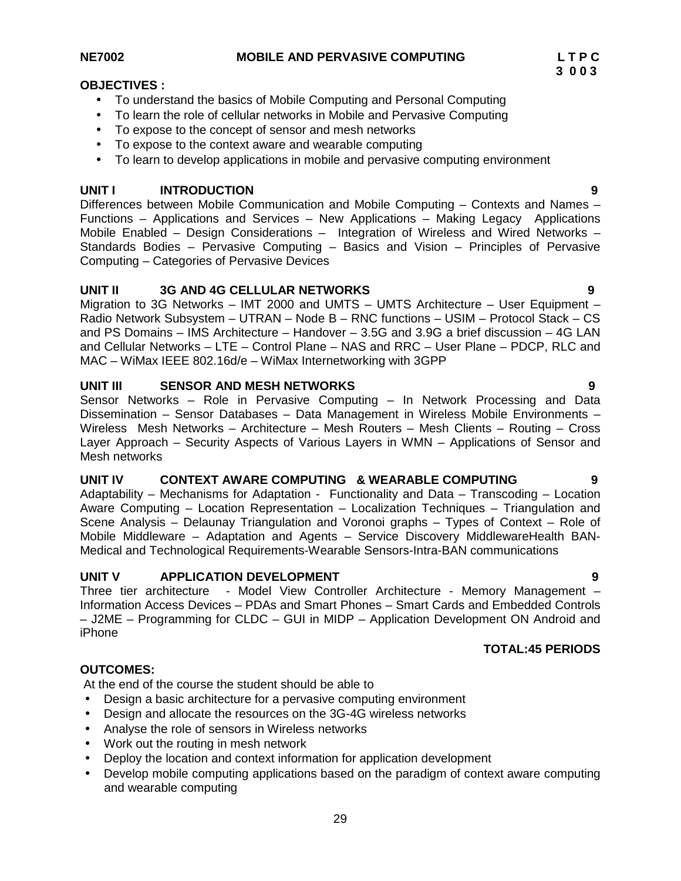#### **OBJECTIVES :**

- To understand the basics of Mobile Computing and Personal Computing
- To learn the role of cellular networks in Mobile and Pervasive Computing
- To expose to the concept of sensor and mesh networks
- To expose to the context aware and wearable computing
- To learn to develop applications in mobile and pervasive computing environment

#### **UNIT I INTRODUCTION 9**

Differences between Mobile Communication and Mobile Computing – Contexts and Names – Functions – Applications and Services – New Applications – Making Legacy Applications Mobile Enabled – Design Considerations – Integration of Wireless and Wired Networks – Standards Bodies – Pervasive Computing – Basics and Vision – Principles of Pervasive Computing – Categories of Pervasive Devices

# **UNIT II 3G AND 4G CELLULAR NETWORKS 9**

Migration to 3G Networks – IMT 2000 and UMTS – UMTS Architecture – User Equipment – Radio Network Subsystem - UTRAN - Node B - RNC functions - USIM - Protocol Stack - CS and PS Domains – IMS Architecture – Handover – 3.5G and 3.9G a brief discussion – 4G LAN and Cellular Networks – LTE – Control Plane – NAS and RRC – User Plane – PDCP, RLC and MAC – WiMax IEEE 802.16d/e – WiMax Internetworking with 3GPP

#### **UNIT III SENSOR AND MESH NETWORKS 9**

Sensor Networks – Role in Pervasive Computing – In Network Processing and Data Dissemination – Sensor Databases – Data Management in Wireless Mobile Environments – Wireless Mesh Networks – Architecture – Mesh Routers – Mesh Clients – Routing – Cross Layer Approach – Security Aspects of Various Layers in WMN – Applications of Sensor and Mesh networks

# **UNIT IV CONTEXT AWARE COMPUTING & WEARABLE COMPUTING 9**

Adaptability – Mechanisms for Adaptation - Functionality and Data – Transcoding – Location Aware Computing – Location Representation – Localization Techniques – Triangulation and Scene Analysis – Delaunay Triangulation and Voronoi graphs – Types of Context – Role of Mobile Middleware – Adaptation and Agents – Service Discovery MiddlewareHealth BAN- Medical and Technological Requirements-Wearable Sensors-Intra-BAN communications

#### **UNIT V APPLICATION DEVELOPMENT 9**

Three tier architecture - Model View Controller Architecture - Memory Management – Information Access Devices – PDAs and Smart Phones – Smart Cards and Embedded Controls – J2ME – Programming for CLDC – GUI in MIDP – Application Development ON Android and iPhone

# **TOTAL:45 PERIODS**

#### **OUTCOMES:**

At the end of the course the student should be able to

- Design a basic architecture for a pervasive computing environment
- Design and allocate the resources on the 3G-4G wireless networks
- Analyse the role of sensors in Wireless networks
- $\bullet$  Work out the routing in mesh network
- Deploy the location and context information for application development
- Develop mobile computing applications based on the paradigm of context aware computing and wearable computing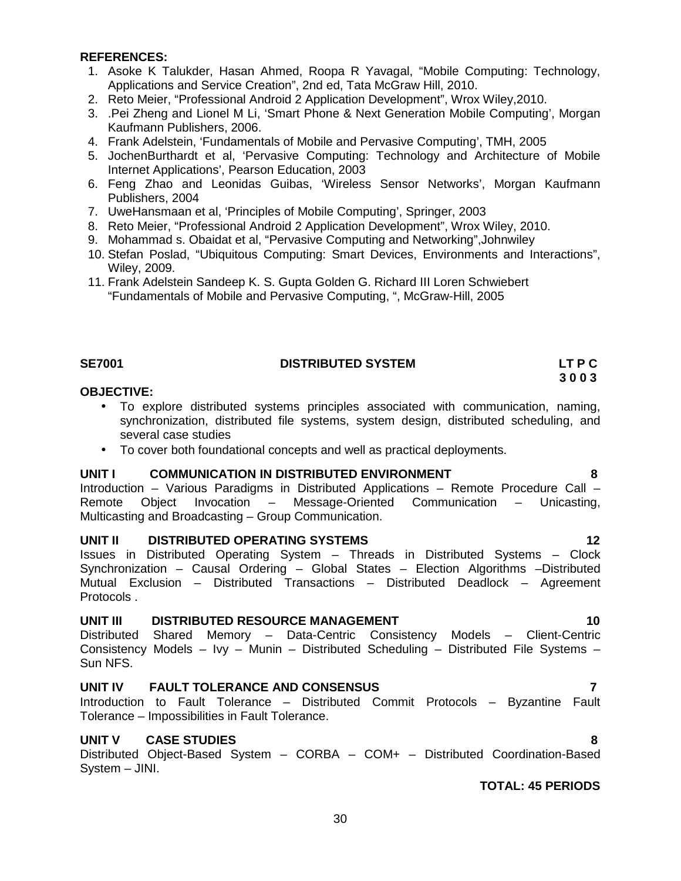#### **REFERENCES:**

- 1. Asoke K Talukder, Hasan Ahmed, Roopa R Yavagal, "Mobile Computing: Technology, Applications and Service Creation", 2nd ed, Tata McGraw Hill, 2010.
- 2. Reto Meier, "Professional Android 2 Application Development", Wrox Wiley,2010.
- 3. .Pei Zheng and Lionel M Li, 'Smart Phone & Next Generation Mobile Computing', Morgan Kaufmann Publishers, 2006.
- 4. Frank Adelstein, 'Fundamentals of Mobile and Pervasive Computing', TMH, 2005
- 5. JochenBurthardt et al, 'Pervasive Computing: Technology and Architecture of Mobile Internet Applications', Pearson Education, 2003
- 6. Feng Zhao and Leonidas Guibas, 'Wireless Sensor Networks', Morgan Kaufmann Publishers, 2004
- 7. UweHansmaan et al, 'Principles of Mobile Computing', Springer, 2003
- 8. Reto Meier, "Professional Android 2 Application Development", Wrox Wiley, 2010.
- 9. Mohammad s. Obaidat et al, "Pervasive Computing and Networking",Johnwiley
- 10. Stefan Poslad, "Ubiquitous Computing: Smart Devices, Environments and Interactions", Wiley, 2009.
- 11. Frank Adelstein Sandeep K. S. Gupta Golden G. Richard III Loren Schwiebert "Fundamentals of Mobile and Pervasive Computing, ", McGraw-Hill, 2005

#### **SE7001 DISTRIBUTED SYSTEM LT P C**

**3 0 0 3**

#### **OBJECTIVE:**

- To explore distributed systems principles associated with communication, naming, synchronization, distributed file systems, system design, distributed scheduling, and several case studies
- To cover both foundational concepts and well as practical deployments.

#### **UNIT I COMMUNICATION IN DISTRIBUTED ENVIRONMENT 8**

Introduction – Various Paradigms in Distributed Applications – Remote Procedure Call – Remote Object Invocation – Message-Oriented Communication – Unicasting, Multicasting and Broadcasting – Group Communication.

#### **UNIT II DISTRIBUTED OPERATING SYSTEMS 12**

Issues in Distributed Operating System – Threads in Distributed Systems – Clock Synchronization – Causal Ordering – Global States – Election Algorithms –Distributed Mutual Exclusion – Distributed Transactions – Distributed Deadlock – Agreement Protocols .

#### **UNIT III DISTRIBUTED RESOURCE MANAGEMENT 10**

Distributed Shared Memory – Data-Centric Consistency Models – Client-Centric Consistency Models – Ivy – Munin – Distributed Scheduling – Distributed File Systems – Sun NFS.

# **UNIT IV FAULT TOLERANCE AND CONSENSUS 7**

Introduction to Fault Tolerance – Distributed Commit Protocols – Byzantine Fault Tolerance – Impossibilities in Fault Tolerance.

#### **UNIT V CASE STUDIES 8**

Distributed Object-Based System – CORBA – COM+ – Distributed Coordination-Based System – JINI.

#### **TOTAL: 45 PERIODS**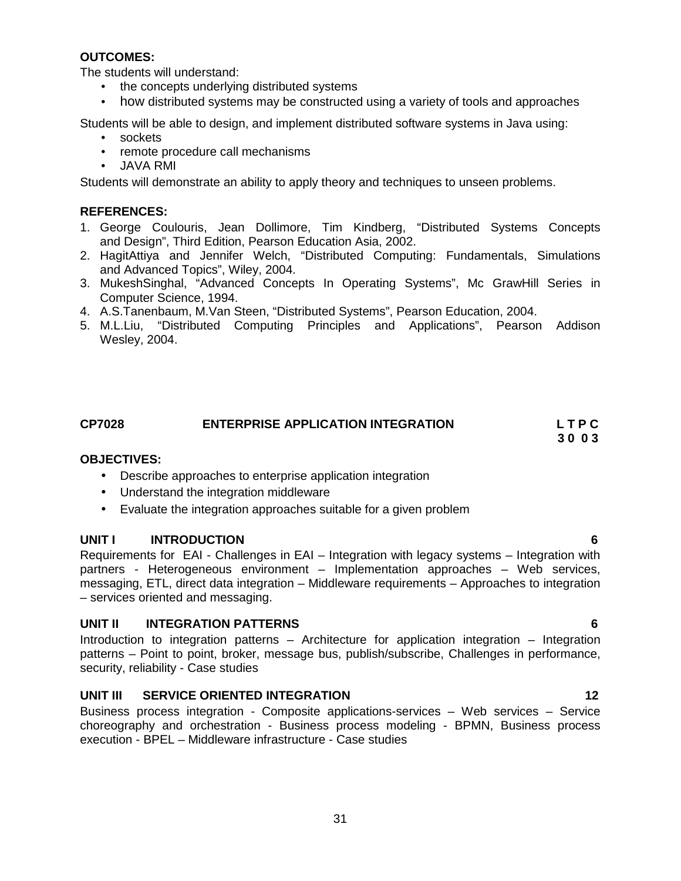#### **OUTCOMES:**

The students will understand:

- the concepts underlying distributed systems
- how distributed systems may be constructed using a variety of tools and approaches

Students will be able to design, and implement distributed software systems in Java using:

- sockets
- remote procedure call mechanisms
- JAVA RMI

Students will demonstrate an ability to apply theory and techniques to unseen problems.

#### **REFERENCES:**

- 1. George Coulouris, Jean Dollimore, Tim Kindberg, "Distributed Systems Concepts and Design", Third Edition, Pearson Education Asia, 2002.
- 2. HagitAttiya and Jennifer Welch, "Distributed Computing: Fundamentals, Simulations and Advanced Topics", Wiley, 2004.
- 3. MukeshSinghal, "Advanced Concepts In Operating Systems", Mc GrawHill Series in Computer Science, 1994.
- 4. A.S.Tanenbaum, M.Van Steen, "Distributed Systems", Pearson Education, 2004.
- 5. M.L.Liu, "Distributed Computing Principles and Applications", Pearson Addison Wesley, 2004.

| <b>CP7028</b> | <b>ENTERPRISE APPLICATION INTEGRATION</b> | LTPC   |  |
|---------------|-------------------------------------------|--------|--|
|               |                                           | 30 O 3 |  |

#### **OBJECTIVES:**

- Describe approaches to enterprise application integration
- Understand the integration middleware
- Evaluate the integration approaches suitable for a given problem

### **UNIT I INTRODUCTION 6**

Requirements for EAI - Challenges in EAI – Integration with legacy systems – Integration with partners - Heterogeneous environment – Implementation approaches – Web services, messaging, ETL, direct data integration – Middleware requirements – Approaches to integration – services oriented and messaging.

### **UNIT II INTEGRATION PATTERNS 6**

Introduction to integration patterns – Architecture for application integration – Integration patterns – Point to point, broker, message bus, publish/subscribe, Challenges in performance, security, reliability - Case studies

### **UNIT III SERVICE ORIENTED INTEGRATION 12**

Business process integration - Composite applications-services – Web services – Service choreography and orchestration - Business process modeling - BPMN, Business process execution - BPEL – Middleware infrastructure - Case studies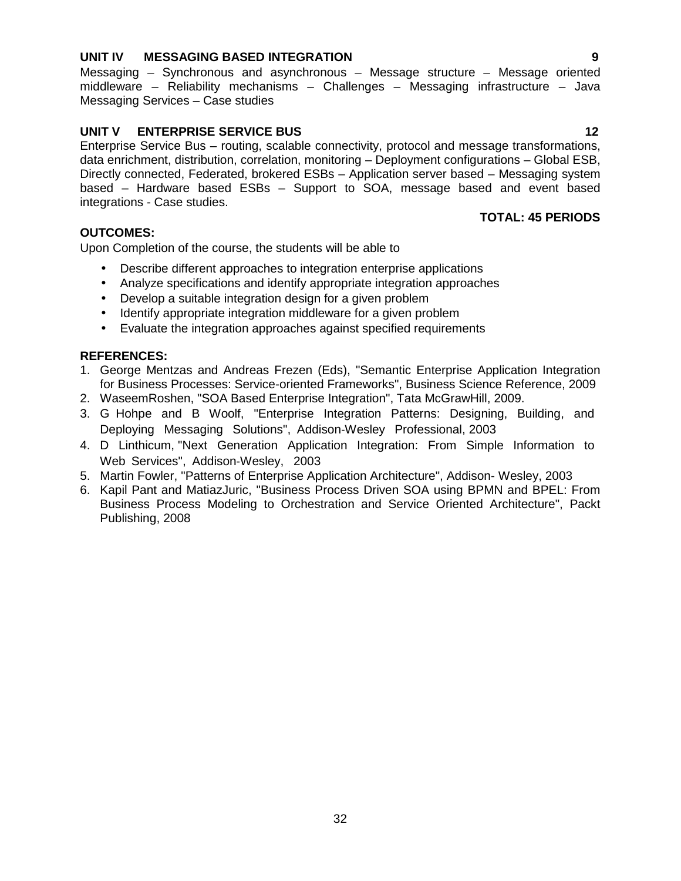#### 32

# **UNIT IV MESSAGING BASED INTEGRATION 9**

Messaging – Synchronous and asynchronous – Message structure – Message oriented middleware – Reliability mechanisms – Challenges – Messaging infrastructure – Java Messaging Services – Case studies

# **UNIT V ENTERPRISE SERVICE BUS 12**

Enterprise Service Bus – routing, scalable connectivity, protocol and message transformations, data enrichment, distribution, correlation, monitoring – Deployment configurations – Global ESB, Directly connected, Federated, brokered ESBs – Application server based – Messaging system based – Hardware based ESBs – Support to SOA, message based and event based integrations - Case studies.

# **OUTCOMES:**

Upon Completion of the course, the students will be able to

- Describe different approaches to integration enterprise applications
- Analyze specifications and identify appropriate integration approaches
- Develop a suitable integration design for a given problem
- Identify appropriate integration middleware for a given problem
- Evaluate the integration approaches against specified requirements

# **REFERENCES:**

- 1. George Mentzas and Andreas Frezen (Eds), "Semantic Enterprise Application Integration for Business Processes: Service-oriented Frameworks", Business Science Reference, 2009
- 2. WaseemRoshen, "SOA Based Enterprise Integration", Tata McGrawHill, 2009.
- 3. G Hohpe and B Woolf, "Enterprise Integration Patterns: Designing, Building, and Deploying Messaging Solutions", Addison‐Wesley Professional, 2003
- 4. D Linthicum, "Next Generation Application Integration: From Simple Information to Web Services", Addison‐Wesley, 2003
- 5. Martin Fowler, "Patterns of Enterprise Application Architecture", Addison- Wesley, 2003
- 6. Kapil Pant and MatiazJuric, "Business Process Driven SOA using BPMN and BPEL: From Business Process Modeling to Orchestration and Service Oriented Architecture", Packt Publishing, 2008

**TOTAL: 45 PERIODS**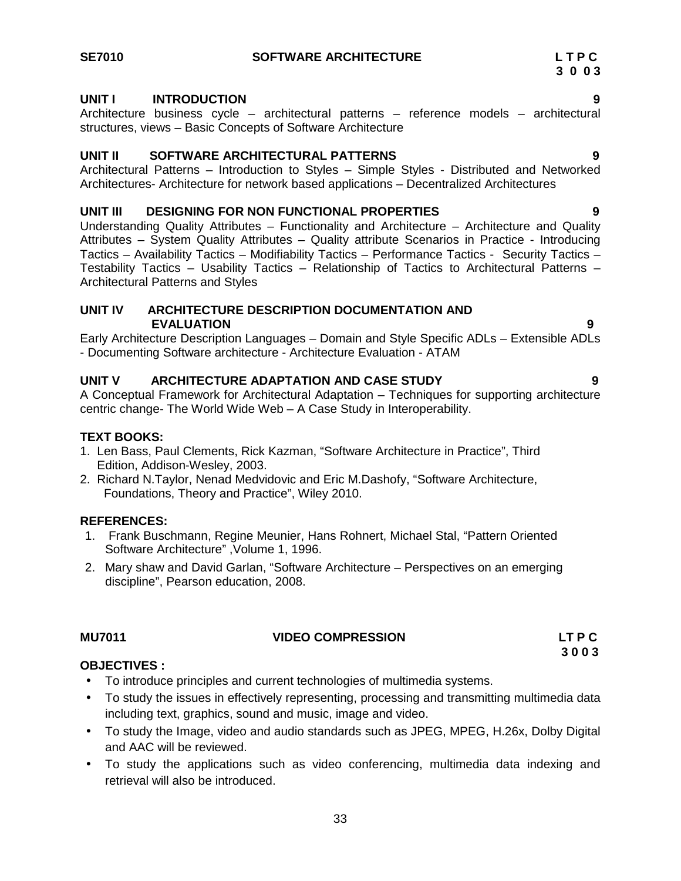#### **SE7010 SOFTWARE ARCHITECTURE L T P C**

#### **UNIT I INTRODUCTION 9**

Architecture business cycle – architectural patterns – reference models – architectural structures, views – Basic Concepts of Software Architecture

#### **UNIT II SOFTWARE ARCHITECTURAL PATTERNS 9**

Architectural Patterns – Introduction to Styles – Simple Styles - Distributed and Networked Architectures- Architecture for network based applications – Decentralized Architectures

#### **UNIT III DESIGNING FOR NON FUNCTIONAL PROPERTIES 9**

Understanding Quality Attributes – Functionality and Architecture – Architecture and Quality Attributes – System Quality Attributes – Quality attribute Scenarios in Practice - Introducing Tactics – Availability Tactics – Modifiability Tactics – Performance Tactics - Security Tactics – Testability Tactics – Usability Tactics – Relationship of Tactics to Architectural Patterns – Architectural Patterns and Styles

#### **UNIT IV ARCHITECTURE DESCRIPTION DOCUMENTATION AND EVALUATION 9**

Early Architecture Description Languages – Domain and Style Specific ADLs – Extensible ADLs - Documenting Software architecture - Architecture Evaluation - ATAM

#### **UNIT V ARCHITECTURE ADAPTATION AND CASE STUDY 9**

A Conceptual Framework for Architectural Adaptation – Techniques for supporting architecture centric change- The World Wide Web – A Case Study in Interoperability.

#### **TEXT BOOKS:**

- 1. Len Bass, Paul Clements, Rick Kazman, "Software Architecture in Practice", Third Edition, Addison-Wesley, 2003.
- 2. Richard N.Taylor, Nenad Medvidovic and Eric M.Dashofy, "Software Architecture, Foundations, Theory and Practice", Wiley 2010.

#### **REFERENCES:**

- 1. Frank Buschmann, Regine Meunier, Hans Rohnert, Michael Stal, "Pattern Oriented Software Architecture" ,Volume 1, 1996.
- 2. Mary shaw and David Garlan, "Software Architecture Perspectives on an emerging discipline", Pearson education, 2008.

#### **MU7011 VIDEO COMPRESSION LT P C**

**3 0 0 3**

#### **OBJECTIVES :**

- To introduce principles and current technologies of multimedia systems.
- To study the issues in effectively representing, processing and transmitting multimedia data including text, graphics, sound and music, image and video.
- To study the Image, video and audio standards such as JPEG, MPEG, H.26x, Dolby Digital and AAC will be reviewed.
- To study the applications such as video conferencing, multimedia data indexing and retrieval will also be introduced.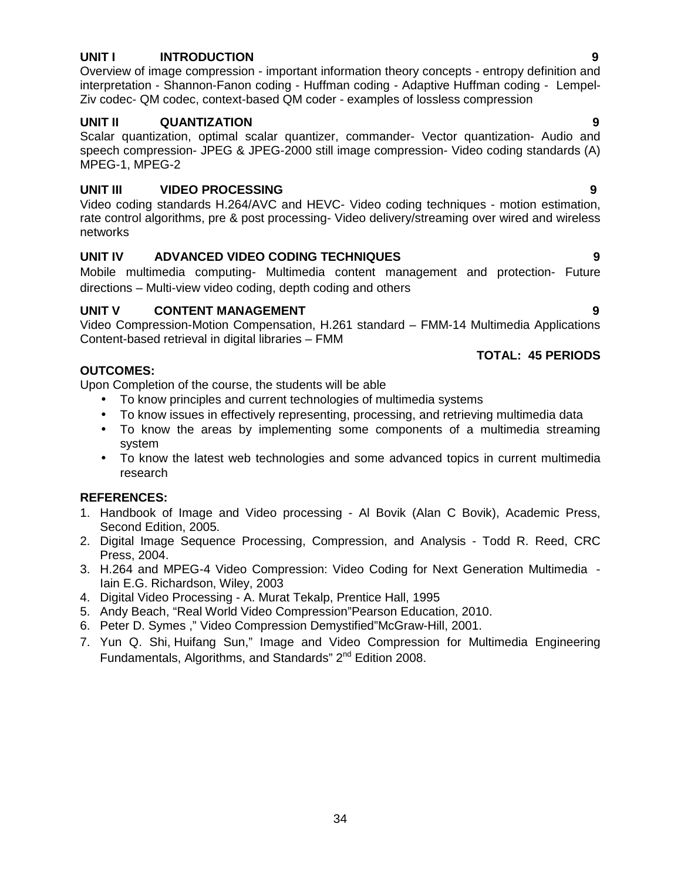# **UNIT I INTRODUCTION 9**

Overview of image compression - important information theory concepts - entropy definition and interpretation - Shannon-Fanon coding - Huffman coding - Adaptive Huffman coding - Lempel- Ziv codec- QM codec, context-based QM coder - examples of lossless compression

# **UNIT II QUANTIZATION 9**

Scalar quantization, optimal scalar quantizer, commander- Vector quantization- Audio and speech compression- JPEG & JPEG-2000 still image compression- Video coding standards (A) MPEG-1, MPEG-2

# **UNIT III VIDEO PROCESSING 9**

Video coding standards H.264/AVC and HEVC- Video coding techniques - motion estimation, rate control algorithms, pre & post processing- Video delivery/streaming over wired and wireless networks

# **UNIT IV ADVANCED VIDEO CODING TECHNIQUES 9**

Mobile multimedia computing- Multimedia content management and protection- Future directions – Multi-view video coding, depth coding and others

### **UNIT V CONTENT MANAGEMENT 9**

Video Compression-Motion Compensation, H.261 standard – FMM-14 Multimedia Applications Content-based retrieval in digital libraries – FMM

# **OUTCOMES:**

Upon Completion of the course, the students will be able

- To know principles and current technologies of multimedia systems
- To know issues in effectively representing, processing, and retrieving multimedia data
- To know the areas by implementing some components of a multimedia streaming system
- To know the latest web technologies and some advanced topics in current multimedia research

# **REFERENCES:**

- 1. Handbook of Image and Video processing Al Bovik (Alan C Bovik), Academic Press, Second Edition, 2005.
- 2. Digital Image Sequence Processing, Compression, and Analysis Todd R. Reed, CRC Press, 2004.
- 3. H.264 and MPEG-4 Video Compression: Video Coding for Next Generation Multimedia Iain E.G. Richardson, Wiley, 2003
- 4. Digital Video Processing A. Murat Tekalp, Prentice Hall, 1995
- 5. Andy Beach, "Real World Video Compression"Pearson Education, 2010.
- 6. Peter D. Symes ," Video Compression Demystified"McGraw-Hill, 2001.
- 7. Yun Q. Shi, Huifang Sun," Image and Video Compression for Multimedia Engineering Fundamentals, Algorithms, and Standards" 2<sup>nd</sup> Edition 2008.

**TOTAL: 45 PERIODS**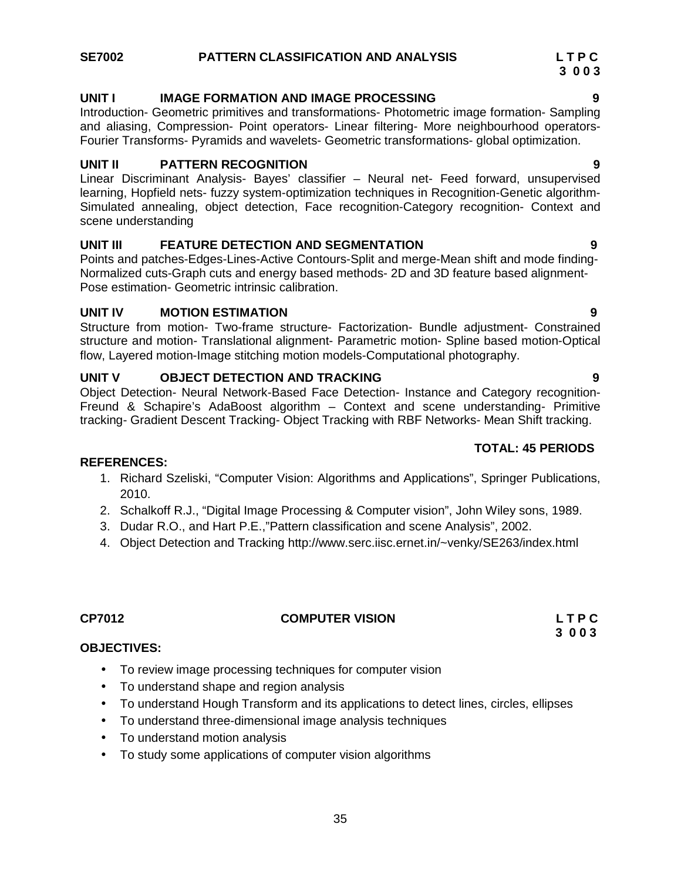# **UNIT I IMAGE FORMATION AND IMAGE PROCESSING 9**

Introduction- Geometric primitives and transformations- Photometric image formation- Sampling and aliasing, Compression- Point operators- Linear filtering- More neighbourhood operators- Fourier Transforms- Pyramids and wavelets- Geometric transformations- global optimization.

# **UNIT II PATTERN RECOGNITION 9**

Linear Discriminant Analysis- Bayes' classifier – Neural net- Feed forward, unsupervised learning, Hopfield nets- fuzzy system-optimization techniques in Recognition-Genetic algorithm- Simulated annealing, object detection, Face recognition-Category recognition- Context and scene understanding

# **UNIT III FEATURE DETECTION AND SEGMENTATION 9**

Points and patches-Edges-Lines-Active Contours-Split and merge-Mean shift and mode finding- Normalized cuts-Graph cuts and energy based methods- 2D and 3D feature based alignment- Pose estimation- Geometric intrinsic calibration.

### **UNIT IV MOTION ESTIMATION 9**

Structure from motion- Two-frame structure- Factorization- Bundle adjustment- Constrained structure and motion- Translational alignment- Parametric motion- Spline based motion-Optical flow, Layered motion-Image stitching motion models-Computational photography.

# **UNIT V OBJECT DETECTION AND TRACKING 9**

Object Detection- Neural Network-Based Face Detection- Instance and Category recognition- Freund & Schapire's AdaBoost algorithm – Context and scene understanding- Primitive tracking- Gradient Descent Tracking- Object Tracking with RBF Networks- Mean Shift tracking.

### **REFERENCES:**

- 1. Richard Szeliski, "Computer Vision: Algorithms and Applications", Springer Publications, 2010.
- 2. Schalkoff R.J., "Digital Image Processing & Computer vision", John Wiley sons, 1989.
- 3. Dudar R.O., and Hart P.E.,"Pattern classification and scene Analysis", 2002.
- 4. Object Detection and Tracking http://www.serc.iisc.ernet.in/~venky/SE263/index.html

### **CP7012 COMPUTER VISION L T P C**

### **OBJECTIVES:**

- To review image processing techniques for computer vision
- To understand shape and region analysis
- To understand Hough Transform and its applications to detect lines, circles, ellipses
- To understand three-dimensional image analysis techniques
- To understand motion analysis
- To study some applications of computer vision algorithms

# **3 0 0 3**

# **TOTAL: 45 PERIODS**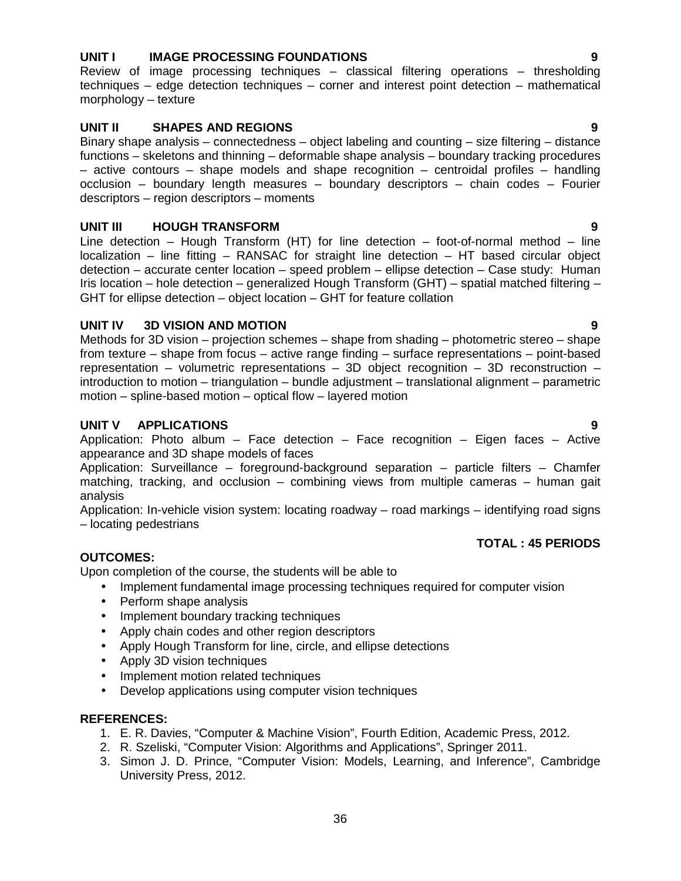### 36

# **UNIT I IMAGE PROCESSING FOUNDATIONS 9**

Review of image processing techniques – classical filtering operations – thresholding techniques – edge detection techniques – corner and interest point detection – mathematical morphology – texture

### **UNIT II SHAPES AND REGIONS 9**

Binary shape analysis – connectedness – object labeling and counting – size filtering – distance functions – skeletons and thinning – deformable shape analysis – boundary tracking procedures – active contours – shape models and shape recognition – centroidal profiles – handling occlusion – boundary length measures – boundary descriptors – chain codes – Fourier descriptors – region descriptors – moments

# **UNIT III HOUGH TRANSFORM 9**

Line detection – Hough Transform (HT) for line detection – foot-of-normal method – line localization – line fitting – RANSAC for straight line detection – HT based circular object detection – accurate center location – speed problem – ellipse detection – Case study: Human Iris location – hole detection – generalized Hough Transform (GHT) – spatial matched filtering – GHT for ellipse detection – object location – GHT for feature collation

### **UNIT IV 3D VISION AND MOTION 9**

Methods for 3D vision – projection schemes – shape from shading – photometric stereo – shape from texture – shape from focus – active range finding – surface representations – point-based representation – volumetric representations – 3D object recognition – 3D reconstruction – introduction to motion – triangulation – bundle adjustment – translational alignment – parametric motion – spline-based motion – optical flow – layered motion

# **UNIT V APPLICATIONS 9**

Application: Photo album – Face detection – Face recognition – Eigen faces – Active appearance and 3D shape models of faces

Application: Surveillance – foreground-background separation – particle filters – Chamfer matching, tracking, and occlusion – combining views from multiple cameras – human gait analysis

Application: In-vehicle vision system: locating roadway – road markings – identifying road signs – locating pedestrians

# **TOTAL : 45 PERIODS**

# **OUTCOMES:**

Upon completion of the course, the students will be able to

- Implement fundamental image processing techniques required for computer vision
- Perform shape analysis
- Implement boundary tracking techniques
- Apply chain codes and other region descriptors
- Apply Hough Transform for line, circle, and ellipse detections
- Apply 3D vision techniques
- Implement motion related techniques
- Develop applications using computer vision techniques

### **REFERENCES:**

- 1. E. R. Davies, "Computer & Machine Vision", Fourth Edition, Academic Press, 2012.
- 2. R. Szeliski, "Computer Vision: Algorithms and Applications", Springer 2011.
- 3. Simon J. D. Prince, "Computer Vision: Models, Learning, and Inference", Cambridge University Press, 2012.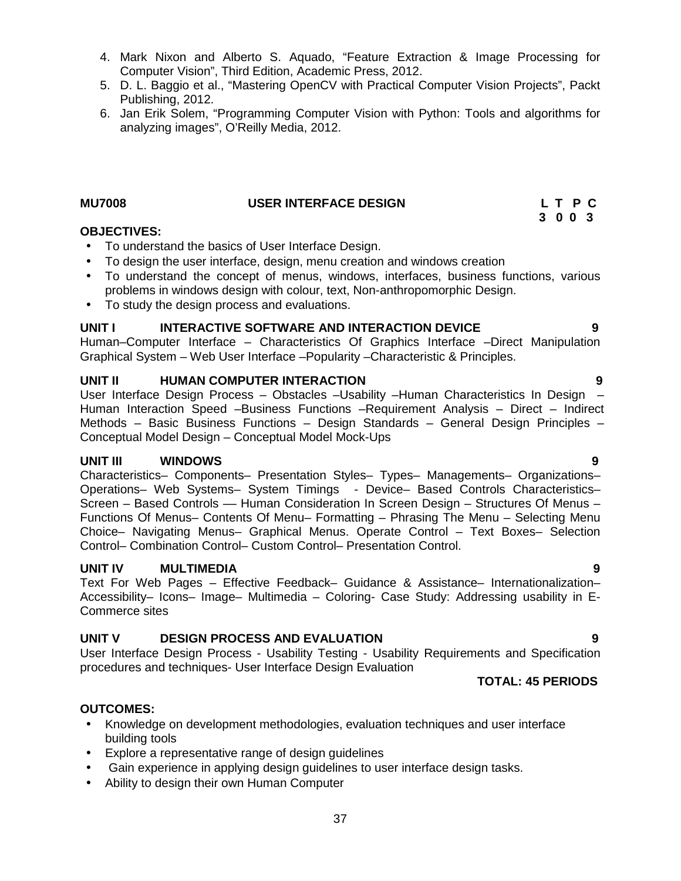- 4. Mark Nixon and Alberto S. Aquado, "Feature Extraction & Image Processing for Computer Vision", Third Edition, Academic Press, 2012.
- 5. D. L. Baggio et al., "Mastering OpenCV with Practical Computer Vision Projects", Packt Publishing, 2012.
- 6. Jan Erik Solem, "Programming Computer Vision with Python: Tools and algorithms for analyzing images", O'Reilly Media, 2012.

# **MU7008 USER INTERFACE DESIGN L T P C**

# **OBJECTIVES:**

- To understand the basics of User Interface Design.
- To design the user interface, design, menu creation and windows creation
- To understand the concept of menus, windows, interfaces, business functions, various problems in windows design with colour, text, Non-anthropomorphic Design.
- To study the design process and evaluations.

### **UNIT I INTERACTIVE SOFTWARE AND INTERACTION DEVICE 9**

Human–Computer Interface – Characteristics Of Graphics Interface –Direct Manipulation Graphical System – Web User Interface –Popularity –Characteristic & Principles.

# **UNIT II HUMAN COMPUTER INTERACTION 9**

User Interface Design Process – Obstacles –Usability –Human Characteristics In Design – Human Interaction Speed –Business Functions –Requirement Analysis – Direct – Indirect Methods – Basic Business Functions – Design Standards – General Design Principles – Conceptual Model Design – Conceptual Model Mock-Ups

# **UNIT III WINDOWS 9**

Characteristics– Components– Presentation Styles– Types– Managements– Organizations– Operations– Web Systems– System Timings - Device– Based Controls Characteristics– Screen – Based Controls –– Human Consideration In Screen Design – Structures Of Menus – Functions Of Menus– Contents Of Menu– Formatting – Phrasing The Menu – Selecting Menu Choice– Navigating Menus– Graphical Menus. Operate Control – Text Boxes– Selection Control– Combination Control– Custom Control– Presentation Control.

### **UNIT IV MULTIMEDIA 9**

Text For Web Pages – Effective Feedback– Guidance & Assistance– Internationalization– Accessibility– Icons– Image– Multimedia – Coloring- Case Study: Addressing usability in E- Commerce sites

### **UNIT V DESIGN PROCESS AND EVALUATION 9**

User Interface Design Process - Usability Testing - Usability Requirements and Specification procedures and techniques- User Interface Design Evaluation

**TOTAL: 45 PERIODS**

**3 0 0 3**

# **OUTCOMES:**

- Knowledge on development methodologies, evaluation techniques and user interface building tools
- Explore a representative range of design guidelines
- Gain experience in applying design guidelines to user interface design tasks.
- Ability to design their own Human Computer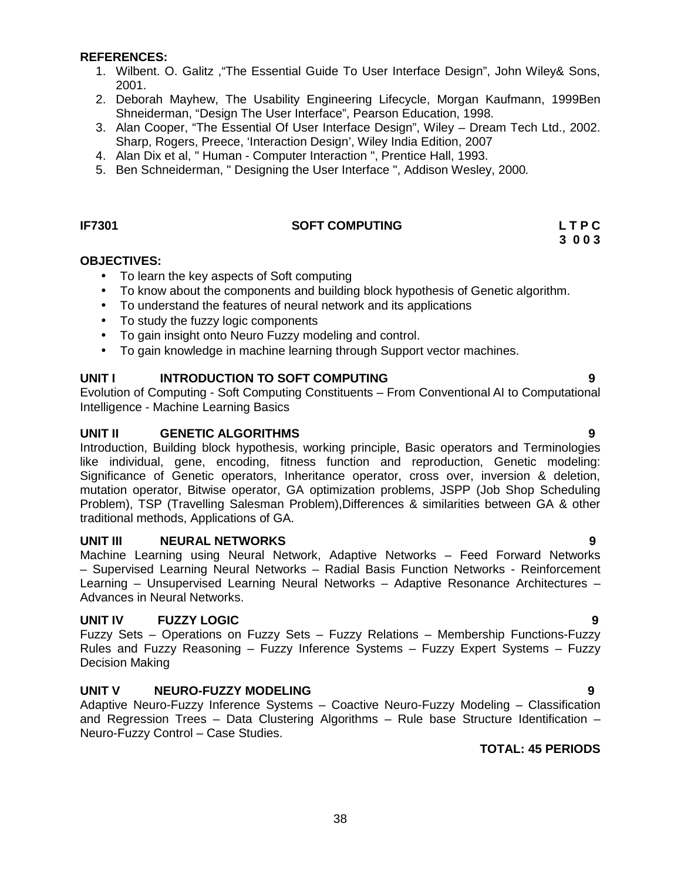#### **REFERENCES:**

- 1. Wilbent. O. Galitz ,"The Essential Guide To User Interface Design", John Wiley& Sons, 2001.
- 2. Deborah Mayhew, The Usability Engineering Lifecycle, Morgan Kaufmann, 1999Ben Shneiderman, "Design The User Interface", Pearson Education, 1998.
- 3. Alan Cooper, "The Essential Of User Interface Design", Wiley Dream Tech Ltd., 2002. Sharp, Rogers, Preece, 'Interaction Design', Wiley India Edition, 2007
- 4. Alan Dix et al, " Human Computer Interaction ", Prentice Hall, 1993.
- 5. Ben Schneiderman, " Designing the User Interface ", Addison Wesley, 2000*.*

#### **IF7301 SOFT COMPUTING L T P C**

# **3 0 0 3**

#### **OBJECTIVES:**

- To learn the key aspects of Soft computing
- To know about the components and building block hypothesis of Genetic algorithm.
- To understand the features of neural network and its applications
- To study the fuzzy logic components
- To gain insight onto Neuro Fuzzy modeling and control.
- To gain knowledge in machine learning through Support vector machines.

#### **UNIT I INTRODUCTION TO SOFT COMPUTING 9**

Evolution of Computing - Soft Computing Constituents – From Conventional AI to Computational Intelligence - Machine Learning Basics

#### **UNIT II GENETIC ALGORITHMS 9**

Introduction, Building block hypothesis, working principle, Basic operators and Terminologies like individual, gene, encoding, fitness function and reproduction, Genetic modeling: Significance of Genetic operators, Inheritance operator, cross over, inversion & deletion, mutation operator, Bitwise operator, GA optimization problems, JSPP (Job Shop Scheduling Problem), TSP (Travelling Salesman Problem),Differences & similarities between GA & other traditional methods, Applications of GA.

#### **UNIT III NEURAL NETWORKS 9**

Machine Learning using Neural Network, Adaptive Networks – Feed Forward Networks – Supervised Learning Neural Networks – Radial Basis Function Networks - Reinforcement Learning – Unsupervised Learning Neural Networks – Adaptive Resonance Architectures – Advances in Neural Networks.

#### **UNIT IV FUZZY LOGIC 9**

Fuzzy Sets – Operations on Fuzzy Sets – Fuzzy Relations – Membership Functions-Fuzzy Rules and Fuzzy Reasoning – Fuzzy Inference Systems – Fuzzy Expert Systems – Fuzzy Decision Making

#### **UNIT V NEURO-FUZZY MODELING 9**

Adaptive Neuro-Fuzzy Inference Systems – Coactive Neuro-Fuzzy Modeling – Classification and Regression Trees – Data Clustering Algorithms – Rule base Structure Identification – Neuro-Fuzzy Control – Case Studies.

#### **TOTAL: 45 PERIODS**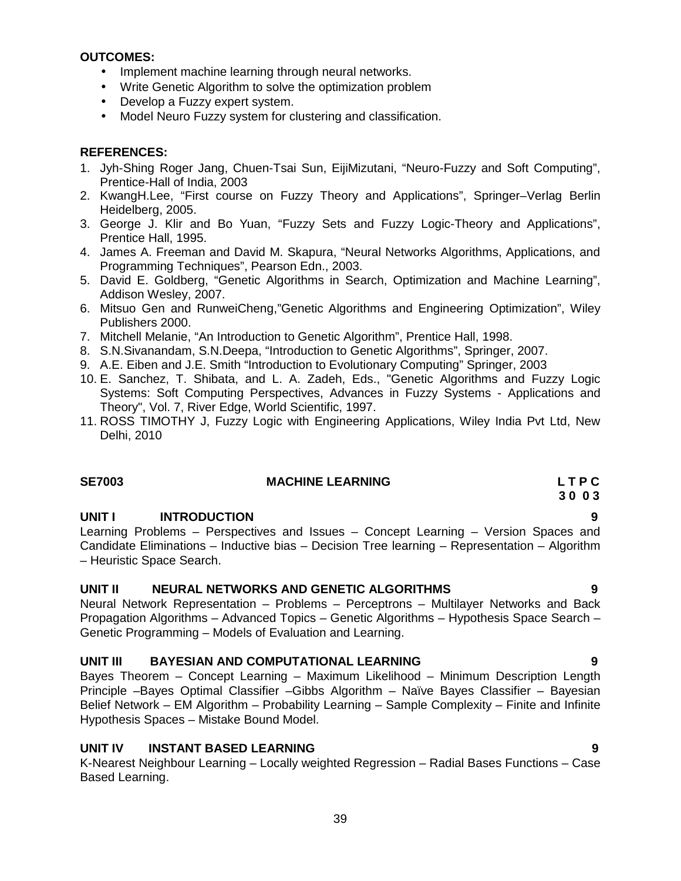#### **OUTCOMES:**

- Implement machine learning through neural networks.
- Write Genetic Algorithm to solve the optimization problem
- Develop a Fuzzy expert system.
- Model Neuro Fuzzy system for clustering and classification.

# **REFERENCES:**

- 1. Jyh-Shing Roger Jang, Chuen-Tsai Sun, EijiMizutani, "Neuro-Fuzzy and Soft Computing", Prentice-Hall of India, 2003
- 2. KwangH.Lee, "First course on Fuzzy Theory and Applications", Springer–Verlag Berlin Heidelberg, 2005.
- 3. George J. Klir and Bo Yuan, "Fuzzy Sets and Fuzzy Logic-Theory and Applications", Prentice Hall, 1995.
- 4. James A. Freeman and David M. Skapura, "Neural Networks Algorithms, Applications, and Programming Techniques", Pearson Edn., 2003.
- 5. David E. Goldberg, "Genetic Algorithms in Search, Optimization and Machine Learning", Addison Wesley, 2007.
- 6. Mitsuo Gen and RunweiCheng,"Genetic Algorithms and Engineering Optimization", Wiley Publishers 2000.
- 7. Mitchell Melanie, "An Introduction to Genetic Algorithm", Prentice Hall, 1998.
- 8. S.N.Sivanandam, S.N.Deepa, "Introduction to Genetic Algorithms", Springer, 2007.
- 9. A.E. Eiben and J.E. Smith "Introduction to Evolutionary Computing" Springer, 2003
- 10. E. Sanchez, T. Shibata, and L. A. Zadeh, Eds., "Genetic Algorithms and Fuzzy Logic Systems: Soft Computing Perspectives, Advances in Fuzzy Systems - Applications and Theory", Vol. 7, River Edge, World Scientific, 1997.
- 11. ROSS TIMOTHY J, Fuzzy Logic with Engineering Applications, Wiley India Pvt Ltd, New Delhi, 2010

# **SE7003 MACHINE LEARNING L T P C**

#### **3 0 0 3**

#### **UNIT I INTRODUCTION 9**

Learning Problems – Perspectives and Issues – Concept Learning – Version Spaces and Candidate Eliminations – Inductive bias – Decision Tree learning – Representation – Algorithm – Heuristic Space Search.

#### **UNIT II NEURAL NETWORKS AND GENETIC ALGORITHMS 9**

Neural Network Representation – Problems – Perceptrons – Multilayer Networks and Back Propagation Algorithms – Advanced Topics – Genetic Algorithms – Hypothesis Space Search – Genetic Programming – Models of Evaluation and Learning.

### **UNIT III BAYESIAN AND COMPUTATIONAL LEARNING 9**

Bayes Theorem – Concept Learning – Maximum Likelihood – Minimum Description Length Principle –Bayes Optimal Classifier –Gibbs Algorithm – Naïve Bayes Classifier – Bayesian Belief Network – EM Algorithm – Probability Learning – Sample Complexity – Finite and Infinite Hypothesis Spaces – Mistake Bound Model.

# **UNIT IV INSTANT BASED LEARNING 9**

K-Nearest Neighbour Learning – Locally weighted Regression – Radial Bases Functions – Case Based Learning.

39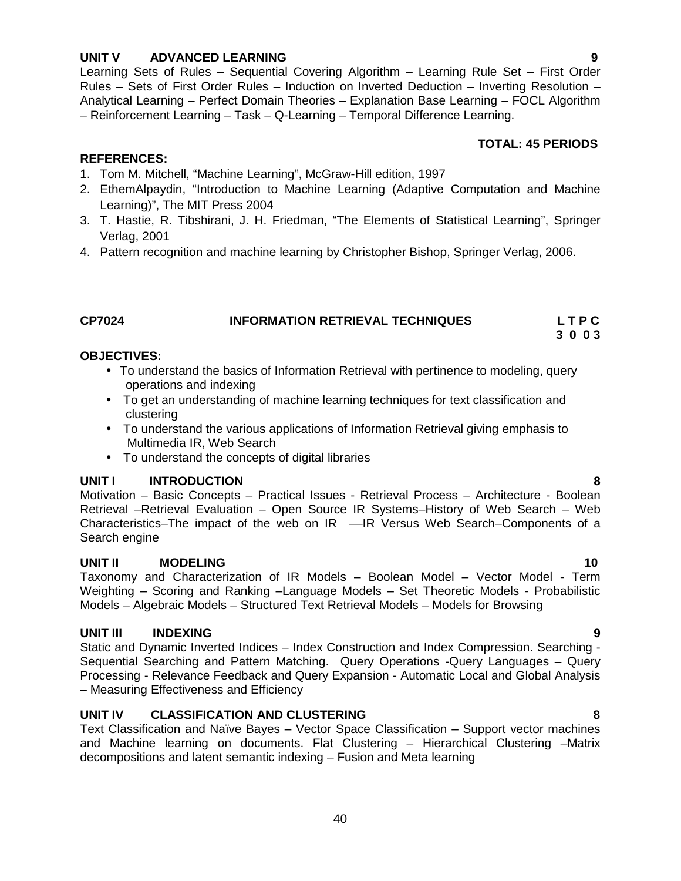# **UNIT V ADVANCED LEARNING 9**

Learning Sets of Rules – Sequential Covering Algorithm – Learning Rule Set – First Order Rules – Sets of First Order Rules – Induction on Inverted Deduction – Inverting Resolution – Analytical Learning – Perfect Domain Theories – Explanation Base Learning – FOCL Algorithm – Reinforcement Learning – Task – Q-Learning – Temporal Difference Learning.

# **REFERENCES:**

- 1. Tom M. Mitchell, "Machine Learning", McGraw-Hill edition, 1997
- 2. EthemAlpaydin, "Introduction to Machine Learning (Adaptive Computation and Machine Learning)", The MIT Press 2004
- 3. T. Hastie, R. Tibshirani, J. H. Friedman, "The Elements of Statistical Learning", Springer Verlag, 2001
- 4. Pattern recognition and machine learning by Christopher Bishop, Springer Verlag, 2006.

# **CP7024 INFORMATION RETRIEVAL TECHNIQUES L T P C**

#### **OBJECTIVES:**

- To understand the basics of Information Retrieval with pertinence to modeling, query operations and indexing
- To get an understanding of machine learning techniques for text classification and clustering
- To understand the various applications of Information Retrieval giving emphasis to Multimedia IR, Web Search
- To understand the concepts of digital libraries

# **UNIT I INTRODUCTION 8**

Motivation – Basic Concepts – Practical Issues - Retrieval Process – Architecture - Boolean Retrieval –Retrieval Evaluation – Open Source IR Systems–History of Web Search – Web Characteristics–The impact of the web on IR ––IR Versus Web Search–Components of a Search engine

# **UNIT II MODELING 10**

Taxonomy and Characterization of IR Models – Boolean Model – Vector Model - Term Weighting – Scoring and Ranking –Language Models – Set Theoretic Models - Probabilistic Models – Algebraic Models – Structured Text Retrieval Models – Models for Browsing

# **UNIT III INDEXING 9**

Static and Dynamic Inverted Indices – Index Construction and Index Compression. Searching - Sequential Searching and Pattern Matching. Query Operations -Query Languages – Query Processing - Relevance Feedback and Query Expansion - Automatic Local and Global Analysis – Measuring Effectiveness and Efficiency

# **UNIT IV CLASSIFICATION AND CLUSTERING 8**

Text Classification and Naïve Bayes – Vector Space Classification – Support vector machines and Machine learning on documents. Flat Clustering – Hierarchical Clustering –Matrix decompositions and latent semantic indexing – Fusion and Meta learning

**TOTAL: 45 PERIODS**

**3 0 0 3**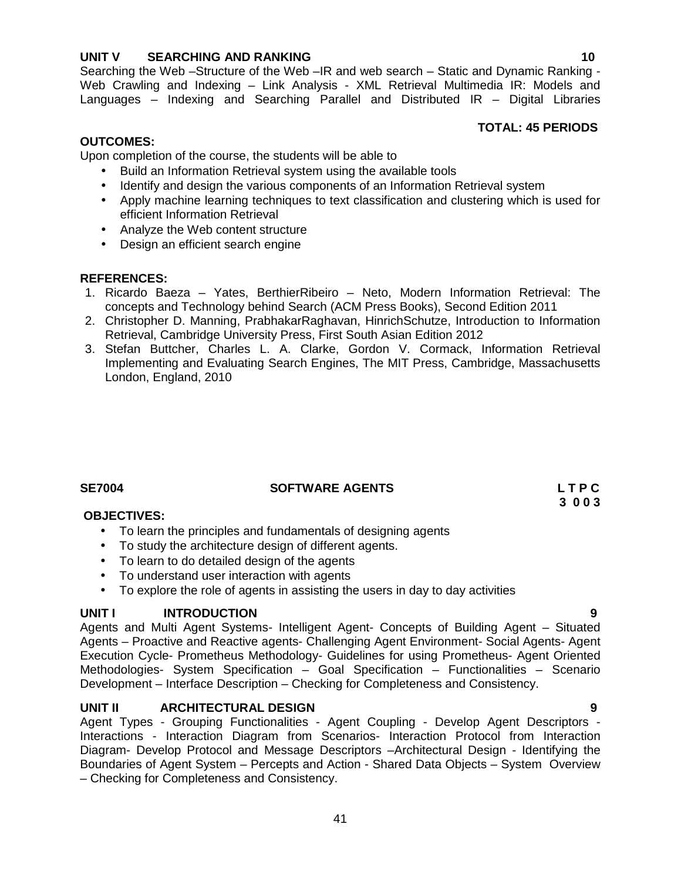#### **UNIT V SEARCHING AND RANKING 10**

Searching the Web –Structure of the Web – IR and web search – Static and Dynamic Ranking -Web Crawling and Indexing – Link Analysis - XML Retrieval Multimedia IR: Models and Languages – Indexing and Searching Parallel and Distributed IR – Digital Libraries

#### **TOTAL: 45 PERIODS**

#### **OUTCOMES:**

Upon completion of the course, the students will be able to

- Build an Information Retrieval system using the available tools
- Identify and design the various components of an Information Retrieval system
- Apply machine learning techniques to text classification and clustering which is used for efficient Information Retrieval
- Analyze the Web content structure
- Design an efficient search engine

### **REFERENCES:**

- 1. Ricardo Baeza Yates, BerthierRibeiro Neto, Modern Information Retrieval: The concepts and Technology behind Search (ACM Press Books), Second Edition 2011
- 2. Christopher D. Manning, PrabhakarRaghavan, HinrichSchutze, Introduction to Information Retrieval, Cambridge University Press, First South Asian Edition 2012
- 3. Stefan Buttcher, Charles L. A. Clarke, Gordon V. Cormack, Information Retrieval Implementing and Evaluating Search Engines, The MIT Press, Cambridge, Massachusetts London, England, 2010

### **SE7004 SOFTWARE AGENTS L T P C**

**3 0 0 3**

- **OBJECTIVES:**
	- To learn the principles and fundamentals of designing agents
	- To study the architecture design of different agents.
	- To learn to do detailed design of the agents
	- To understand user interaction with agents
	- To explore the role of agents in assisting the users in day to day activities

### **UNIT I INTRODUCTION 9**

Agents and Multi Agent Systems- Intelligent Agent- Concepts of Building Agent – Situated Agents – Proactive and Reactive agents- Challenging Agent Environment- Social Agents- Agent Execution Cycle- Prometheus Methodology- Guidelines for using Prometheus- Agent Oriented Methodologies- System Specification – Goal Specification – Functionalities – Scenario Development – Interface Description – Checking for Completeness and Consistency.

### **UNIT II ARCHITECTURAL DESIGN 9**

Agent Types - Grouping Functionalities - Agent Coupling - Develop Agent Descriptors - Interactions - Interaction Diagram from Scenarios- Interaction Protocol from Interaction Diagram- Develop Protocol and Message Descriptors –Architectural Design - Identifying the Boundaries of Agent System – Percepts and Action - Shared Data Objects – System Overview – Checking for Completeness and Consistency.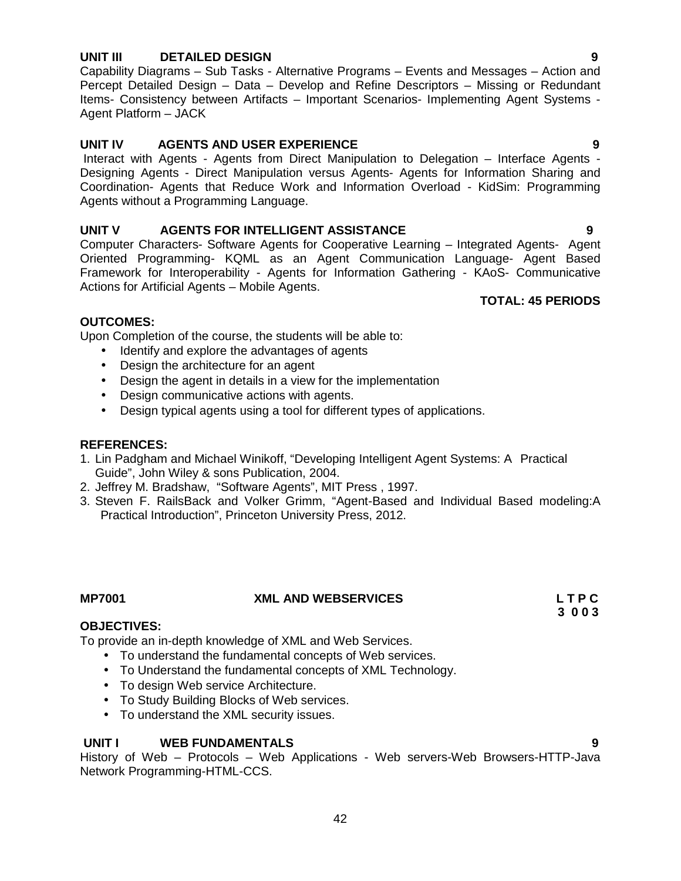#### **UNIT III DETAILED DESIGN 9**

Capability Diagrams – Sub Tasks - Alternative Programs – Events and Messages – Action and Percept Detailed Design – Data – Develop and Refine Descriptors – Missing or Redundant Items- Consistency between Artifacts – Important Scenarios- Implementing Agent Systems - Agent Platform – JACK

#### **UNIT IV AGENTS AND USER EXPERIENCE 9**

Interact with Agents - Agents from Direct Manipulation to Delegation – Interface Agents - Designing Agents - Direct Manipulation versus Agents- Agents for Information Sharing and Coordination- Agents that Reduce Work and Information Overload - KidSim: Programming Agents without a Programming Language.

### **UNIT V AGENTS FOR INTELLIGENT ASSISTANCE 9**

Computer Characters- Software Agents for Cooperative Learning – Integrated Agents- Agent Oriented Programming- KQML as an Agent Communication Language- Agent Based Framework for Interoperability - Agents for Information Gathering - KAoS- Communicative Actions for Artificial Agents – Mobile Agents.

#### **TOTAL: 45 PERIODS**

#### **OUTCOMES:**

Upon Completion of the course, the students will be able to:

- Identify and explore the advantages of agents
- Design the architecture for an agent
- Design the agent in details in a view for the implementation
- Design communicative actions with agents.
- Design typical agents using a tool for different types of applications.

#### **REFERENCES:**

- 1. Lin Padgham and Michael Winikoff, "Developing Intelligent Agent Systems: A Practical Guide", John Wiley & sons Publication, 2004.
- 2. Jeffrey M. Bradshaw, "Software Agents", MIT Press , 1997.
- 3. Steven F. RailsBack and Volker Grimm, "Agent-Based and Individual Based modeling:A Practical Introduction", Princeton University Press, 2012.

### **MP7001 XML AND WEBSERVICES L T P C**

**3 0 0 3**

### **OBJECTIVES:**

To provide an in-depth knowledge of XML and Web Services.

- To understand the fundamental concepts of Web services.
- To Understand the fundamental concepts of XML Technology.
- To design Web service Architecture.
- To Study Building Blocks of Web services.
- To understand the XML security issues.

### **UNIT I WEB FUNDAMENTALS 9**

History of Web – Protocols – Web Applications - Web servers-Web Browsers-HTTP-Java Network Programming-HTML-CCS.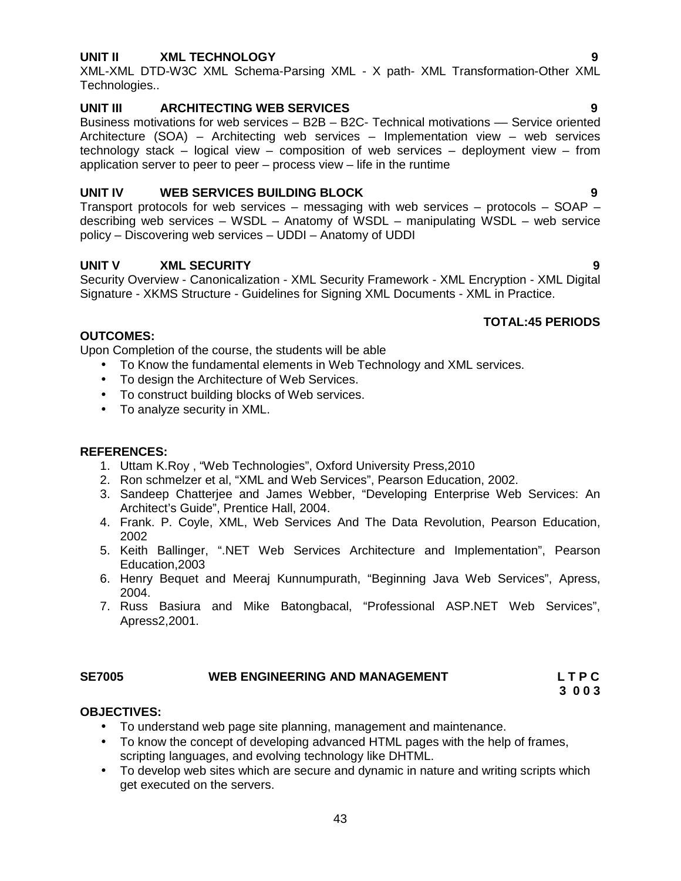### **UNIT II XML TECHNOLOGY 9**

XML-XML DTD-W3C XML Schema-Parsing XML - X path- XML Transformation-Other XML Technologies..

### **UNIT III ARCHITECTING WEB SERVICES 9**

Business motivations for web services – B2B – B2C- Technical motivations –– Service oriented Architecture (SOA) – Architecting web services – Implementation view – web services technology stack – logical view – composition of web services – deployment view – from application server to peer to peer – process view – life in the runtime

### **UNIT IV WEB SERVICES BUILDING BLOCK 9**

Transport protocols for web services – messaging with web services – protocols – SOAP – describing web services – WSDL – Anatomy of WSDL – manipulating WSDL – web service policy – Discovering web services – UDDI – Anatomy of UDDI

# **UNIT V XML SECURITY 9**

Security Overview - Canonicalization - XML Security Framework - XML Encryption - XML Digital Signature - XKMS Structure - Guidelines for Signing XML Documents - XML in Practice.

# **TOTAL:45 PERIODS**

### **OUTCOMES:**

Upon Completion of the course, the students will be able

- To Know the fundamental elements in Web Technology and XML services.
- To design the Architecture of Web Services.
- To construct building blocks of Web services.
- To analyze security in XML.

### **REFERENCES:**

- 1. Uttam K.Roy , "Web Technologies", Oxford University Press,2010
- 2. Ron schmelzer et al, "XML and Web Services", Pearson Education, 2002.
- 3. Sandeep Chatterjee and James Webber, "Developing Enterprise Web Services: An Architect's Guide", Prentice Hall, 2004.
- 4. Frank. P. Coyle, XML, Web Services And The Data Revolution, Pearson Education, 2002
- 5. Keith Ballinger, ".NET Web Services Architecture and Implementation", Pearson Education,2003
- 6. Henry Bequet and Meeraj Kunnumpurath, "Beginning Java Web Services", Apress, 2004.
- 7. Russ Basiura and Mike Batongbacal, "Professional ASP.NET Web Services", Apress2,2001.

### **SE7005 WEB ENGINEERING AND MANAGEMENT L T P C**

**3 0 0 3**

### **OBJECTIVES:**

- To understand web page site planning, management and maintenance.
- To know the concept of developing advanced HTML pages with the help of frames, scripting languages, and evolving technology like DHTML.
- To develop web sites which are secure and dynamic in nature and writing scripts which get executed on the servers.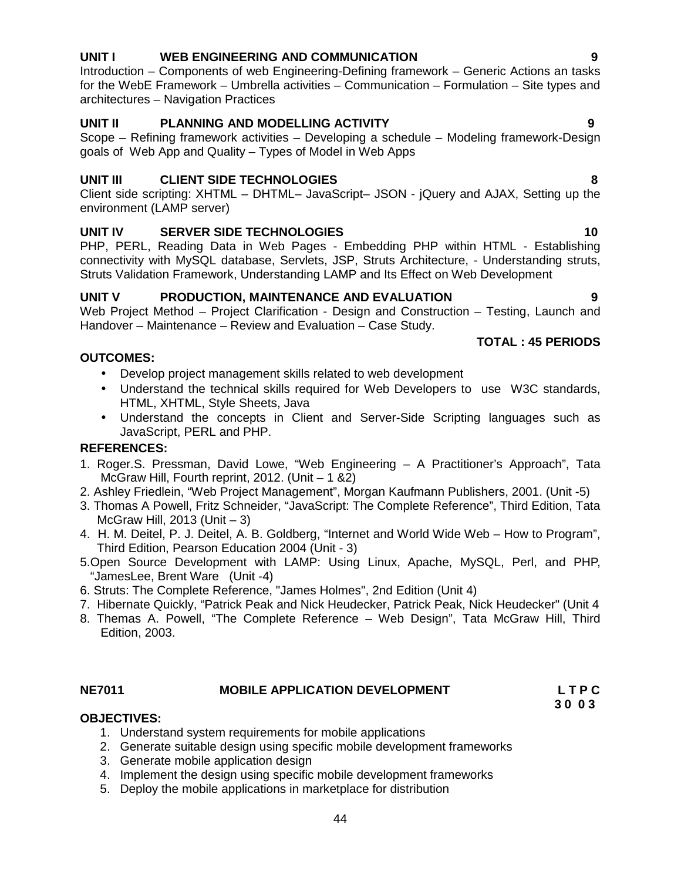### 44

# **UNIT I WEB ENGINEERING AND COMMUNICATION 9**

Introduction – Components of web Engineering-Defining framework – Generic Actions an tasks for the WebE Framework – Umbrella activities – Communication – Formulation – Site types and architectures – Navigation Practices

# **UNIT II PLANNING AND MODELLING ACTIVITY 9**

Scope – Refining framework activities – Developing a schedule – Modeling framework-Design goals of Web App and Quality – Types of Model in Web Apps

# **UNIT III CLIENT SIDE TECHNOLOGIES 8**

Client side scripting: XHTML – DHTML– JavaScript– JSON - jQuery and AJAX, Setting up the environment (LAMP server)

# **UNIT IV SERVER SIDE TECHNOLOGIES 10**

PHP, PERL, Reading Data in Web Pages - Embedding PHP within HTML - Establishing connectivity with MySQL database, Servlets, JSP, Struts Architecture, - Understanding struts, Struts Validation Framework, Understanding LAMP and Its Effect on Web Development

# **UNIT V PRODUCTION, MAINTENANCE AND EVALUATION 9**

Web Project Method – Project Clarification - Design and Construction – Testing, Launch and Handover – Maintenance – Review and Evaluation – Case Study.

### **TOTAL : 45 PERIODS**

# **OUTCOMES:**

- Develop project management skills related to web development
- Understand the technical skills required for Web Developers to use W3C standards, HTML, XHTML, Style Sheets, Java
- Understand the concepts in Client and Server-Side Scripting languages such as JavaScript, PERL and PHP.

### **REFERENCES:**

- 1. Roger.S. Pressman, David Lowe, "Web Engineering A Practitioner's Approach", Tata McGraw Hill, Fourth reprint, 2012. (Unit – 1 &2)
- 2. Ashley Friedlein, "Web Project Management", Morgan Kaufmann Publishers, 2001. (Unit -5)
- 3. Thomas A Powell, Fritz Schneider, "JavaScript: The Complete Reference", Third Edition, Tata McGraw Hill,  $2013$  (Unit  $-3$ )
- 4. H. M. Deitel, P. J. Deitel, A. B. Goldberg, "Internet and World Wide Web How to Program", Third Edition, Pearson Education 2004 (Unit - 3)
- 5.Open Source Development with LAMP: Using Linux, Apache, MySQL, Perl, and PHP, "JamesLee, Brent Ware (Unit -4)
- 6. Struts: The Complete Reference, "James Holmes", 2nd Edition (Unit 4)
- 7. Hibernate Quickly, "Patrick Peak and Nick Heudecker, Patrick Peak, Nick Heudecker" (Unit 4
- 8. Themas A. Powell, "The Complete Reference Web Design", Tata McGraw Hill, Third Edition, 2003.

### **NE7011 MOBILE APPLICATION DEVELOPMENT L T P C**

**3 0 0 3**

### **OBJECTIVES:**

- 1. Understand system requirements for mobile applications
- 2. Generate suitable design using specific mobile development frameworks
- 3. Generate mobile application design
- 4. Implement the design using specific mobile development frameworks
- 5. Deploy the mobile applications in marketplace for distribution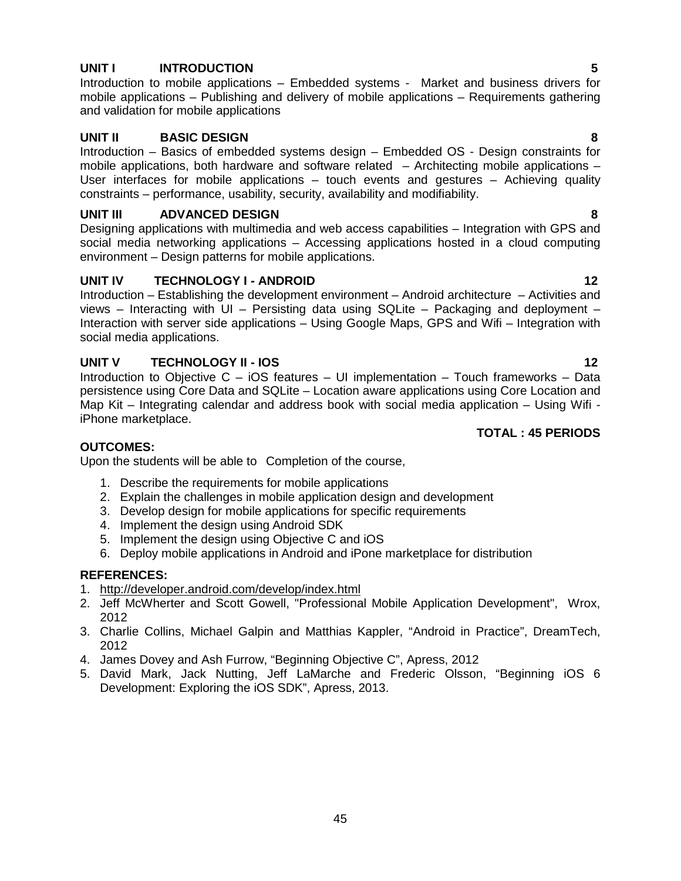# **UNIT I INTRODUCTION 5**

Introduction to mobile applications – Embedded systems - Market and business drivers for mobile applications – Publishing and delivery of mobile applications – Requirements gathering and validation for mobile applications

# **UNIT II BASIC DESIGN 8**

Introduction – Basics of embedded systems design – Embedded OS - Design constraints for mobile applications, both hardware and software related  $-$  Architecting mobile applications  $-$ User interfaces for mobile applications – touch events and gestures – Achieving quality constraints – performance, usability, security, availability and modifiability.

### **UNIT III ADVANCED DESIGN 8**

Designing applications with multimedia and web access capabilities – Integration with GPS and social media networking applications – Accessing applications hosted in a cloud computing environment – Design patterns for mobile applications.

### **UNIT IV TECHNOLOGY I - ANDROID 12**

Introduction – Establishing the development environment – Android architecture – Activities and views – Interacting with  $UI -$  Persisting data using SQLite – Packaging and deployment – Interaction with server side applications – Using Google Maps, GPS and Wifi – Integration with social media applications.

### **UNIT V TECHNOLOGY II - IOS 12**

Introduction to Objective C – iOS features – UI implementation – Touch frameworks – Data persistence using Core Data and SQLite – Location aware applications using Core Location and Map Kit – Integrating calendar and address book with social media application – Using Wifi iPhone marketplace.

#### **OUTCOMES:**

Upon the students will be able to Completion of the course,

- 1. Describe the requirements for mobile applications
- 2. Explain the challenges in mobile application design and development
- 3. Develop design for mobile applications for specific requirements
- 4. Implement the design using Android SDK
- 5. Implement the design using Objective C and iOS
- 6. Deploy mobile applications in Android and iPone marketplace for distribution

#### **REFERENCES:**

- 1. http://developer.android.com/develop/index.html
- 2. Jeff McWherter and Scott Gowell, "Professional Mobile Application Development", Wrox, 2012
- 3. Charlie Collins, Michael Galpin and Matthias Kappler, "Android in Practice", DreamTech, 2012
- 4. James Dovey and Ash Furrow, "Beginning Objective C", Apress, 2012
- 5. David Mark, Jack Nutting, Jeff LaMarche and Frederic Olsson, "Beginning iOS 6 Development: Exploring the iOS SDK", Apress, 2013.

#### **TOTAL : 45 PERIODS**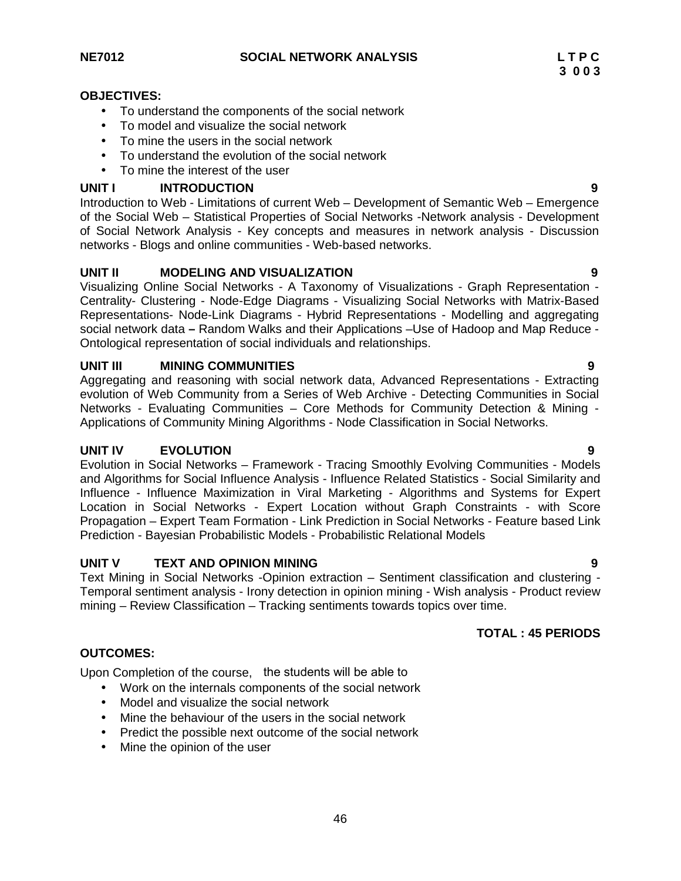#### **OBJECTIVES:**

- To understand the components of the social network
- To model and visualize the social network
- To mine the users in the social network
- To understand the evolution of the social network
- To mine the interest of the user

#### **UNIT I INTRODUCTION 9**

Introduction to Web - Limitations of current Web – Development of Semantic Web – Emergence of the Social Web – Statistical Properties of Social Networks -Network analysis - Development of Social Network Analysis - Key concepts and measures in network analysis - Discussion networks - Blogs and online communities - Web-based networks.

# **UNIT II MODELING AND VISUALIZATION 9**

Visualizing Online Social Networks - A Taxonomy of Visualizations - Graph Representation - Centrality- Clustering - Node-Edge Diagrams - Visualizing Social Networks with Matrix-Based Representations- Node-Link Diagrams - Hybrid Representations - Modelling and aggregating social network data **–** Random Walks and their Applications –Use of Hadoop and Map Reduce - Ontological representation of social individuals and relationships.

#### **UNIT III MINING COMMUNITIES 9**

Aggregating and reasoning with social network data, Advanced Representations - Extracting evolution of Web Community from a Series of Web Archive - Detecting Communities in Social Networks - Evaluating Communities – Core Methods for Community Detection & Mining - Applications of Community Mining Algorithms - Node Classification in Social Networks.

# **UNIT IV EVOLUTION 9**

Evolution in Social Networks – Framework - Tracing Smoothly Evolving Communities - Models and Algorithms for Social Influence Analysis - Influence Related Statistics - Social Similarity and Influence - Influence Maximization in Viral Marketing - Algorithms and Systems for Expert Location in Social Networks - Expert Location without Graph Constraints - with Score Propagation – Expert Team Formation - Link Prediction in Social Networks - Feature based Link Prediction - Bayesian Probabilistic Models - Probabilistic Relational Models

#### **UNIT V TEXT AND OPINION MINING 9**

Text Mining in Social Networks -Opinion extraction – Sentiment classification and clustering - Temporal sentiment analysis - Irony detection in opinion mining - Wish analysis - Product review mining – Review Classification – Tracking sentiments towards topics over time.

#### **TOTAL : 45 PERIODS**

#### **OUTCOMES:**

Upon Completion of the course, the students will be able to

- Work on the internals components of the social network
- Model and visualize the social network
- Mine the behaviour of the users in the social network
- Predict the possible next outcome of the social network
- Mine the opinion of the user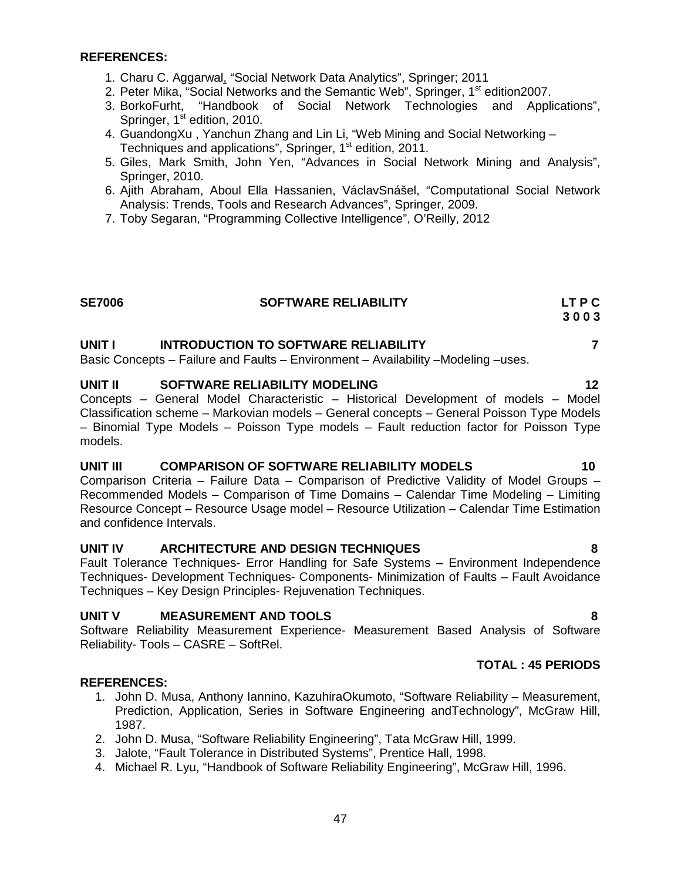#### **REFERENCES:**

- 1. Charu C. Aggarwal, "Social Network Data Analytics", Springer; 2011
- 2. Peter Mika, "Social Networks and the Semantic Web", Springer, 1<sup>st</sup> edition2007.
- 3. BorkoFurht, "Handbook of Social Network Technologies and Applications", Springer, 1<sup>st</sup> edition, 2010.
- 4. GuandongXu , Yanchun Zhang and Lin Li, "Web Mining and Social Networking Techniques and applications", Springer, 1<sup>st</sup> edition, 2011.
- 5. Giles, Mark Smith, John Yen, "Advances in Social Network Mining and Analysis", Springer, 2010.
- 6. Ajith Abraham, Aboul Ella Hassanien, VáclavSnášel, "Computational Social Network Analysis: Trends, Tools and Research Advances", Springer, 2009.
- 7. Toby Segaran, "Programming Collective Intelligence", O'Reilly, 2012

| <b>SE7006</b> | <b>SOFTWARE RELIABILITY</b> | <b>LTPC</b> |
|---------------|-----------------------------|-------------|
|               |                             | 3003        |

### **UNIT I INTRODUCTION TO SOFTWARE RELIABILITY 7**

Basic Concepts – Failure and Faults – Environment – Availability –Modeling –uses.

#### **UNIT II SOFTWARE RELIABILITY MODELING 12**

Concepts – General Model Characteristic – Historical Development of models – Model Classification scheme – Markovian models – General concepts – General Poisson Type Models – Binomial Type Models – Poisson Type models – Fault reduction factor for Poisson Type models.

#### **UNIT III COMPARISON OF SOFTWARE RELIABILITY MODELS 10**

Comparison Criteria – Failure Data – Comparison of Predictive Validity of Model Groups – Recommended Models – Comparison of Time Domains – Calendar Time Modeling – Limiting Resource Concept – Resource Usage model – Resource Utilization – Calendar Time Estimation and confidence Intervals.

#### **UNIT IV ARCHITECTURE AND DESIGN TECHNIQUES 8**

Fault Tolerance Techniques- Error Handling for Safe Systems – Environment Independence Techniques- Development Techniques- Components- Minimization of Faults – Fault Avoidance Techniques – Key Design Principles- Rejuvenation Techniques.

#### **UNIT V MEASUREMENT AND TOOLS 8**

Software Reliability Measurement Experience- Measurement Based Analysis of Software Reliability- Tools – CASRE – SoftRel.

#### **TOTAL : 45 PERIODS**

### **REFERENCES:**

- 1. John D. Musa, Anthony Iannino, KazuhiraOkumoto, "Software Reliability Measurement, Prediction, Application, Series in Software Engineering andTechnology", McGraw Hill, 1987.
- 2. John D. Musa, "Software Reliability Engineering", Tata McGraw Hill, 1999.
- 3. Jalote, "Fault Tolerance in Distributed Systems", Prentice Hall, 1998.
- 4. Michael R. Lyu, "Handbook of Software Reliability Engineering", McGraw Hill, 1996.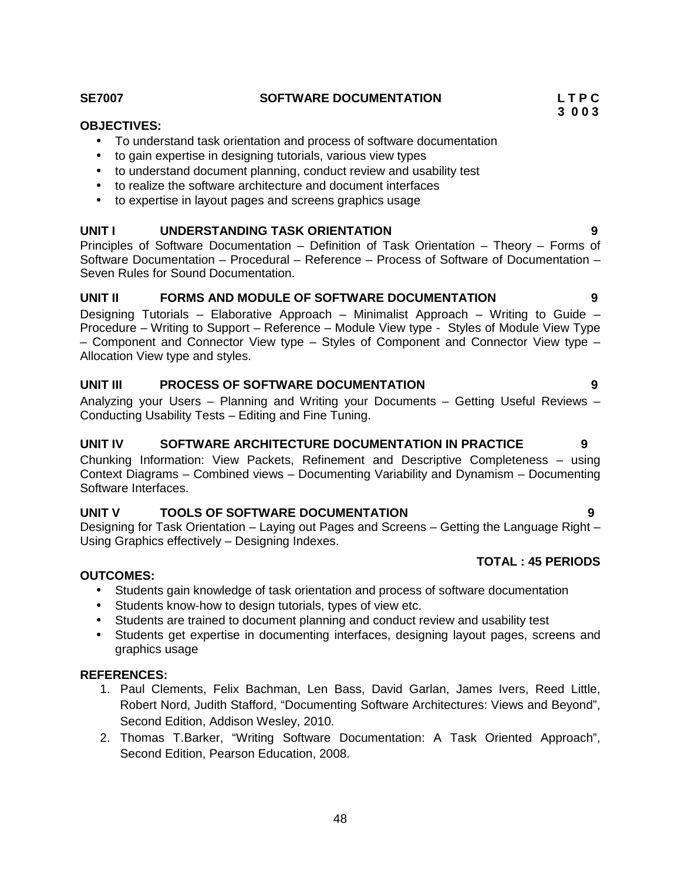Students know-how to design tutorials, types of view etc.

Students are trained to document planning and conduct review and usability test

Students gain knowledge of task orientation and process of software documentation

 Students get expertise in documenting interfaces, designing layout pages, screens and graphics usage

#### **REFERENCES:**

**OUTCOMES:**

- 1. Paul Clements, Felix Bachman, Len Bass, David Garlan, James Ivers, Reed Little, Robert Nord, Judith Stafford, "Documenting Software Architectures: Views and Beyond", Second Edition, Addison Wesley, 2010.
- 2. Thomas T.Barker, "Writing Software Documentation: A Task Oriented Approach", Second Edition, Pearson Education, 2008.

48

• to gain expertise in designing tutorials, various view types

to understand document planning, conduct review and usability test

To understand task orientation and process of software documentation

- to realize the software architecture and document interfaces
- to expertise in layout pages and screens graphics usage

#### **UNIT I UNDERSTANDING TASK ORIENTATION 9**

Principles of Software Documentation – Definition of Task Orientation – Theory – Forms of Software Documentation – Procedural – Reference – Process of Software of Documentation – Seven Rules for Sound Documentation.

#### **UNIT II FORMS AND MODULE OF SOFTWARE DOCUMENTATION 9**

Designing Tutorials – Elaborative Approach – Minimalist Approach – Writing to Guide – Procedure – Writing to Support – Reference – Module View type - Styles of Module View Type – Component and Connector View type – Styles of Component and Connector View type – Allocation View type and styles.

#### **UNIT III PROCESS OF SOFTWARE DOCUMENTATION 9**

Analyzing your Users – Planning and Writing your Documents – Getting Useful Reviews – Conducting Usability Tests – Editing and Fine Tuning.

#### **UNIT IV SOFTWARE ARCHITECTURE DOCUMENTATION IN PRACTICE 9**

Chunking Information: View Packets, Refinement and Descriptive Completeness – using Context Diagrams – Combined views – Documenting Variability and Dynamism – Documenting Software Interfaces.

#### **UNIT V TOOLS OF SOFTWARE DOCUMENTATION 9**

Designing for Task Orientation – Laying out Pages and Screens – Getting the Language Right – Using Graphics effectively – Designing Indexes.

#### **TOTAL : 45 PERIODS**

**OBJECTIVES:**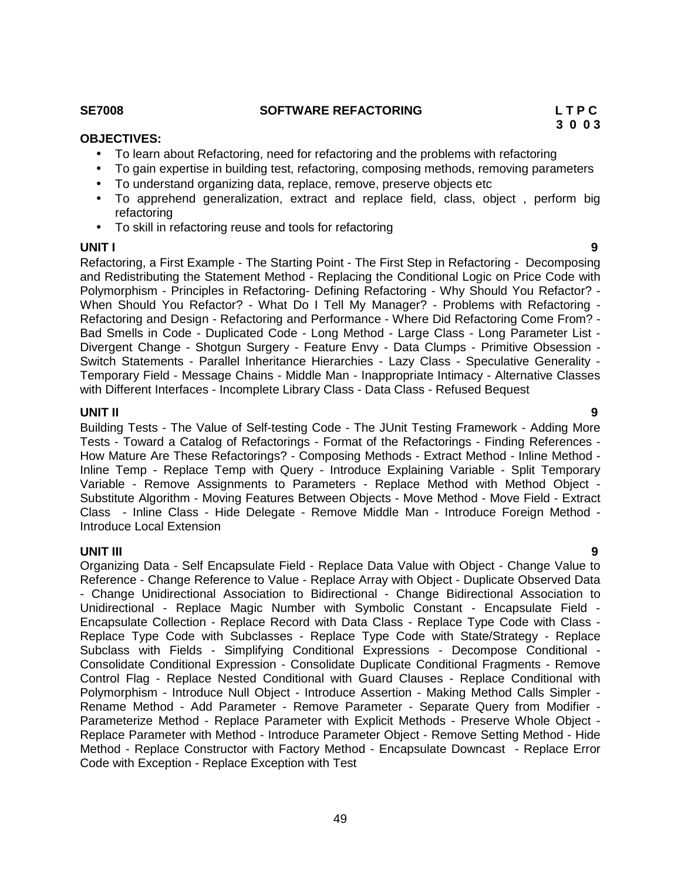# **SE7008 SOFTWARE REFACTORING L T P C**

#### **OBJECTIVES:**

- To learn about Refactoring, need for refactoring and the problems with refactoring
- To gain expertise in building test, refactoring, composing methods, removing parameters
- To understand organizing data, replace, remove, preserve objects etc
- To apprehend generalization, extract and replace field, class, object , perform big refactoring
- To skill in refactoring reuse and tools for refactoring

### **UNIT I 9**

Refactoring, a First Example - The Starting Point - The First Step in Refactoring - Decomposing and Redistributing the Statement Method - Replacing the Conditional Logic on Price Code with Polymorphism - Principles in Refactoring- Defining Refactoring - Why Should You Refactor? - When Should You Refactor? - What Do I Tell My Manager? - Problems with Refactoring - Refactoring and Design - Refactoring and Performance - Where Did Refactoring Come From? - Bad Smells in Code - Duplicated Code - Long Method - Large Class - Long Parameter List - Divergent Change - Shotgun Surgery - Feature Envy - Data Clumps - Primitive Obsession - Switch Statements - Parallel Inheritance Hierarchies - Lazy Class - Speculative Generality - Temporary Field - Message Chains - Middle Man - Inappropriate Intimacy - Alternative Classes with Different Interfaces - Incomplete Library Class - Data Class - Refused Bequest

**UNIT II 9** Building Tests - The Value of Self-testing Code - The JUnit Testing Framework - Adding More Tests - Toward a Catalog of Refactorings - Format of the Refactorings - Finding References - How Mature Are These Refactorings? - Composing Methods - Extract Method - Inline Method - Inline Temp - Replace Temp with Query - Introduce Explaining Variable - Split Temporary Variable - Remove Assignments to Parameters - Replace Method with Method Object - Substitute Algorithm - Moving Features Between Objects - Move Method - Move Field - Extract Class - Inline Class - Hide Delegate - Remove Middle Man - Introduce Foreign Method - Introduce Local Extension

**UNIT III 9** Organizing Data - Self Encapsulate Field - Replace Data Value with Object - Change Value to Reference - Change Reference to Value - Replace Array with Object - Duplicate Observed Data - Change Unidirectional Association to Bidirectional - Change Bidirectional Association to Unidirectional - Replace Magic Number with Symbolic Constant - Encapsulate Field - Encapsulate Collection - Replace Record with Data Class - Replace Type Code with Class - Replace Type Code with Subclasses - Replace Type Code with State/Strategy - Replace Subclass with Fields - Simplifying Conditional Expressions - Decompose Conditional - Consolidate Conditional Expression - Consolidate Duplicate Conditional Fragments - Remove Control Flag - Replace Nested Conditional with Guard Clauses - Replace Conditional with Polymorphism - Introduce Null Object - Introduce Assertion - Making Method Calls Simpler - Rename Method - Add Parameter - Remove Parameter - Separate Query from Modifier - Parameterize Method - Replace Parameter with Explicit Methods - Preserve Whole Object - Replace Parameter with Method - Introduce Parameter Object - Remove Setting Method - Hide Method - Replace Constructor with Factory Method - Encapsulate Downcast - Replace Error Code with Exception - Replace Exception with Test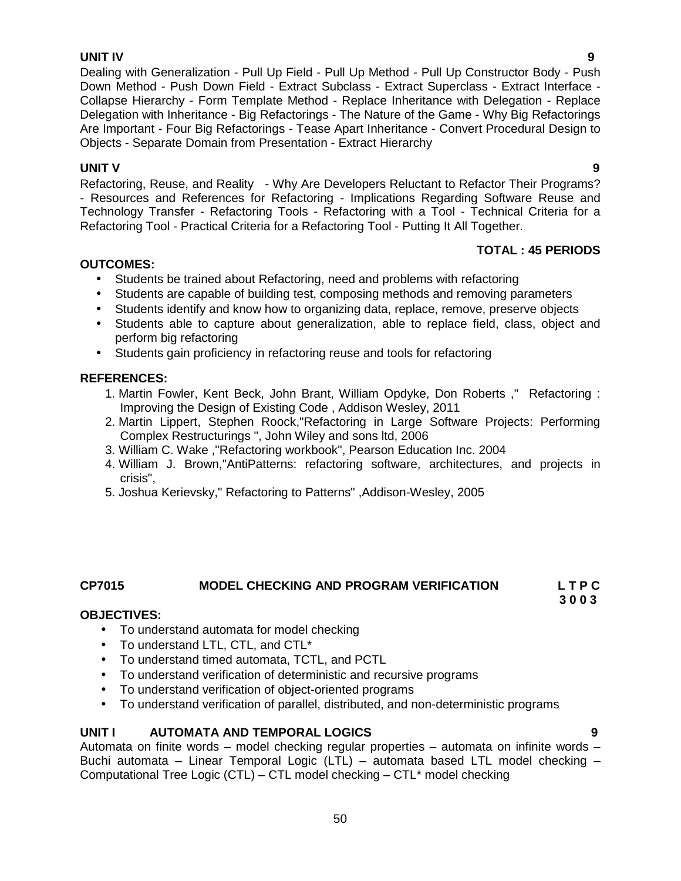# **UNIT IV 9**

Dealing with Generalization - Pull Up Field - Pull Up Method - Pull Up Constructor Body - Push Down Method - Push Down Field - Extract Subclass - Extract Superclass - Extract Interface - Collapse Hierarchy - Form Template Method - Replace Inheritance with Delegation - Replace Delegation with Inheritance - Big Refactorings - The Nature of the Game - Why Big Refactorings Are Important - Four Big Refactorings - Tease Apart Inheritance - Convert Procedural Design to Objects - Separate Domain from Presentation - Extract Hierarchy

# **UNIT V 9**

Refactoring, Reuse, and Reality - Why Are Developers Reluctant to Refactor Their Programs? - Resources and References for Refactoring - Implications Regarding Software Reuse and Technology Transfer - Refactoring Tools - Refactoring with a Tool - Technical Criteria for a Refactoring Tool - Practical Criteria for a Refactoring Tool - Putting It All Together.

### **TOTAL : 45 PERIODS**

# **OUTCOMES:**

- Students be trained about Refactoring, need and problems with refactoring
- Students are capable of building test, composing methods and removing parameters
- Students identify and know how to organizing data, replace, remove, preserve objects
- Students able to capture about generalization, able to replace field, class, object and perform big refactoring
- Students gain proficiency in refactoring reuse and tools for refactoring

# **REFERENCES:**

- 1. Martin Fowler, Kent Beck, John Brant, William Opdyke, Don Roberts ," Refactoring : Improving the Design of Existing Code , Addison Wesley, 2011
- 2. Martin Lippert, Stephen Roock,"Refactoring in Large Software Projects: Performing Complex Restructurings ", John Wiley and sons ltd, 2006
- 3. William C. Wake ,"Refactoring workbook", Pearson Education Inc. 2004
- 4. William J. Brown,"AntiPatterns: refactoring software, architectures, and projects in crisis",
- 5. Joshua Kerievsky," Refactoring to Patterns" ,Addison-Wesley, 2005

# **CP7015 MODEL CHECKING AND PROGRAM VERIFICATION L T P C**

**3 0 0 3**

### **OBJECTIVES:**

- To understand automata for model checking
- To understand LTL, CTL, and CTL\*
- To understand timed automata, TCTL, and PCTL
- To understand verification of deterministic and recursive programs
- To understand verification of object-oriented programs
- To understand verification of parallel, distributed, and non-deterministic programs

### **UNIT I AUTOMATA AND TEMPORAL LOGICS 9**

Automata on finite words – model checking regular properties – automata on infinite words – Buchi automata – Linear Temporal Logic (LTL) – automata based LTL model checking – Computational Tree Logic (CTL) – CTL model checking – CTL\* model checking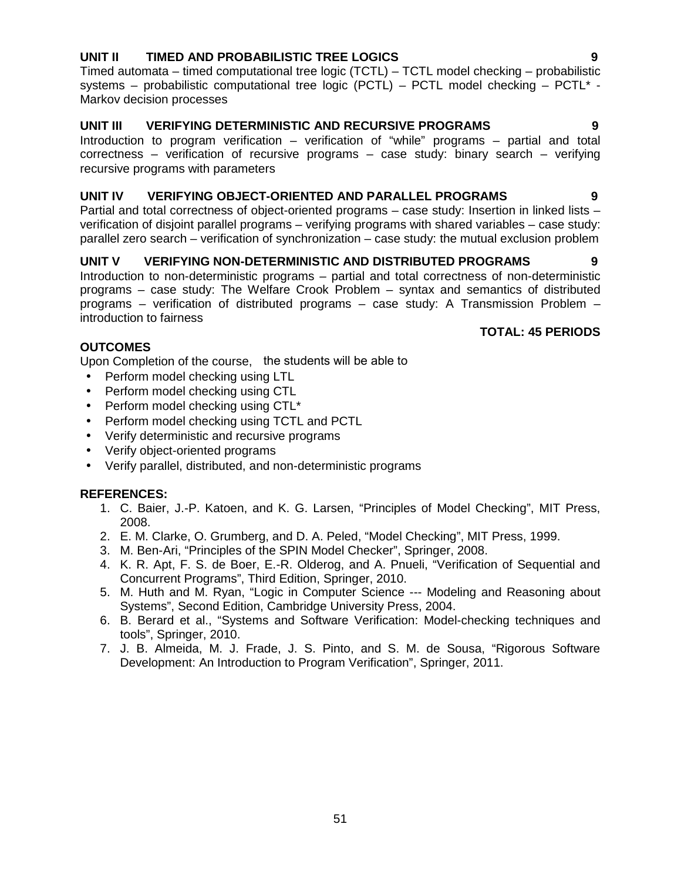# **UNIT II TIMED AND PROBABILISTIC TREE LOGICS 9**

Timed automata – timed computational tree logic (TCTL) – TCTL model checking – probabilistic systems – probabilistic computational tree logic (PCTL) – PCTL model checking – PCTL\* - Markov decision processes

#### **UNIT III VERIFYING DETERMINISTIC AND RECURSIVE PROGRAMS 9**

Introduction to program verification – verification of "while" programs – partial and total correctness – verification of recursive programs – case study: binary search – verifying recursive programs with parameters

# **UNIT IV VERIFYING OBJECT-ORIENTED AND PARALLEL PROGRAMS 9**

Partial and total correctness of object-oriented programs – case study: Insertion in linked lists – verification of disjoint parallel programs – verifying programs with shared variables – case study: parallel zero search – verification of synchronization – case study: the mutual exclusion problem

### **UNIT V VERIFYING NON-DETERMINISTIC AND DISTRIBUTED PROGRAMS 9**

Introduction to non-deterministic programs – partial and total correctness of non-deterministic programs – case study: The Welfare Crook Problem – syntax and semantics of distributed programs – verification of distributed programs – case study: A Transmission Problem – introduction to fairness

#### **TOTAL: 45 PERIODS**

### **OUTCOMES**

Upon Completion of the course, the students will be able to

- Perform model checking using LTL
- Perform model checking using CTL
- Perform model checking using CTL\*
- Perform model checking using TCTL and PCTL
- Verify deterministic and recursive programs
- Verify object-oriented programs
- Verify parallel, distributed, and non-deterministic programs

### **REFERENCES:**

- 1. C. Baier, J.-P. Katoen, and K. G. Larsen, "Principles of Model Checking", MIT Press, 2008.
- 2. E. M. Clarke, O. Grumberg, and D. A. Peled, "Model Checking", MIT Press, 1999.
- 3. M. Ben-Ari, "Principles of the SPIN Model Checker", Springer, 2008.
- 4. K. R. Apt, F. S. de Boer, E.-R. Olderog, and A. Pnueli, "Verification of Sequential and Concurrent Programs", Third Edition, Springer, 2010.
- 5. M. Huth and M. Ryan, "Logic in Computer Science --- Modeling and Reasoning about Systems", Second Edition, Cambridge University Press, 2004.
- 6. B. Berard et al., "Systems and Software Verification: Model-checking techniques and tools", Springer, 2010.
- 7. J. B. Almeida, M. J. Frade, J. S. Pinto, and S. M. de Sousa, "Rigorous Software Development: An Introduction to Program Verification", Springer, 2011.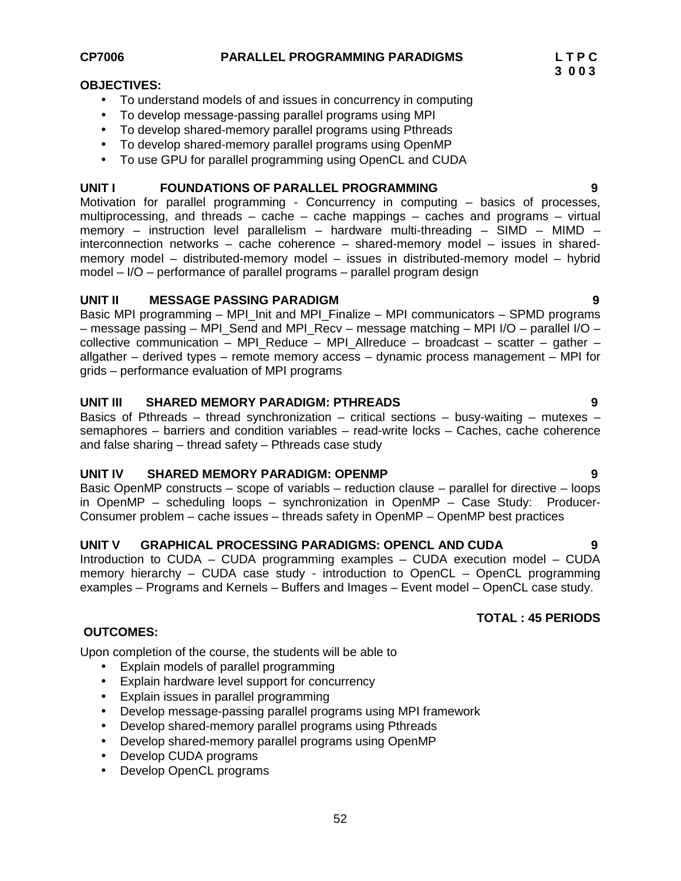- To develop shared-memory parallel programs using OpenMP
- To use GPU for parallel programming using OpenCL and CUDA

To understand models of and issues in concurrency in computing

# **UNIT I FOUNDATIONS OF PARALLEL PROGRAMMING 9**

Motivation for parallel programming - Concurrency in computing – basics of processes, multiprocessing, and threads  $-$  cache  $-$  cache mappings  $-$  caches and programs  $-$  virtual memory – instruction level parallelism – hardware multi-threading –  $SIMD - MIMD$ interconnection networks – cache coherence – shared-memory model – issues in shared memory model – distributed-memory model – issues in distributed-memory model – hybrid model – I/O – performance of parallel programs – parallel program design

# **UNIT II MESSAGE PASSING PARADIGM 9**

Basic MPI programming – MPI Init and MPI Finalize – MPI communicators – SPMD programs – message passing – MPI\_Send and MPI\_Recv – message matching – MPI I/O – parallel I/O – collective communication – MPI\_Reduce – MPI\_Allreduce – broadcast – scatter – gather – allgather – derived types – remote memory access – dynamic process management – MPI for grids – performance evaluation of MPI programs

# **UNIT III SHARED MEMORY PARADIGM: PTHREADS 9**

Basics of Pthreads – thread synchronization – critical sections – busy-waiting – mutexes – semaphores – barriers and condition variables – read-write locks – Caches, cache coherence and false sharing – thread safety – Pthreads case study

# **UNIT IV SHARED MEMORY PARADIGM: OPENMP 9**

Basic OpenMP constructs – scope of variabls – reduction clause – parallel for directive – loops in OpenMP – scheduling loops – synchronization in OpenMP – Case Study: Producer- Consumer problem – cache issues – threads safety in OpenMP –OpenMP best practices

# **UNIT V GRAPHICAL PROCESSING PARADIGMS: OPENCL AND CUDA 9**

Introduction to CUDA – CUDA programming examples – CUDA execution model – CUDA memory hierarchy – CUDA case study - introduction to OpenCL – OpenCL programming examples – Programs and Kernels – Buffers and Images – Event model – OpenCL case study.

# **OUTCOMES:**

Upon completion of the course, the students will be able to

- Explain models of parallel programming
- Explain hardware level support for concurrency
- Explain issues in parallel programming
- Develop message-passing parallel programs using MPI framework
- Develop shared-memory parallel programs using Pthreads
- Develop shared-memory parallel programs using OpenMP
- Develop CUDA programs
- Develop OpenCL programs

**OBJECTIVES:**

**TOTAL : 45 PERIODS**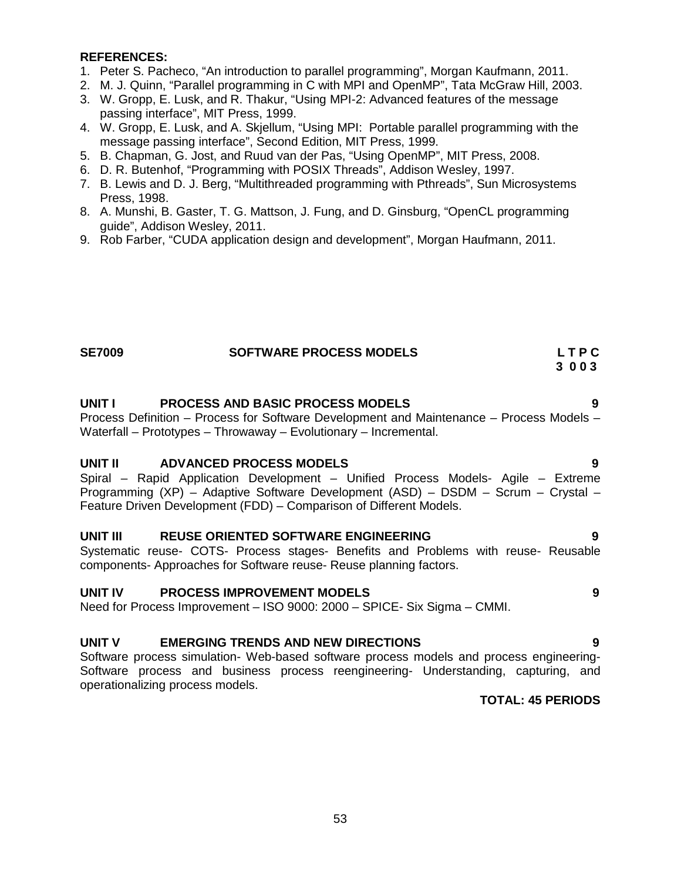#### **REFERENCES:**

- 1. Peter S. Pacheco, "An introduction to parallel programming", Morgan Kaufmann, 2011.
- 2. M. J. Quinn, "Parallel programming in C with MPI and OpenMP", Tata McGraw Hill, 2003.
- 3. W. Gropp, E. Lusk, and R. Thakur, "Using MPI-2: Advanced features of the message passing interface", MIT Press, 1999.
- 4. W. Gropp, E. Lusk, and A. Skjellum, "Using MPI: Portable parallel programming with the message passing interface", Second Edition, MIT Press, 1999.
- 5. B. Chapman, G. Jost, and Ruud van der Pas, "Using OpenMP", MIT Press, 2008.
- 6. D. R. Butenhof, "Programming with POSIX Threads", Addison Wesley, 1997.
- 7. B. Lewis and D. J. Berg, "Multithreaded programming with Pthreads", Sun Microsystems Press, 1998.
- 8. A. Munshi, B. Gaster, T. G. Mattson, J. Fung, and D. Ginsburg, "OpenCL programming guide", Addison Wesley, 2011.
- 9. Rob Farber, "CUDA application design and development", Morgan Haufmann, 2011.

| <b>SE7009</b> | <b>SOFTWARE PROCESS MODELS</b> | LTPC    |
|---------------|--------------------------------|---------|
|               |                                | 3 0 0 3 |

### **UNIT I PROCESS AND BASIC PROCESS MODELS 9**

Process Definition – Process for Software Development and Maintenance – Process Models – Waterfall – Prototypes – Throwaway – Evolutionary – Incremental.

#### **UNIT II ADVANCED PROCESS MODELS 9**

Spiral – Rapid Application Development – Unified Process Models- Agile – Extreme Programming (XP) – Adaptive Software Development (ASD) – DSDM – Scrum – Crystal – Feature Driven Development (FDD) – Comparison of Different Models.

#### **UNIT III REUSE ORIENTED SOFTWARE ENGINEERING 9**

Systematic reuse- COTS- Process stages- Benefits and Problems with reuse- Reusable components- Approaches for Software reuse- Reuse planning factors.

### **UNIT IV PROCESS IMPROVEMENT MODELS 9**

Need for Process Improvement – ISO 9000: 2000 – SPICE- Six Sigma – CMMI.

### **UNIT V EMERGING TRENDS AND NEW DIRECTIONS 9**

Software process simulation- Web-based software process models and process engineering- Software process and business process reengineering- Understanding, capturing, and operationalizing process models.

**TOTAL: 45 PERIODS**